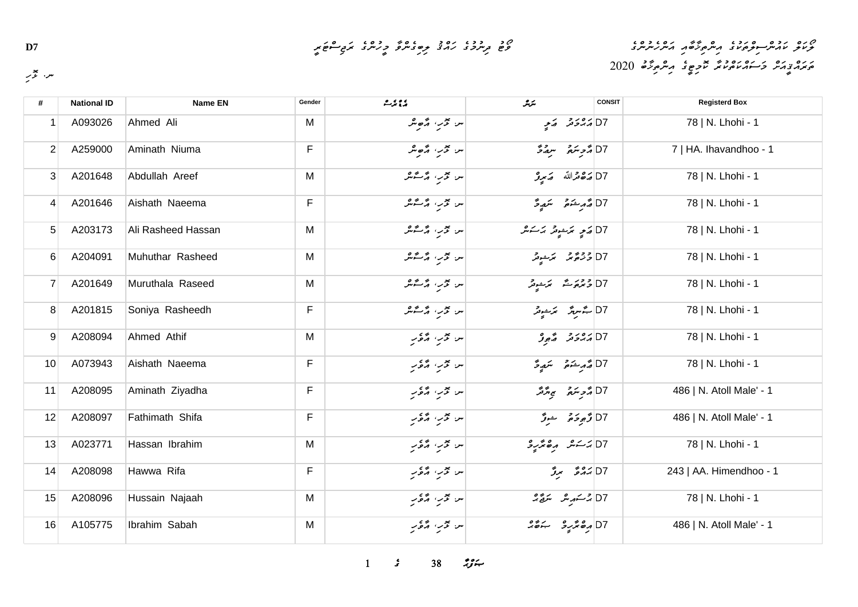*sCw7q7s5w7m< o<n9nOoAw7o< sCq;mAwBoEw7q<m; wBm;vB* م من المرة المرة المرة المرجع المرجع في المركبة 2020<br>مجم*د المريض المربوط المربع المرجع في المراجع المركبة* 

| #               | <b>National ID</b> | Name EN            | Gender      | ړ، پر               | سرپر                              | <b>CONSIT</b> | <b>Registerd Box</b>     |
|-----------------|--------------------|--------------------|-------------|---------------------|-----------------------------------|---------------|--------------------------|
|                 | A093026            | Ahmed Ali          | M           | س عمر المتحصر       | D7 <i>גُ.دُوَنْڌ ھَ</i> ي         |               | 78   N. Lhohi - 1        |
| $\vert$ 2       | A259000            | Aminath Niuma      | F           | س عرب أرحاش         | D7 مُّجِسَّعُ مِيمُّدُّ           |               | 7   HA. Ihavandhoo - 1   |
| 3               | A201648            | Abdullah Areef     | M           | س میں میں میڈیو<br> | D7 مَەھىراللە م <i>ەيدى</i>       |               | 78   N. Lhohi - 1        |
| $\vert 4 \vert$ | A201646            | Aishath Naeema     | F           | س عرب ومحسكر        | D7 مەم ئىقىم ئىم ئى <i>م قى</i>   |               | 78   N. Lhohi - 1        |
| 5 <sup>5</sup>  | A203173            | Ali Rasheed Hassan | M           | س عرب بر مشک        | D7 كەي ترىنوش ترىكىش              |               | 78   N. Lhohi - 1        |
| 6               | A204091            | Muhuthar Rasheed   | M           | س عرب بر مشک        | D7 <i>وَرْجُ بْرَ مَدْسِوِيْر</i> |               | 78   N. Lhohi - 1        |
| 7               | A201649            | Muruthala Raseed   | M           | س عرب بر مشک        | D7 ۇيۇمۇش ئېزىسىدۇر               |               | 78   N. Lhohi - 1        |
| 8               | A201815            | Soniya Rasheedh    | F           | س عن الممشر         | D7 سُمْسِعٌر مَمَشِعِ <i>ةٌ</i>   |               | 78   N. Lhohi - 1        |
| 9               | A208094            | Ahmed Athif        | M           | مراجع براء محركة به | D7 <i>مَدْدَ مَدْ مِ</i> مْ مِنْ  |               | 78   N. Lhohi - 1        |
| 10              | A073943            | Aishath Naeema     | F           | امرا عرس أعرض       | D7 مەم ئىقىم ئىمرىگە              |               | 78   N. Lhohi - 1        |
| 11              | A208095            | Aminath Ziyadha    | $\mathsf F$ | سن عمير، ومحمد      | D7 مُرْحِسَمُ بِمِهْتُد           |               | 486   N. Atoll Male' - 1 |
| 12              | A208097            | Fathimath Shifa    | F           | سن عمير المحفظ به   | D7 <i>وَّجِودَة</i> مُبِوَّرَ     |               | 486   N. Atoll Male' - 1 |
| 13              | A023771            | Hassan Ibrahim     | M           | للراسيحميا أرتحاب   | D7 ئەسەمبە مەھە <i>مب</i> و       |               | 78   N. Lhohi - 1        |
| 14              | A208098            | Hawwa Rifa         | F           | ملنا محرسبا المحرضب | D7 ئەمگە ئىم                      |               | 243   AA. Himendhoo - 1  |
| 15              | A208096            | Hussain Najaah     | M           | للراجع بالمجتمع مبر | D7 پرسکو سرچ مر                   |               | 78   N. Lhohi - 1        |
| 16              | A105775            | Ibrahim Sabah      | M           | ملاء مخريا ومحتجاب  | D7 مەھمىر بۇ سىھە                 |               | 486   N. Atoll Male' - 1 |

*1 s* 38 *i*<sub>S</sub>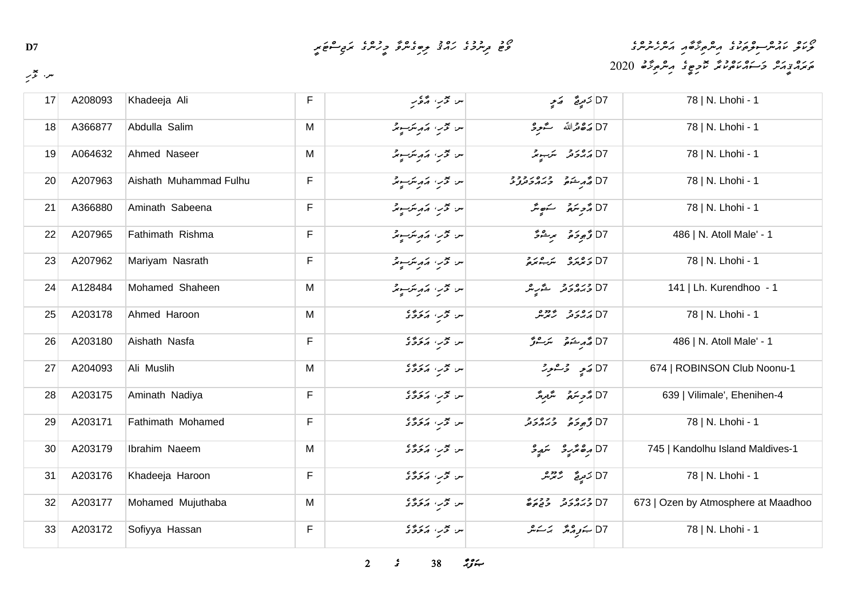*sCw7q7s5w7m< o<n9nOoAw7o< sCq;mAwBoEw7q<m; wBm;vB* م من المرة المرة المرة المرجع المرجع في المركبة 2020<br>مجم*د المريض المربوط المربع المرجع في المراجع المركبة* 

| 17 | A208093 | Khadeeja Ali           | F            | ملاء مخرس ومحتجز به              | D7 كَتَمِيعٌ - مَتَمٍ _                        | 78   N. Lhohi - 1                   |
|----|---------|------------------------|--------------|----------------------------------|------------------------------------------------|-------------------------------------|
| 18 | A366877 | Abdulla Salim          | M            | ساعي مهر مترسومه                 | D7 مَەمْراللە سەمەد                            | 78   N. Lhohi - 1                   |
| 19 | A064632 | Ahmed Naseer           | M            | اللا المحمراء الكرملكسومر        | D7 <i>גלב</i> יל, "יתו-יביל                    | 78   N. Lhohi - 1                   |
| 20 | A207963 | Aishath Muhammad Fulhu | $\mathsf F$  | س بيمر، مُدِينَ يَمْر            | D7 مەم شەھ ھەدەر دود                           | 78   N. Lhohi - 1                   |
| 21 | A366880 | Aminath Sabeena        | $\mathsf F$  | اللا المحمراء الكرملكر سيعمر     | D7 مُجِسَعُ سَصِيَّر                           | 78   N. Lhohi - 1                   |
| 22 | A207965 | Fathimath Rishma       | F            | من عن الكهر مكر سوير             | D7 <i>وَّجِوَدَة</i> بِرِسْدَةَ                | 486   N. Atoll Male' - 1            |
| 23 | A207962 | Mariyam Nasrath        | $\mathsf F$  | من على، مكر مكر سومر             | D7 <i>ۇيۇدۇ بىر مەيدى</i> ر                    | 78   N. Lhohi - 1                   |
| 24 | A128484 | Mohamed Shaheen        | M            | اللا المحمراء الكرملكر سيعمر     | D7 <i>وُبَرُوْدَوْ</i> _ شَرِسْ                | 141   Lh. Kurendhoo - 1             |
| 25 | A203178 | Ahmed Haroon           | M            | س میں پروی                       | D7 <i>كەنجى ئۇ ئۇنى</i> ر                      | 78   N. Lhohi - 1                   |
| 26 | A203180 | Aishath Nasfa          | $\mathsf{F}$ | س تخرير و بر بر بر بر بر بر بر ا | D7 مەم ئىشقى سىرسىمۇ                           | 486   N. Atoll Male' - 1            |
| 27 | A204093 | Ali Muslih             | M            | س میں پروی                       | D7 كەير - ئ <i>ەشەر</i> 2                      | 674   ROBINSON Club Noonu-1         |
| 28 | A203175 | Aminath Nadiya         | $\mathsf{F}$ | س میں پروژہ                      | D7 مَّ <i>جِ سَمَّة مَّ</i> سَ <i>ّرْمَ مَ</i> | 639   Vilimale', Ehenihen-4         |
| 29 | A203171 | Fathimath Mohamed      | $\mathsf F$  | س تخرير و بروسي                  | D7 تُهوِدَهُ فَ <i>حِدُودُ</i>                 | 78   N. Lhohi - 1                   |
| 30 | A203179 | Ibrahim Naeem          | M            | س محمر، مُتَرَوْى                | D7 مەھ <i>ئۇر</i> ئىس ئىم ئى                   | 745   Kandolhu Island Maldives-1    |
| 31 | A203176 | Khadeeja Haroon        | $\mathsf F$  | س میں پروی                       | D7 كَتَمَتِيعٌ مُتَمَسِّرٌ مُنْ                | 78   N. Lhohi - 1                   |
| 32 | A203177 | Mohamed Mujuthaba      | M            | س می روده                        | $6992$ $2202$                                  | 673   Ozen by Atmosphere at Maadhoo |
| 33 | A203172 | Sofiyya Hassan         | F            | س محر، رَئِزُهُ م                | D7 ج <i>نو ۾ ٿڻ پر ش</i> هر                    | 78   N. Lhohi - 1                   |

**2** *s* **38** *n***<sub>y</sub> <b>***n*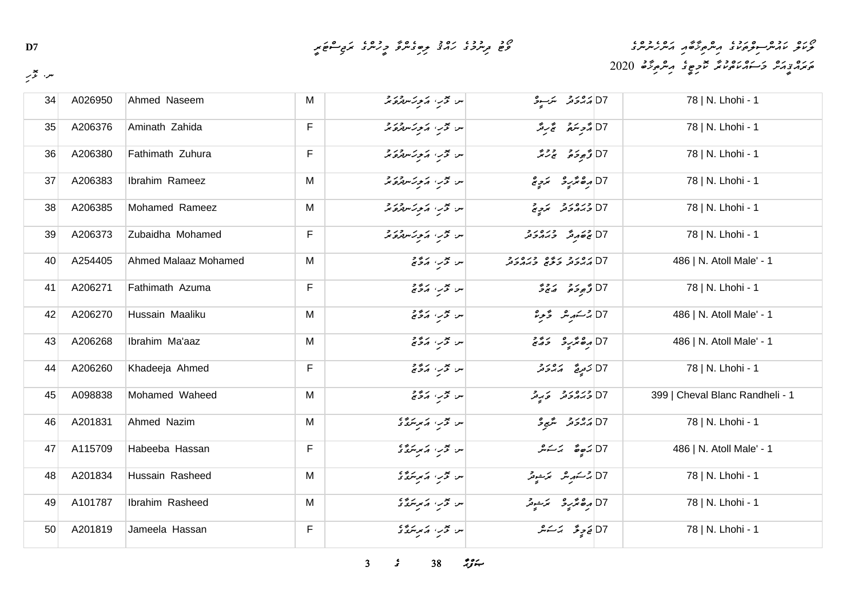*sCw7q7s5w7m< o<n9nOoAw7o< sCq;mAwBoEw7q<m; wBm;vB* م من المرة المرة المرة المرجع المرجع في المركبة 2020<br>مجم*د المريض المربوط المربع المرجع في المراجع المركبة* 

| 34 | A026950 | Ahmed Naseem         | M           | من عرب أيجر مستقرة من       | D7 <i>222 مَرْسِوط</i>                                                                                                 | 78   N. Lhohi - 1               |
|----|---------|----------------------|-------------|-----------------------------|------------------------------------------------------------------------------------------------------------------------|---------------------------------|
| 35 | A206376 | Aminath Zahida       | F           | من عي، مَعِرَ سِعْرَةَ مِنْ | D7 مُج سَمَعُ مَحَ سِعَّ <i>ر</i>                                                                                      | 78   N. Lhohi - 1               |
| 36 | A206380 | Fathimath Zuhura     | F           | س ترب مجر شور سرفر و د      | D7 <i>وَّجِ دَ جَيْ جُ</i>                                                                                             | 78   N. Lhohi - 1               |
| 37 | A206383 | Ibrahim Rameez       | M           | من تخريا أكر وكالمعدود و    | D7 م <i>وھنڙپ</i> و نمر <sub>چ</sub> ي                                                                                 | 78   N. Lhohi - 1               |
| 38 | A206385 | Mohamed Rameez       | M           | س ترب متوسكرونده            | D7 <i>\$ ئەۋدىق بىردى</i>                                                                                              | 78   N. Lhohi - 1               |
| 39 | A206373 | Zubaidha Mohamed     | F           | ساعي، رئبور سورة و          | D7 <i>تحقوقر محتمد ح</i> قر                                                                                            | 78   N. Lhohi - 1               |
| 40 | A254405 | Ahmed Malaaz Mohamed | M           | مراجع براء المركز حج        | D7 ג'ליל כיש כממכת                                                                                                     | 486   N. Atoll Male' - 1        |
| 41 | A206271 | Fathimath Azuma      | F           | س می رکوم                   | D7 <i>وَّجِ حَقَّ مَی حَ</i>                                                                                           | 78   N. Lhohi - 1               |
| 42 | A206270 | Hussain Maaliku      | M           | س عرب رَبُوم                | D7 پر <i>ڪبر بنگ تر</i> مون <i>گ</i>                                                                                   | 486   N. Atoll Male' - 1        |
| 43 | A206268 | Ibrahim Ma'aaz       | M           | مراجع بر أمراضي             | D7 مەھمىر ئەمدىنى P7                                                                                                   | 486   N. Atoll Male' - 1        |
| 44 | A206260 | Khadeeja Ahmed       | $\mathsf F$ | س می رود                    | D7 كَتْمِيعٌ مَدْ دَمْرٌ مَمْ                                                                                          | 78   N. Lhohi - 1               |
| 45 | A098838 | Mohamed Waheed       | M           | مراجيمي، وكرمجيح            | D7 <i>وُبَرُوْدَوْ وَبِ</i> رِثْرَ                                                                                     | 399   Cheval Blanc Randheli - 1 |
| 46 | A201831 | Ahmed Nazim          | M           | س می رسم بر                 | D7 <i>مَدْدُوَنْھَ</i> مُرَىمٍ وَ                                                                                      | 78   N. Lhohi - 1               |
| 47 | A115709 | Habeeba Hassan       | F           | س می بر برسر                | D7 يَہِ صَبَ يَرْ سَمَّرْ                                                                                              | 486   N. Atoll Male' - 1        |
| 48 | A201834 | Hussain Rasheed      | M           | س می کرد میں                | D7 پرڪ <i>مبرنگر - مرڪونگر</i>                                                                                         | 78   N. Lhohi - 1               |
| 49 | A101787 | Ibrahim Rasheed      | M           | س تيمب المعر يتميم بي       | D7 مەھە <i>نگى</i> ر ئىسىمىسى قىلىنىش ئىشتى ئىشتى ئىشتى ئىشتى ئىشتى ئىشتى ئىشتى ئىشتى ئىشتى ئىشتى ئىشتى ئىشتى ئىشتى ئى | 78   N. Lhohi - 1               |
| 50 | A201819 | Jameela Hassan       | F           | مناعي المبرسمة              | D7 ك <sub>ى جو</sub> نۇ بەسكىلى                                                                                        | 78   N. Lhohi - 1               |

**3 38** *n***<sub>y</sub>** *38* **<b>***n***<sub>y</sub>** *n*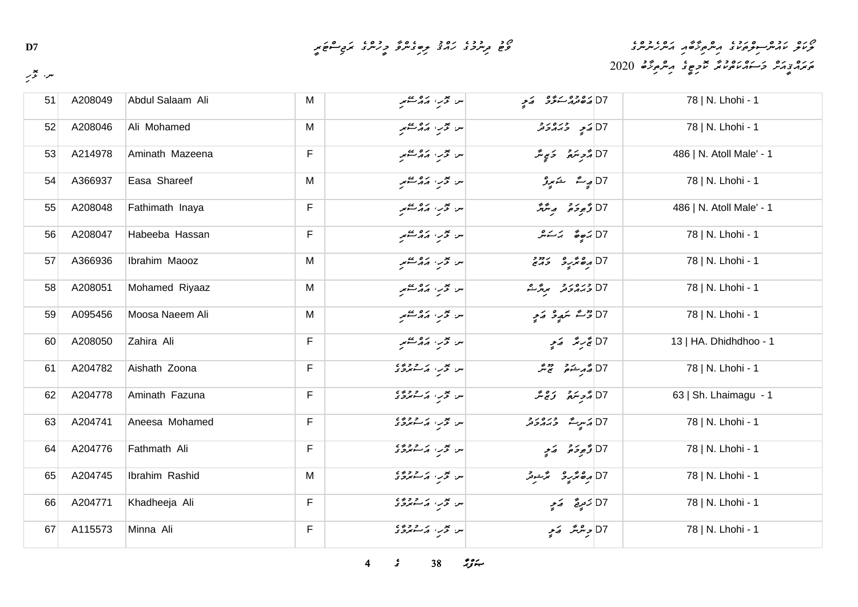*sCw7q7s5w7m< o<n9nOoAw7o< sCq;mAwBoEw7q<m; wBm;vB* م من المرة المرة المرة المرجع المرجع في المركبة 2020<br>مجم*د المريض المربوط المربع المرجع في المراجع المركبة* 

| 51 | A208049 | Abdul Salaam Ali | M           | س عمر، مەم ئىمبر      | D7 <i>چەترە سۇۋەھى</i> چ            | 78   N. Lhohi - 1        |
|----|---------|------------------|-------------|-----------------------|-------------------------------------|--------------------------|
| 52 | A208046 | Ali Mohamed      | M           | س عمر المكان المستعبر | D7 <i>مَجِ حَبَدُو</i> تر           | 78   N. Lhohi - 1        |
| 53 | A214978 | Aminath Mazeena  | $\mathsf F$ | س عمر المكان المصر    | D7 مُتَصِبَعُوا حَيِيثَتَ           | 486   N. Atoll Male' - 1 |
| 54 | A366937 | Easa Shareef     | M           | س عمر المرواعة        | D7 موسٹر خنہور ج                    | 78   N. Lhohi - 1        |
| 55 | A208048 | Fathimath Inaya  | F           | س عمر، مەم ئىمبر      | D7 ۇ <sub>جو</sub> رۇ مەش <i>ۇ</i>  | 486   N. Atoll Male' - 1 |
| 56 | A208047 | Habeeba Hassan   | F           | س عرب الارهبي         | D7 يَهِ صَبَ يَسَمَّر               | 78   N. Lhohi - 1        |
| 57 | A366936 | Ibrahim Maooz    | M           | س عمر المرواعي        | D7 مەھمىر ئەدە دەم                  | 78   N. Lhohi - 1        |
| 58 | A208051 | Mohamed Riyaaz   | M           | س عمر المكان علي      | D7 <i>\$ ئەۋى قى</i> ر مىز مىتى     | 78   N. Lhohi - 1        |
| 59 | A095456 | Moosa Naeem Ali  | M           | س عمر المكان المصر    | D7 جُ مَيْ مَدِءُ   مَرْمٍ          | 78   N. Lhohi - 1        |
| 60 | A208050 | Zahira Ali       | F           | س محرب الماله عصوبه   | D7 تج سِتَمَد صَعِي <i>ّ</i>        | 13   HA. Dhidhdhoo - 1   |
| 61 | A204782 | Aishath Zoona    | F           | س بيمر، كەستەپرولا    | D7 مەم يىنىم ئىچ ئىگر               | 78   N. Lhohi - 1        |
| 62 | A204778 | Aminath Fazuna   | F           | س نیمر، برگ دور       | D7 مَّ <i>جِ سَع</i> ْهُ وَجْ سَّرَ | 63   Sh. Lhaimagu - 1    |
| 63 | A204741 | Aneesa Mohamed   | $\mathsf F$ | س تور، برگ دور        | D7 كەسمىگە ئەممەكەتتىر              | 78   N. Lhohi - 1        |
| 64 | A204776 | Fathmath Ali     | F           | س علي، مُرتوروه       | D7 <i>وُّجوحَ</i> هُمَ صَمَّحٍ      | 78   N. Lhohi - 1        |
| 65 | A204745 | Ibrahim Rashid   | M           | س بيمر، برگە برور     | D7 م <i>وھ مگرچ</i> مگشومگر         | 78   N. Lhohi - 1        |
| 66 | A204771 | Khadheeja Ali    | F           | س تور، برگتروی        | D7 كَتْمِيعٌ – مَدْمٍ –             | 78   N. Lhohi - 1        |
| 67 | A115573 | Minna Ali        | F           | س محمر، مرتبع وه وه   | D7 <sub>حي</sub> شرنگ ڪيمير         | 78   N. Lhohi - 1        |

*4 s* 38 *i*<sub>Si</sub>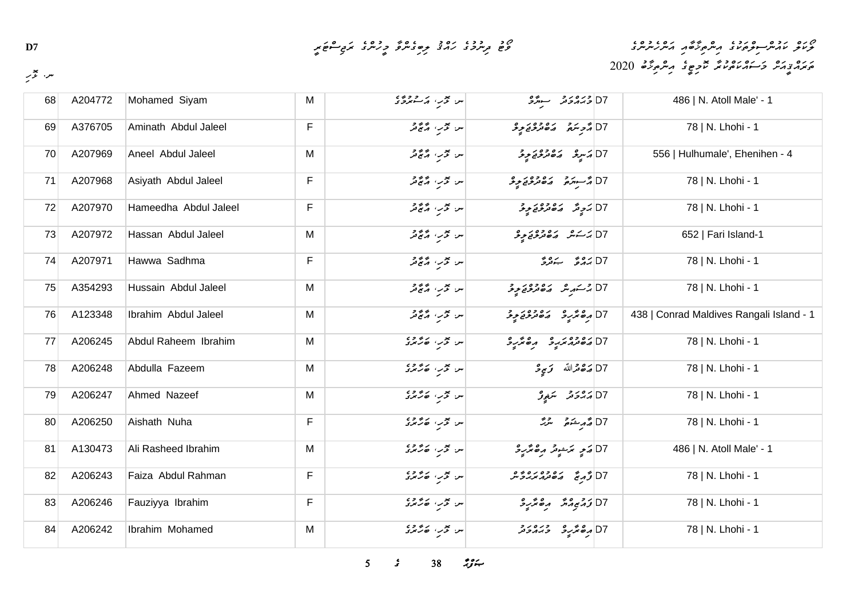*sCw7q7s5w7m< o<n9nOoAw7o< sCq;mAwBoEw7q<m; wBm;vB* م من المرة المرة المرة المرجع المرجع في المركبة 2020<br>مجم*د المريض المربوط المربع المرجع في المراجع المركبة* 

| 68 | A204772 | Mohamed Siyam         | M           | س عمر، مرتبع دور       | D7 <i>\$ 2,22 بِهِ قُرْ</i> دً                                  | 486   N. Atoll Male' - 1                 |
|----|---------|-----------------------|-------------|------------------------|-----------------------------------------------------------------|------------------------------------------|
| 69 | A376705 | Aminath Abdul Jaleel  | F           | س می شود.              | D7 <i>مُّجِسَعُ مُ</i> ھت <i>روفوَ ج</i> ِوْ                    | 78   N. Lhohi - 1                        |
| 70 | A207969 | Aneel Abdul Jaleel    | M           | س می شمیر استفاده      | D7 كەسرى ھەھەرى <i>قىرى ب</i> و                                 | 556   Hulhumale', Ehenihen - 4           |
| 71 | A207968 | Asiyath Abdul Jaleel  | $\mathsf F$ | س می شود.              | D7 جُسِيرَة حَقَّ جَوْجَرِ جَمَعَ جَمِعَ                        | 78   N. Lhohi - 1                        |
| 72 | A207970 | Hameedha Abdul Jaleel | $\mathsf F$ | من محمد بالمحمد المحمد | D7 يَر <sub>وِ</sub> تَرُ <i>مَنْ قَرْؤُجَ وِ</i> وْ            | 78   N. Lhohi - 1                        |
| 73 | A207972 | Hassan Abdul Jaleel   | M           | مراجع ب/ ومحمد قر      | D7 ئەسەمىر مەھەردى ب <sub>و</sub> ر                             | 652   Fari Island-1                      |
| 74 | A207971 | Hawwa Sadhma          | F           | مراجع ب/ ومحمد قر      | D7 بَرْدُوَّ سِک <sup>و</sup> دُّ                               | 78   N. Lhohi - 1                        |
| 75 | A354293 | Hussain Abdul Jaleel  | M           | مراجع ب/ ومحمد قر      | D7 يُرْسَمَ بِيْنِ مِنْ مِنْ قَوْمِ مِنْ قَرْبِيَ مِنْ قَرْبِيَ | 78   N. Lhohi - 1                        |
| 76 | A123348 | Ibrahim Abdul Jaleel  | M           | س می شود.              | D7 مەھمەر ئەھەردە دور                                           | 438   Conrad Maldives Rangali Island - 1 |
| 77 | A206245 | Abdul Raheem Ibrahim  | M           | س تور، ځاروي           | D7 בטור בין פי הפיליקיב                                         | 78   N. Lhohi - 1                        |
| 78 | A206248 | Abdulla Fazeem        | M           | س تیم، کاربرد          | D7 مَەھىراللە ئ <sub>ى ئ</sub> ور                               | 78   N. Lhohi - 1                        |
| 79 | A206247 | Ahmed Nazeef          | M           | س میں کاربرد           |                                                                 | 78   N. Lhohi - 1                        |
| 80 | A206250 | Aishath Nuha          | F           | س تور، ځار ده          | D7 <i>مەم شىمى</i> مىرگ                                         | 78   N. Lhohi - 1                        |
| 81 | A130473 | Ali Rasheed Ibrahim   | M           | للاستخرير كالرحوى      | D7  مَرِ بِرَحْمِهُ ر <i>ِهْ بَرْرِ</i> دُ                      | 486   N. Atoll Male' - 1                 |
| 82 | A206243 | Faiza Abdul Rahman    | F           | من محرب كالرحوم        | D7 ژَمِعُ مُصْرَمْ مُرْمَّدَة مَرْ                              | 78   N. Lhohi - 1                        |
| 83 | A206246 | Fauziyya Ibrahim      | $\mathsf F$ | اس می به کارگری        | D7 <i>ۆمىنى مۇر مەمگى</i> رۇ                                    | 78   N. Lhohi - 1                        |
| 84 | A206242 | Ibrahim Mohamed       | M           | س میں کاربردی          | D7 مەھمگىرى ئەممەدىر<br>D7                                      | 78   N. Lhohi - 1                        |

*5 sC 38 nNw?mS*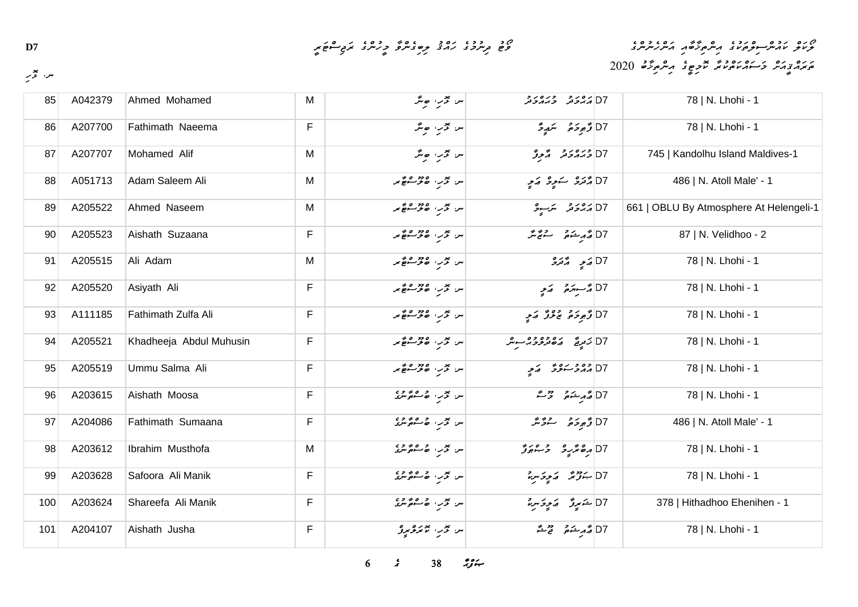*sCw7q7s5w7m< o<n9nOoAw7o< sCq;mAwBoEw7q<m; wBm;vB* م من المرة المرة المرة المرجع المرجع في المركبة 2020<br>مجم*د المريض المربوط المربع المرجع في المراجع المركبة* 

| 85  | A042379 | Ahmed Mohamed           | M            | میں محمد، جانگر     | D7 <i>גُرُونَو وَبُرُونُو</i>                   | 78   N. Lhohi - 1                       |
|-----|---------|-------------------------|--------------|---------------------|-------------------------------------------------|-----------------------------------------|
| 86  | A207700 | Fathimath Naeema        | $\mathsf F$  | س تژب ھیڈ           | D7 <i>وَّجِ دَمْ سَمِي</i> دً                   | 78   N. Lhohi - 1                       |
| 87  | A207707 | Mohamed Alif            | M            | س میں جگہ           | D7 <i>جُهُدُوَنْ مُنْ وِ</i> وْ                 | 745   Kandolhu Island Maldives-1        |
| 88  | A051713 | Adam Saleem Ali         | M            | س تخر، صور مصر      | D7   گەنىرى سەم <sub>و</sub> ى كەم              | 486   N. Atoll Male' - 1                |
| 89  | A205522 | Ahmed Naseem            | M            | من عمر، صور عظيمه   | D7 <i>252.5 مَرْسِيو</i>                        | 661   OBLU By Atmosphere At Helengeli-1 |
| 90  | A205523 | Aishath Suzaana         | $\mathsf{F}$ | س عرب معرض مع       | D7 مۇم ئىقمۇ سىزىنى ئىگە                        | 87   N. Velidhoo - 2                    |
| 91  | A205515 | Ali Adam                | M            | س تور، ھوسوچر       | D7 <i>جَرِي جُ</i> تر <i>ة</i>                  | 78   N. Lhohi - 1                       |
| 92  | A205520 | Asiyath Ali             | F            | س تخريا 2010 مير    | D7 م <i>جھ صو</i>                               | 78   N. Lhohi - 1                       |
| 93  | A111185 | Fathimath Zulfa Ali     | $\mathsf{F}$ | س عرب معرض مع       | D7 <i>وَّجِوَدَةُ</i> گُورُّ مَر <sub>ْحِ</sub> | 78   N. Lhohi - 1                       |
| 94  | A205521 | Khadheeja Abdul Muhusin | $\mathsf F$  | س تمر، معرضه م      | D7 <i>ذَمِيعٌ حَقَّة وَمُحَمَّدُ سِ</i> مَّدُ   | 78   N. Lhohi - 1                       |
| 95  | A205519 | Ummu Salma Ali          | $\mathsf{F}$ | س تخر، صور مصر      | D7 <i>جەج شۇڭ ھې</i>                            | 78   N. Lhohi - 1                       |
| 96  | A203615 | Aishath Moosa           | F            | س تخر، صحيح ده.     | D7 مُ مِــَـمُ وَ حَـَّـَ                       | 78   N. Lhohi - 1                       |
| 97  | A204086 | Fathimath Sumaana       | $\mathsf F$  | س تخر، صحيح ده.     | D7 <i>وَّجوحَ</i> ۾ سُجُسَّر                    | 486   N. Atoll Male' - 1                |
| 98  | A203612 | Ibrahim Musthofa        | M            | س تور، ھسوھيون      | D7 رەئمرو ئەبەر                                 | 78   N. Lhohi - 1                       |
| 99  | A203628 | Safoora Ali Manik       | $\mathsf{F}$ | س تور، ھسوسر        | D7 سۆزىگە ھەمەمەتلىرىم                          | 78   N. Lhohi - 1                       |
| 100 | A203624 | Shareefa Ali Manik      | $\mathsf F$  | س تور، ھەمدى        | D7 ڪمبرو <i>گ مکو خ</i> سرم                     | 378   Hithadhoo Ehenihen - 1            |
| 101 | A204107 | Aishath Jusha           | $\mathsf F$  | مين عمر العمر فريرو | D7 مُرمِسْمَعُ تَحْمَدُّ                        | 78   N. Lhohi - 1                       |

*6 sC 38 nNw?mS*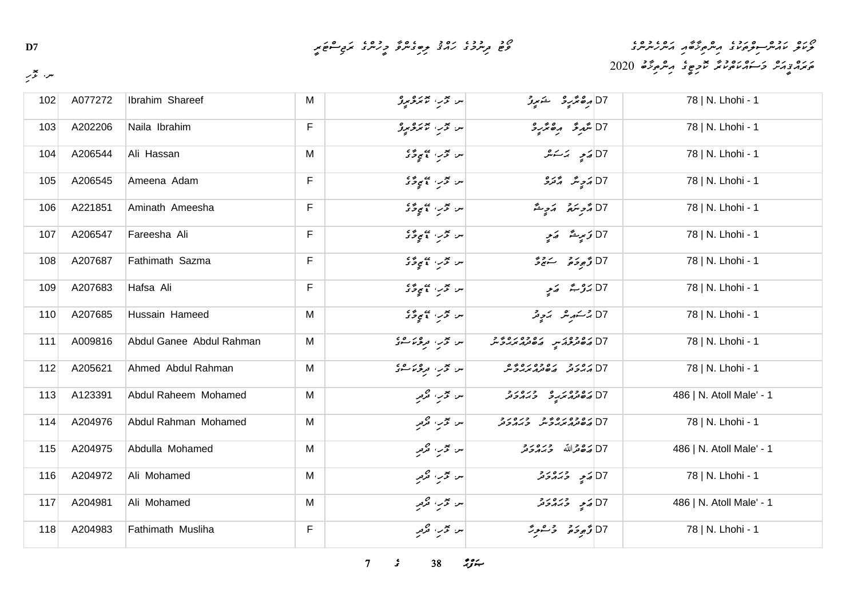*sCw7q7s5w7m< o<n9nOoAw7o< sCq;mAwBoEw7q<m; wBm;vB* م من المرة المرة المرة المرجع المرجع في المركبة 2020<br>مجم*د المريض المربوط المربع المرجع في المراجع المركبة* 

| 102 | A077272 | Ibrahim Shareef          | M           | س بير، بيمروبرو                                                                                                               | D7 ب <i>ر&amp;ټرْرِ \$ مَدَبِرِدْ</i>                            | 78   N. Lhohi - 1        |
|-----|---------|--------------------------|-------------|-------------------------------------------------------------------------------------------------------------------------------|------------------------------------------------------------------|--------------------------|
| 103 | A202206 | Naila Ibrahim            | F           | س نۇپ ئوترى يول                                                                                                               |                                                                  | 78   N. Lhohi - 1        |
| 104 | A206544 | Ali Hassan               | M           | س مور، ۽ موري                                                                                                                 | D7 <i>ڇَجِ - پَٽَنَنَ</i>                                        | 78   N. Lhohi - 1        |
| 105 | A206545 | Ameena Adam              | $\mathsf F$ | س ترس ۽ سي پري                                                                                                                | D7 <i>مَجِسَّد مُعَرَ</i> دُ                                     | 78   N. Lhohi - 1        |
| 106 | A221851 | Aminath Ameesha          | F           | س ترس عميرة و                                                                                                                 | D7 مَّحِسَمَةٌ مَجِيشَّةٌ                                        | 78   N. Lhohi - 1        |
| 107 | A206547 | Fareesha Ali             | F           | $\left  \begin{array}{cc} \mathbf{y} & \mathbf{y} & \mathbf{y} \\ \mathbf{y} & \mathbf{y} & \mathbf{y} \end{array} \right $ س | D7 ترىرىش كەي <sub>چ</sub>                                       | 78   N. Lhohi - 1        |
| 108 | A207687 | Fathimath Sazma          | F           | س ترس ۽ مبرو ۽                                                                                                                | D7 زَّجِ دَمَ صَبِحْرَ                                           | 78   N. Lhohi - 1        |
| 109 | A207683 | Hafsa Ali                | F           | س ترب ۽ سپاڻو                                                                                                                 | D7 ټر <sup>و</sup> بگ ټرمو                                       | 78   N. Lhohi - 1        |
| 110 | A207685 | Hussain Hameed           | M           | س ترس تي چوڭ                                                                                                                  | D7 پرستمبر پر بر پر پر                                           | 78   N. Lhohi - 1        |
| 111 | A009816 | Abdul Ganee Abdul Rahman | M           | س ترب مرون من                                                                                                                 | 7020707 - 20207 - 2020<br>D7 הפניכה ת הפנה גביל                  | 78   N. Lhohi - 1        |
| 112 | A205621 | Ahmed Abdul Rahman       | M           | س بيمر، مرثوما سوء                                                                                                            | D7 <i>היכני הפנה היכל</i> ת                                      | 78   N. Lhohi - 1        |
| 113 | A123391 | Abdul Raheem Mohamed     | M           | س بيحر، فرمرِ                                                                                                                 | D7 בפרנג'ק כמהכת                                                 | 486   N. Atoll Male' - 1 |
| 114 | A204976 | Abdul Rahman Mohamed     | M           | سن محرب محرمر                                                                                                                 | D7 <i>בפיפי פיפי פיפי</i> פיר                                    | 78   N. Lhohi - 1        |
| 115 | A204975 | Abdulla Mohamed          | M           | س محر، فرمر                                                                                                                   | D7 مَەھْرَاللە دېرونر                                            | 486   N. Atoll Male' - 1 |
| 116 | A204972 | Ali Mohamed              | M           | س محر، فرمر                                                                                                                   | D7  كەي ئەممى ئەرىكىسى بىر 19 كىلىر بىر 19 كىلىر 19 كىلىر 19 كىل | 78   N. Lhohi - 1        |
| 117 | A204981 | Ali Mohamed              | M           | س محر، فرمر                                                                                                                   | D7 <i>جَرِ وَبَهُ وَوَ</i>                                       | 486   N. Atoll Male' - 1 |
| 118 | A204983 | Fathimath Musliha        | F           | س محر، فرمر                                                                                                                   | D7 ۇ <sub>ج</sub> وڭ ئ <sup>ى</sup> شو <i>ر</i> گ                | 78   N. Lhohi - 1        |

*7 sC 38 nNw?mS*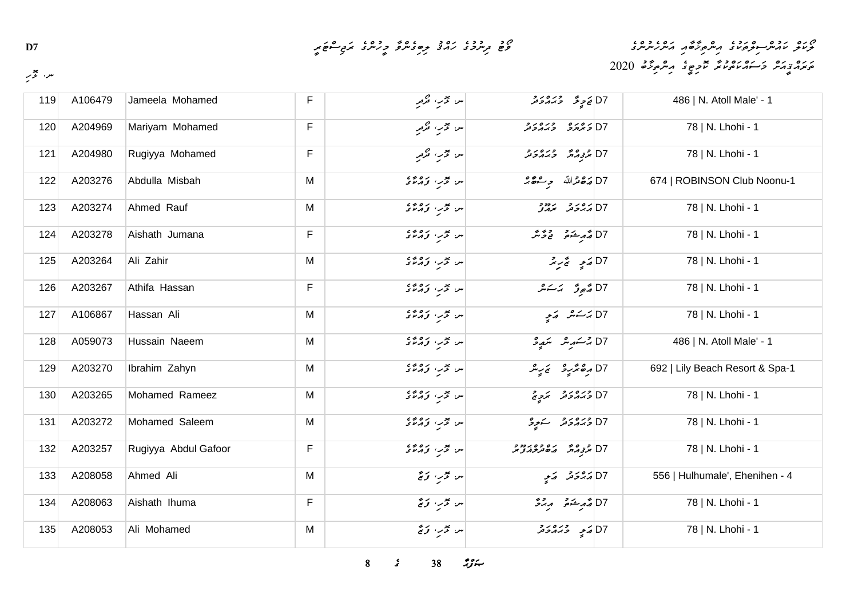*sCw7q7s5w7m< o<n9nOoAw7o< sCq;mAwBoEw7q<m; wBm;vB* م من المرة المرة المرة المرجع المرجع في المركبة 2020<br>مجم*د المريض المربوط المربع المرجع في المراجع المركبة* 

| 119 | A106479 | Jameela Mohamed      | F           | س محر، فرمر         | D7 <i>في حي حيد وج</i> و            | 486   N. Atoll Male' - 1        |
|-----|---------|----------------------|-------------|---------------------|-------------------------------------|---------------------------------|
| 120 | A204969 | Mariyam Mohamed      | F           | س محر، فرمر         | D7 <i>בُ בְּה כְּבָה בְּ</i> ב      | 78   N. Lhohi - 1               |
| 121 | A204980 | Rugiyya Mohamed      | F           | س محر، حمير         | D7 تر <i>ې مخې د مخ</i> رم د د      | 78   N. Lhohi - 1               |
| 122 | A203276 | Abdulla Misbah       | M           | س میں وُمُنامی      | $282 - 5$ $\sqrt{222}$ D7           | 674   ROBINSON Club Noonu-1     |
| 123 | A203274 | Ahmed Rauf           | M           | س تی وه ده          | D7 <i>ה</i> ככ <i>היה</i> ל         | 78   N. Lhohi - 1               |
| 124 | A203278 | Aishath Jumana       | F           | س تی وه ده          | D7 مَّ مِشَمَّ فِی مََّ مَّر        | 78   N. Lhohi - 1               |
| 125 | A203264 | Ali Zahir            | M           | س تخريب تەملىمى     | D7 <i>ھَجِ</i> گُرىمَ               | 78   N. Lhohi - 1               |
| 126 | A203267 | Athifa Hassan        | F           | س بيمب وُمنع        | D7 <i>ھُوڻ پرڪش</i>                 | 78   N. Lhohi - 1               |
| 127 | A106867 | Hassan Ali           | M           | س تخريب تەملىمى     | D7 ير <i>سک چې</i>                  | 78   N. Lhohi - 1               |
| 128 | A059073 | Hussain Naeem        | M           | س تخريا تەملات      | D7 پر <i>کمبر بل سکھ</i> یے         | 486   N. Atoll Male' - 1        |
| 129 | A203270 | Ibrahim Zahyn        | M           | بين بيمر، وَمَنْ وَ | D7 <sub>م</sub> ەمگەر كىم كىرىش     | 692   Lily Beach Resort & Spa-1 |
| 130 | A203265 | Mohamed Rameez       | M           | س بيمب تەملى        | D7 <i>\$نەۋۇقى بۇي<sup>ى</sup></i>  | 78   N. Lhohi - 1               |
| 131 | A203272 | Mohamed Saleem       | M           | س تخريب تەملىمى     | D7 <i>\$22.3 مكو</i> د              | 78   N. Lhohi - 1               |
| 132 | A203257 | Rugiyya Abdul Gafoor | F           | س بيمر، تەملى       | D7 تر <i>ې ده چې د ده وه د دو و</i> | 78   N. Lhohi - 1               |
| 133 | A208058 | Ahmed Ali            | M           | س میں دیج           | D7 <i>ټرې ترې</i>                   | 556   Hulhumale', Ehenihen - 4  |
| 134 | A208063 | Aishath Ihuma        | $\mathsf F$ | س میں دیج           | D7 مُمبِّسْمَعُ مِكْرً              | 78   N. Lhohi - 1               |
| 135 | A208053 | Ali Mohamed          | M           | س محر، وَجَ         | D7 <i>مَجِ حُجُمْحَةً</i>           | 78   N. Lhohi - 1               |

**8** *s* **38** *n***<sub>y</sub> <b>***s*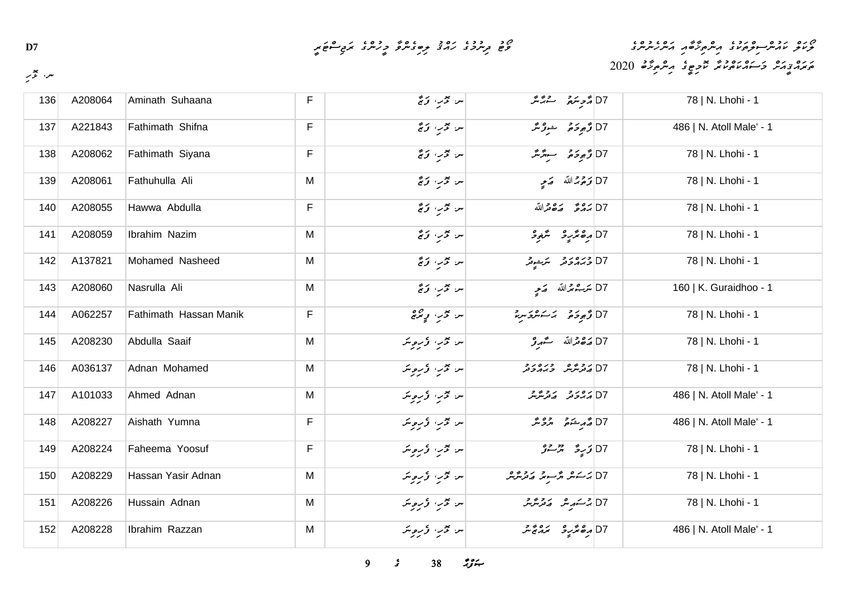*sCw7q7s5w7m< o<n9nOoAw7o< sCq;mAwBoEw7q<m; wBm;vB* م من المرة المرة المرة المرجع المرجع في المركبة 2020<br>مجم*د المريض المربوط المربع المرجع في المراجع المركبة* 

| 136 | A208064 | Aminath Suhaana        | $\mathsf F$  | س بيمب کانچ        | D7 مَّ مِ سَمَّ مَّ سَمَّة سَمَّ           | 78   N. Lhohi - 1        |
|-----|---------|------------------------|--------------|--------------------|--------------------------------------------|--------------------------|
| 137 | A221843 | Fathimath Shifna       | F            | اس محرب أوتج       | D7 تۇ <sub>جو</sub> خۇ شورىگە              | 486   N. Atoll Male' - 1 |
| 138 | A208062 | Fathimath Siyana       | $\mathsf F$  | اس محر، وَجَ       | D7 ۇ <sub>جو</sub> رَمْ سِي <i>رْ</i> تْر  | 78   N. Lhohi - 1        |
| 139 | A208061 | Fathuhulla Ali         | M            | اس محر، وَجَ       | D7 <i>قرة ج</i> -الله ك <i>م</i> َ مح      | 78   N. Lhohi - 1        |
| 140 | A208055 | Hawwa Abdulla          | F            | س میں دیج          | D7 <i>بَدْهُ فَي هُ</i> قْدَاللّه          | 78   N. Lhohi - 1        |
| 141 | A208059 | Ibrahim Nazim          | M            | س بيمب کانچ        | D7 مەھە <i>تگە بىر ئىتمەن</i> تى           | 78   N. Lhohi - 1        |
| 142 | A137821 | Mohamed Nasheed        | M            | اس نیمر، دُنج      | D7 <i>ۇنزۇ كۇ سى</i> ئون <i>ۇ</i>          | 78   N. Lhohi - 1        |
| 143 | A208060 | Nasrulla Ali           | M            | اللا تخريا أوْنَجْ | D7 سَرَبْہْ مَرْاللّہ صَعِ                 | 160   K. Guraidhoo - 1   |
| 144 | A062257 | Fathimath Hassan Manik | $\mathsf F$  | سن مجيمي، ويحتفي   | D7 <i>وَّجِعْهُمْ بْهَ سَنَعْهُ مِينَا</i> | 78   N. Lhohi - 1        |
| 145 | A208230 | Abdulla Saaif          | M            | س میں کی موسکہ     | D7 مَەقْرَاللە شەر <i>ۇ</i>                | 78   N. Lhohi - 1        |
| 146 | A036137 | Adnan Mohamed          | M            | مين محي، وكربونتر  | D7 كەنگەنگەر <i>قىدە دەرە</i>              | 78   N. Lhohi - 1        |
| 147 | A101033 | Ahmed Adnan            | M            | س مي. ويرويتر      | D7 <i>كەندى قىلى كەنتى بىر</i>             | 486   N. Atoll Male' - 1 |
| 148 | A208227 | Aishath Yumna          | $\mathsf F$  | س بيمر، وكرويتر    | D7 م <i>ەم شەم مەدىگ</i> ە                 | 486   N. Atoll Male' - 1 |
| 149 | A208224 | Faheema Yoosuf         | $\mathsf{F}$ | س میں کارونکہ      | D7 كۆپەنتى ئە <i>لاشتۇ</i>                 | 78   N. Lhohi - 1        |
| 150 | A208229 | Hassan Yasir Adnan     | M            | س میں ویرونکہ      | D7 ئەسەمگە م <i>ەڭرىمە ھەقەتت</i> رىشە     | 78   N. Lhohi - 1        |
| 151 | A208226 | Hussain Adnan          | M            | س میں ڈرونڈ        | D7 يُرْسَمَ مِنْ مَا مِرْسَّرْسْرَ         | 78   N. Lhohi - 1        |
| 152 | A208228 | Ibrahim Razzan         | M            | ساعي، وكرويئر      | D7 مەھم <i>گىرى بىرمۇ</i> م                | 486   N. Atoll Male' - 1 |

*9 s* 38 *i*<sub>S</sub>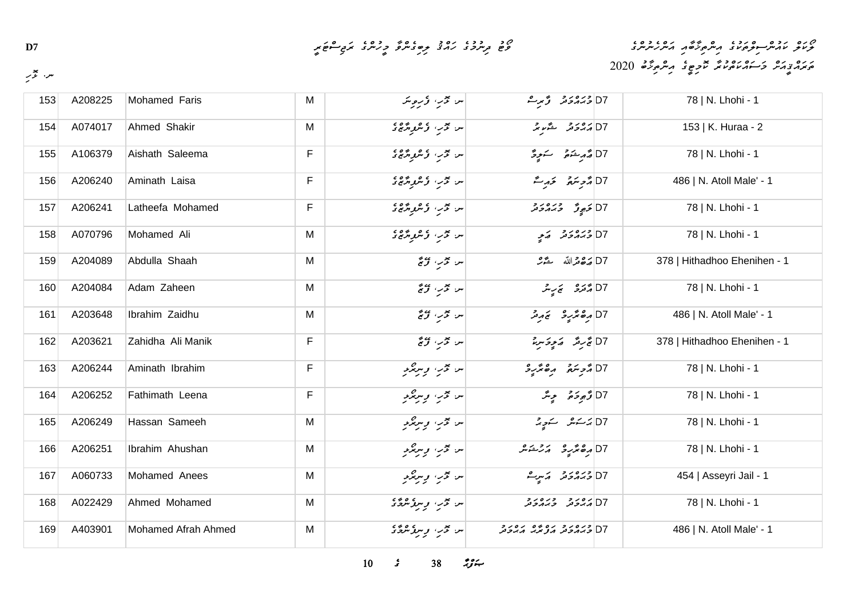*sCw7q7s5w7m< o<n9nOoAw7o< sCq;mAwBoEw7q<m; wBm;vB* م من المرة المرة المرة المرجع المرجع في المركبة 2020<br>مجم*د المريض المربوط المربع المرجع في المراجع المركبة* 

| 153 | A208225 | Mohamed Faris       | M            | مين محيريا كورويتر       | D7 <i>ۇنەۋەتى ۋىر</i>                       | 78   N. Lhohi - 1            |
|-----|---------|---------------------|--------------|--------------------------|---------------------------------------------|------------------------------|
| 154 | A074017 | Ahmed Shakir        | M            | س نژب ژنگر پره د         | D7 كەبرى ئىقرىقى ئىقتىن ئىقتىن ئىقتا        | 153   K. Huraa - 2           |
| 155 | A106379 | Aishath Saleema     | $\mathsf F$  | س بيمر، وكروميوه         | D7 مَّ مِشَمَّ سَوِدًّ                      | 78   N. Lhohi - 1            |
| 156 | A206240 | Aminath Laisa       | F            | س نیمر، ویرویز ده د      | D7 مَّحِبَّمَةٌ مَجَمَّدٍ مَّ               | 486   N. Atoll Male' - 1     |
| 157 | A206241 | Latheefa Mohamed    | $\mathsf{F}$ | مين عمر المحافظ والمحافظ | D7 ت <i>ؤب<sub>و</sub>رٌ دُبُہُ دُبَر</i> ُ | 78   N. Lhohi - 1            |
| 158 | A070796 | Mohamed Ali         | M            | س نژب ژنٹرویز دہ         | D7 <i>وَبَرُوْدَوْ <sub>م</sub>َ</i> مِ     | 78   N. Lhohi - 1            |
| 159 | A204089 | Abdulla Shaah       | M            | مىن ئېخرىيە ئۇنج         | D7 مَرْحْمَّرْاللَّهُ شَّرْرُ               | 378   Hithadhoo Ehenihen - 1 |
| 160 | A204084 | Adam Zaheen         | M            | س محرما عيم              | D7 <i>مُحَمَّد تَارِيمُ</i>                 | 78   N. Lhohi - 1            |
| 161 | A203648 | Ibrahim Zaidhu      | M            | س ميخر، مي پچ            | D7 م <i>ِ ھُنڈرِ وَ</i> سَمَ <i>مِ</i> مَر  | 486   N. Atoll Male' - 1     |
| 162 | A203621 | Zahidha Ali Manik   | $\mathsf{F}$ | س میں میں                | D7 تج بەنڈ كەمچە كەسرىد                     | 378   Hithadhoo Ehenihen - 1 |
| 163 | A206244 | Aminath Ibrahim     | $\mathsf F$  | س محرب وسرچور            | D7 مُجِسَمُ مِنْ مِنْ مِنْ مِنْ             | 78   N. Lhohi - 1            |
| 164 | A206252 | Fathimath Leena     | F            | س میں وسرچو              | D7 <i>وَّجِودَة</i> مِيسَّر                 | 78   N. Lhohi - 1            |
| 165 | A206249 | Hassan Sameeh       | M            | اللا بيحب وللرهو         | D7 يزيترين ستوپ <sup>و</sup>                | 78   N. Lhohi - 1            |
| 166 | A206251 | Ibrahim Ahushan     | M            | اللا محيرا وللرغز        | D7 مەھگرى <sub>ي</sub> ۇ كەرشكىلار          | 78   N. Lhohi - 1            |
| 167 | A060733 | Mohamed Anees       | M            | س محرب وسرچو             | D7 <i>\$22.2 كەيرى</i> گە                   | 454   Asseyri Jail - 1       |
| 168 | A022429 | Ahmed Mohamed       | M            | من نيمب وسرو عرفرو       | D7 <i>ביכת כבחכת</i>                        | 78   N. Lhohi - 1            |
| 169 | A403901 | Mohamed Afrah Ahmed | M            | ساعي، وسد مهدَّه         | D7 <i>בימכית הניתים המכית</i>               | 486   N. Atoll Male' - 1     |

*10 s* 38 *if*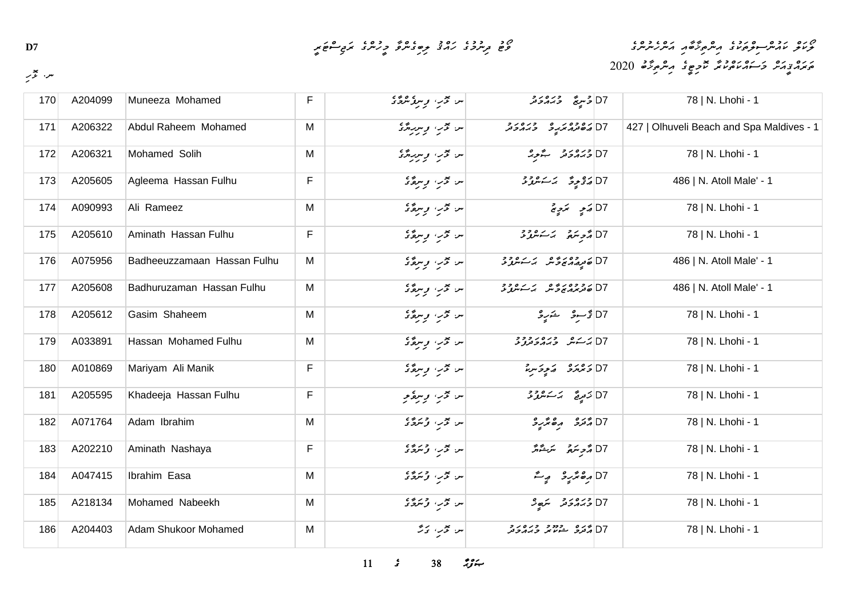*sCw7q7s5w7m< o<n9nOoAw7o< sCq;mAwBoEw7q<m; wBm;vB* م من المرة المرة المرة المرجع المرجع في المركبة 2020<br>مجم*د المريض المربوط المربع المرجع في المراجع المركبة* 

| 170 | A204099 | Muneeza Mohamed             | F | س بيس وسرؤ عدد ؟ | D7 ۇس <sub>ى</sub> نج ئ <i>ۇنەۋ</i> كە   | 78   N. Lhohi - 1                         |
|-----|---------|-----------------------------|---|------------------|------------------------------------------|-------------------------------------------|
| 171 | A206322 | Abdul Raheem Mohamed        | M | س بيمر، وسربرده  | D7 <i>בטינת הגיל בהחכת</i>               | 427   Olhuveli Beach and Spa Maldives - 1 |
| 172 | A206321 | Mohamed Solih               | M | س میں وسر پرو    | D7 <i>\$ ئەۋى قى</i> ر ئىگە بەر          | 78   N. Lhohi - 1                         |
| 173 | A205605 | Agleema Hassan Fulhu        | F | س میں وسطی       | D7 <i>ھاؤوڈ پرڪس و</i>                   | 486   N. Atoll Male' - 1                  |
| 174 | A090993 | Ali Rameez                  | M | س میں وسطی       | D7 <i>ھَ۔</i> پر <i>وچ</i>               | 78   N. Lhohi - 1                         |
| 175 | A205610 | Aminath Hassan Fulhu        | F | س میں وسرگانی    | D7 مۇجەنىھ بەسەھەر ئە                    | 78   N. Lhohi - 1                         |
| 176 | A075956 | Badheeuzzamaan Hassan Fulhu | M | س میں وسرگانا    | D7 <i>פֿיקָגُה אַ כ</i> ֿיל ג´ ביעגע     | 486   N. Atoll Male' - 1                  |
| 177 | A205608 | Badhuruzaman Hassan Fulhu   | M | س میں وسرگانا    | D7 مەمرىر يومۇ بۇ ئەسكەر ئى              | 486   N. Atoll Male' - 1                  |
| 178 | A205612 | Gasim Shaheem               | M | س می وسره د      |                                          | 78   N. Lhohi - 1                         |
| 179 | A033891 | Hassan Mohamed Fulhu        | M | س میں وسرونمی    | D7 ټريکيل وبروديونو د                    | 78   N. Lhohi - 1                         |
| 180 | A010869 | Mariyam Ali Manik           | F | اس مي. وسره کا   | D7 <i>كاندىكى ھەمچەكتىرى</i> گا          | 78   N. Lhohi - 1                         |
| 181 | A205595 | Khadeeja Hassan Fulhu       | F | س میں وسطور      | D7 كَتَامِيعٌ = يَاسَدُمُنْ مِنْ 2 \$    | 78   N. Lhohi - 1                         |
| 182 | A071764 | Adam Ibrahim                | M | س بيمر، ويروء    | D7 مُترَدَّ مِـ صُنَّرِدْ                | 78   N. Lhohi - 1                         |
| 183 | A202210 | Aminath Nashaya             | F | مراجي وتتريمي    | D7 مَّ حِ سَمَّ سَنَ مَشَمَّر            | 78   N. Lhohi - 1                         |
| 184 | A047415 | Ibrahim Easa                | M | س عرب وحرم و     | D7 <sub>م</sub> ەنگەپ <sup>ى م</sup> ېڭە | 78   N. Lhohi - 1                         |
| 185 | A218134 | Mohamed Nabeekh             | M | ما تمريه وتتروي  | D7 <i>\$22.25. سَهِ</i> رْ               | 78   N. Lhohi - 1                         |
| 186 | A204403 | Adam Shukoor Mohamed        | M | س میں دیگر       | D7 בנכ"ם במביק בגם בב                    | 78   N. Lhohi - 1                         |

 $11$  *s* 38  $23$   $-$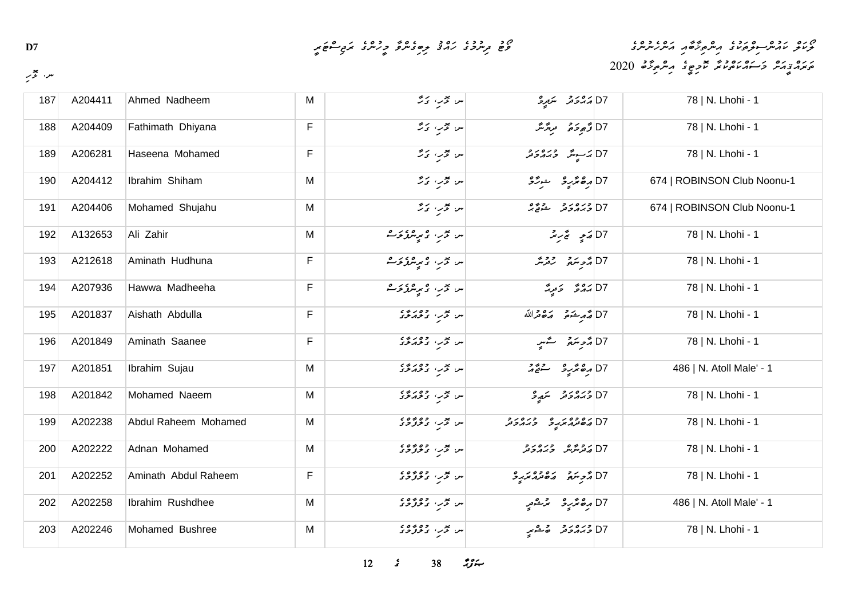*sCw7q7s5w7m< o<n9nOoAw7o< sCq;mAwBoEw7q<m; wBm;vB* م من المرة المرة المرة المرجع المرجع في المركبة 2020<br>مجم*د المريض المربوط المربع المرجع في المراجع المركبة* 

| 187 | A204411 | Ahmed Nadheem        | M           | اللا عيميا أنجاش                 | D7 <i>בَ بُدْوَ تَرْ سَرْمِي</i> وْ             | 78   N. Lhohi - 1           |
|-----|---------|----------------------|-------------|----------------------------------|-------------------------------------------------|-----------------------------|
| 188 | A204409 | Fathimath Dhiyana    | $\mathsf F$ | س میں نمٹ                        | D7 تَ <i>جِ حَجَ</i> مِہَّتَہُ                  | 78   N. Lhohi - 1           |
| 189 | A206281 | Haseena Mohamed      | $\mathsf F$ | س بيمب رُمي                      | D7 ئەسمىنىڭ ق <i>ەيمەدەت</i> ر                  | 78   N. Lhohi - 1           |
| 190 | A204412 | Ibrahim Shiham       | M           | س بيمب رُمي                      | D7 م <i>ەھتىب</i> ۇ ھ <i>ىدۇ</i> ۋ              | 674   ROBINSON Club Noonu-1 |
| 191 | A204406 | Mohamed Shujahu      | M           | س میں دی                         | D7 <i>وبرو دو مقع م</i>                         | 674   ROBINSON Club Noonu-1 |
| 192 | A132653 | Ali Zahir            | M           | س بيمر، ومرعوبوت                 | D7 <i>ھَ۔</i> جَ سِمَّر                         | 78   N. Lhohi - 1           |
| 193 | A212618 | Aminath Hudhuna      | $\mathsf F$ | س بيمر، ومرغوث                   | D7 مَّ <i>حِ سَمَّةَ حَقَّدْ مَّدَ</i>          | 78   N. Lhohi - 1           |
| 194 | A207936 | Hawwa Madheeha       | F           | س بيمر، و پرسرون و               | D7 <i>بَدْهُ وَ وَب</i> ِدً                     | 78   N. Lhohi - 1           |
| 195 | A201837 | Aishath Abdulla      | $\mathsf F$ | س بيمر، وه روه.<br>س نرب، و وړون | D7 مُجمِّسَة مَصْحَدِّ اللَّه                   | 78   N. Lhohi - 1           |
| 196 | A201849 | Aminath Saanee       | F           | س تخریب وہ روی                   | D7 مُج سَعَةٍ مُسَّسِي                          | 78   N. Lhohi - 1           |
| 197 | A201851 | Ibrahim Sujau        | M           | س تخرير ووروء                    | D7 مەھمەر 2 مىقد                                | 486   N. Atoll Male' - 1    |
| 198 | A201842 | Mohamed Naeem        | M           | س بي ووري                        | D7 <i>3225 متمد</i> و                           | 78   N. Lhohi - 1           |
| 199 | A202238 | Abdul Raheem Mohamed | M           | س تخریب وہ دہ ہ                  | D7 בסינג הנגס כנסגר                             | 78   N. Lhohi - 1           |
| 200 | A202222 | Adnan Mohamed        | M           | س بيمر، وه ۶۵۶<br>س ترب، وتوفرون | D7 كەنگەنگىرى <i>مەم</i> ەمە                    | 78   N. Lhohi - 1           |
| 201 | A202252 | Aminath Abdul Raheem | F           | س تخریب وولوه و                  | D7 <i>مُجِسَعة م</i> ُص <i>َّرْ مُدَبِّ</i> دِ  | 78   N. Lhohi - 1           |
| 202 | A202258 | Ibrahim Rushdhee     | M           | س تخریب وولاوی                   | D7 <i>برھ مُرْرِدُ مُرْ</i> شْر <sub>ُ</sub> رِ | 486   N. Atoll Male' - 1    |
| 203 | A202246 | Mohamed Bushree      | M           | س تیمب ووووه                     | D7 <i>ۇبرۇ ئۆر ھىش</i> ېر                       | 78   N. Lhohi - 1           |

 $12$  *s* 38  $23$   $-$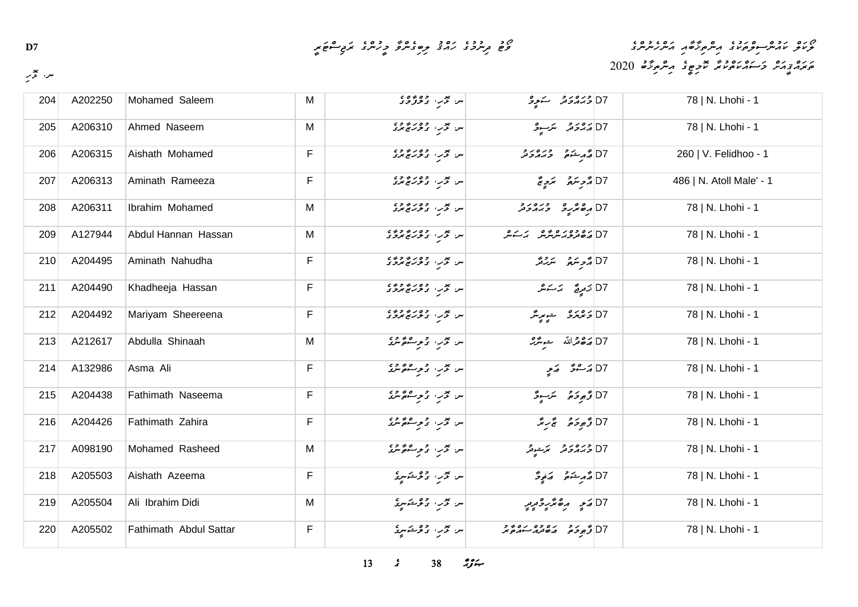*sCw7q7s5w7m< o<n9nOoAw7o< sCq;mAwBoEw7q<m; wBm;vB* م من المرة المرة المرة المرجع المرجع في المركبة 2020<br>مجم*د المريض المربوط المربع المرجع في المراجع المركبة* 

| 204 | A202250 | Mohamed Saleem         | M            | س تخر، ووده ه ،                        | D7 <i>\$2\$\$\$</i> سَموِدْ         | 78   N. Lhohi - 1        |
|-----|---------|------------------------|--------------|----------------------------------------|-------------------------------------|--------------------------|
| 205 | A206310 | Ahmed Naseem           | M            | س بیمر، وہ روبرو،                      | D7 <i>252.5 مَرْسِرة</i>            | 78   N. Lhohi - 1        |
| 206 | A206315 | Aishath Mohamed        | F            | س می در ۱۵۶۶ و ۲                       | D7 مُصِنْعَة وَيَرْمُونَّر          | 260   V. Felidhoo - 1    |
| 207 | A206313 | Aminath Rameeza        | F            | س محمد وه د د د ده                     | D7 مُجِسَعُ مَحِيَّ                 | 486   N. Atoll Male' - 1 |
| 208 | A206311 | Ibrahim Mohamed        | M            | س می ده دوه                            | D7 مەھمگىر قايدە دىنلەر قىل         | 78   N. Lhohi - 1        |
| 209 | A127944 | Abdul Hannan Hassan    | M            | س می ده ده دوه و                       | D7 مەھ <i>رى بەيرىتى بىر كى</i> ر   | 78   N. Lhohi - 1        |
| 210 | A204495 | Aminath Nahudha        | F            | س بحر، وہ رہ وہ ہ<br>س تر، وتررہ بروی  | D7 مُّجِ مَنْهُمْ مَسْرَمْتُهُ      | 78   N. Lhohi - 1        |
| 211 | A204490 | Khadheeja Hassan       | F            | س بحر، وہ رہ وہ ہ<br>س ترب وترریخ بروی | D7 كَتَامِيعٌ = يَدْسَدُسُ          | 78   N. Lhohi - 1        |
| 212 | A204492 | Mariyam Sheereena      | F            | س می ده دوره                           | D7 <i>كۈچرى ئىمب</i> ىگە            | 78   N. Lhohi - 1        |
| 213 | A212617 | Abdulla Shinaah        | M            | من علي، وفرستموس                       | D7 كَرْجْ قْدْ اللّه مْ شْرْبْرْ _  | 78   N. Lhohi - 1        |
| 214 | A132986 | Asma Ali               | F            | س بيمر، ووسع وه                        | D7 پرکنځ پ <sub>ه مج</sub> ر        | 78   N. Lhohi - 1        |
| 215 | A204438 | Fathimath Naseema      | F            | س محمد المحموس والمحمد                 | D7 <i>وَّجِ</i> وَةَ مَرَسِوَّةً    | 78   N. Lhohi - 1        |
| 216 | A204426 | Fathimath Zahira       | F            | س علي، ووقع وه                         | D7 <i>وَّجِوحَ</i> حَمْ سِمَّ       | 78   N. Lhohi - 1        |
| 217 | A098190 | Mohamed Rasheed        | M            | س بيمر، و و عمومه                      | D7 <i>ۇنەۋەتى بى</i> ھىدى <i>تى</i> | 78   N. Lhohi - 1        |
| 218 | A205503 | Aishath Azeema         | F            | س تۆپ كەنتىكىدىگە                      | D7 مُەمشەم مَەر                     | 78   N. Lhohi - 1        |
| 219 | A205504 | Ali Ibrahim Didi       | $\mathsf{M}$ | س محر، ووڪسري                          | D7 <i>ړې د هغې د تړ</i> ېږ          | 78   N. Lhohi - 1        |
| 220 | A205502 | Fathimath Abdul Sattar | F            | س محمر، وفريحتوره                      | D7 ژ <sub>نجو</sub> ځ د موسر سره د  | 78   N. Lhohi - 1        |

 $13$  *s* 38  $23$   $-$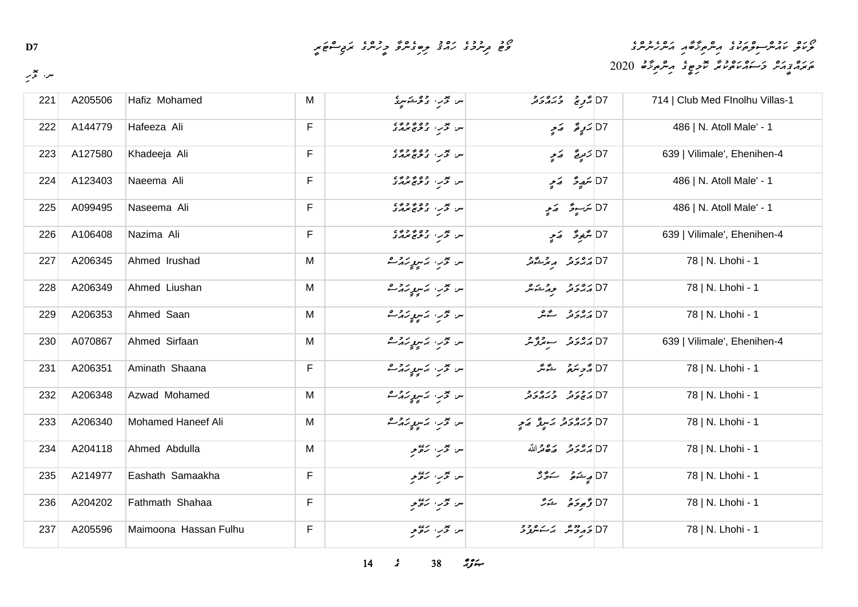*sCw7q7s5w7m< o<n9nOoAw7o< sCq;mAwBoEw7q<m; wBm;vB* م من المرة المرة المرة المرجع المرجع في المركبة 2020<br>مجم*د المريض المربوط المربع المرجع في المراجع المركبة* 

| 221 | A205506 | Hafiz Mohamed         | M           | س محرب وحيح شريح                           | D7 يُوبِعُ فَ <i>جَهُ دُو</i> مَرُ         | 714   Club Med Flnolhu Villas-1 |
|-----|---------|-----------------------|-------------|--------------------------------------------|--------------------------------------------|---------------------------------|
| 222 | A144779 | Hafeeza Ali           | F           | س تحرير وه بو و د و                        | D7 <i>کوپنگ مک</i> و                       | 486   N. Atoll Male' - 1        |
| 223 | A127580 | Khadeeja Ali          | F           | بن می دوروده                               | D7 كَتَمِيعٌ - مَ <i>كْمٍ</i>              | 639   Vilimale', Ehenihen-4     |
| 224 | A123403 | Naeema Ali            | $\mathsf F$ | س تحرر، 259505<br>س تحرر، 255705           | D7 <i>سَمِيرةَ مَيْ</i>                    | 486   N. Atoll Male' - 1        |
| 225 | A099495 | Naseema Ali           | F           | س محمد وه ووه.<br>س محمد وحمد              | D7 سَرَسِرتَ <i>ة مَدَّجِ</i>              | 486   N. Atoll Male' - 1        |
| 226 | A106408 | Nazima Ali            | $\mathsf F$ | س محرب 2007 ويوم<br>  س محرب و محرم محروري | D7 سَمْعِ حَدَّمٍ مِنْ مِنْ عَ             | 639   Vilimale', Ehenihen-4     |
| 227 | A206345 | Ahmed Irushad         | M           | س ترس، برسروپر ترم ک                       | D7 <i>مَدْدَوْرَ مِعْهُ مِنْ</i> مُدَّمَرُ | 78   N. Lhohi - 1               |
| 228 | A206349 | Ahmed Liushan         | M           | س عرب رئيس پر بر قرا                       | D7 <i>ג׳.כ تر چ</i> ر شکر                  | 78   N. Lhohi - 1               |
| 229 | A206353 | Ahmed Saan            | M           | س ترب پرسرو پروٹ                           | D7 <i>مَدْدَوْرْ</i> سُدْرُ                | 78   N. Lhohi - 1               |
| 230 | A070867 | Ahmed Sirfaan         | M           | س بيمر، برس <sub>ي</sub> ر پر ماه<br> س    | D7 <i>مەندى ئىستىرۇ</i> تىر                | 639   Vilimale', Ehenihen-4     |
| 231 | A206351 | Aminath Shaana        | $\mathsf F$ | س عرب برسرو پر پر ے                        | D7 مُجِسَعُهُ شَمَسَّ                      | 78   N. Lhohi - 1               |
| 232 | A206348 | Azwad Mohamed         | M           | س عرب برسرو پر پر ے                        | D7 <i>הُجوفر وَبَرُوونر</i>                | 78   N. Lhohi - 1               |
| 233 | A206340 | Mohamed Haneef Ali    | M           | س عرب رئسي پر پر ق                         | D7 <i>ڈیزو دی برسرو کی پ</i>               | 78   N. Lhohi - 1               |
| 234 | A204118 | Ahmed Abdulla         | M           | س محرب رکھنے                               | D7 كەبروتىر كەھ قىراللە                    | 78   N. Lhohi - 1               |
| 235 | A214977 | Eashath Samaakha      | $\mathsf F$ | مىن ئىچرىن ئەھمىز                          | D7 <sub>م</sub> ېشمۇ س <i>ت</i> ۇر         | 78   N. Lhohi - 1               |
| 236 | A204202 | Fathmath Shahaa       | $\mathsf F$ | من عمر التقطيع                             | D7 <i>وَّجِ حَمَّى</i> شَدَّرَّ            | 78   N. Lhohi - 1               |
| 237 | A205596 | Maimoona Hassan Fulhu | F           | س <sup>،</sup> عم <sup>م</sup> سر منظور    | D7 <i>جَهِ دِّنْ مَنْ مَدُودُ</i> مِ       | 78   N. Lhohi - 1               |

**14** *s* 38  $23$   $\rightarrow$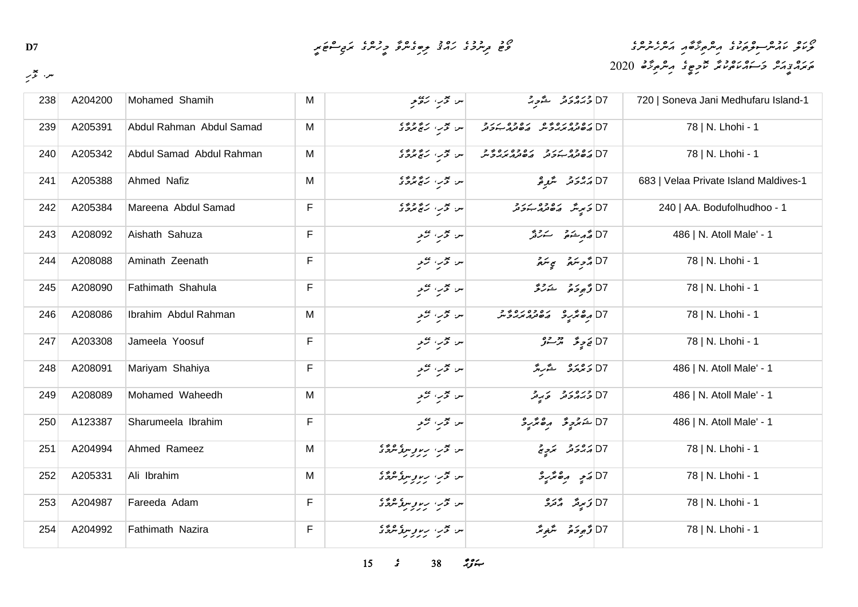*sCw7q7s5w7m< o<n9nOoAw7o< sCq;mAwBoEw7q<m; wBm;vB* م من المرة المرة المرة المرجع المرجع في المركبة 2020<br>مجم*د المريض المربوط المربع المرجع في المراجع المركبة* 

| 238 | A204200 | Mohamed Shamih           | M            | مدا عجريا التقاوير              | D7 <i>ۇنەۋەقى ھۇم</i>                                         | 720   Soneva Jani Medhufaru Island-1  |
|-----|---------|--------------------------|--------------|---------------------------------|---------------------------------------------------------------|---------------------------------------|
| 239 | A205391 | Abdul Rahman Abdul Samad | M            | س می بران میگروی                | D7 בפיקום פים הפים הקב<br>D7 בפיקו <i>ם הבית הסיקור ובכ</i> ת | 78   N. Lhohi - 1                     |
| 240 | A205342 | Abdul Samad Abdul Rahman | M            | من عمر بالا المعرض              | D7 בפכם גנב נספסנס בב<br>D7 בפינג היכנג הפינג גיבית           | 78   N. Lhohi - 1                     |
| 241 | A205388 | Ahmed Nafiz              | M            | س بيمر، ريوده،                  | D7 <i>مَدْدَ دَ</i> مَّدْ مِنْ مَ                             | 683   Velaa Private Island Maldives-1 |
| 242 | A205384 | Mareena Abdul Samad      | $\mathsf{F}$ | س تخريا كالمحرومي               | D7 كۈمچەنگە ئەھ <i>قرە سى</i> ردىر                            | 240   AA. Bodufolhudhoo - 1           |
| 243 | A208092 | Aishath Sahuza           | $\mathsf F$  | س میخریا محتویا                 | D7 مۇم ئىقمى سىم ئىكتىگە                                      | 486   N. Atoll Male' - 1              |
| 244 | A208088 | Aminath Zeenath          | F            | سن محيمي، محيمو                 | D7 مَّحِسَمَ مِيسَمَّ                                         | 78   N. Lhohi - 1                     |
| 245 | A208090 | Fathimath Shahula        | $\mathsf F$  | س میں میں                       | D7 تَ <i>وْجِدَة</i> شَرْكَةَ                                 | 78   N. Lhohi - 1                     |
| 246 | A208086 | Ibrahim Abdul Rahman     | M            | سن محير، محيو                   | D7 גם מים נפרס נפיק                                           | 78   N. Lhohi - 1                     |
| 247 | A203308 | Jameela Yoosuf           | $\mathsf F$  | س عمر، محمد                     | D7 <i>في جد جي جي شرق</i> و                                   | 78   N. Lhohi - 1                     |
| 248 | A208091 | Mariyam Shahiya          | $\mathsf F$  | س عمر، محمد                     | D7 كەنگەر ئىش <i>ەر ئىگەر</i>                                 | 486   N. Atoll Male' - 1              |
| 249 | A208089 | Mohamed Waheedh          | M            | میں عمر <i>میں میں</i><br>      | D7 <i>\$ پروڅو ق</i> رير                                      | 486   N. Atoll Male' - 1              |
| 250 | A123387 | Sharumeela Ibrahim       | $\mathsf F$  | میں عمر با عظیم ا               | D7 خىترى <sub>چ</sub> ۇ م <i>ەشرى</i> ۋ                       | 486   N. Atoll Male' - 1              |
| 251 | A204994 | Ahmed Rameez             | M            | س میں رہاوسو میں گھ             | D7 <i>مَہُدُدَ مَّہِ ج</i> ُ                                  | 78   N. Lhohi - 1                     |
| 252 | A205331 | Ali Ibrahim              | M            | س میں رووس <i>ڈ</i> مگرمی       | D7 <i>مَيٍّ م</i> ِ مُحَمَّدٍ مَحْ                            | 78   N. Lhohi - 1                     |
| 253 | A204987 | Fareeda Adam             | $\mathsf F$  | س میں زیادِ سرگرمرگرم           | D7 كۆمچىگە ئەگەكرى                                            | 78   N. Lhohi - 1                     |
| 254 | A204992 | Fathimath Nazira         | $\mathsf F$  | س میں رسو سرکھیے<br>مرد رسو سرک | D7 تَ <i>مِوحَةْ</i> مَنْهِ يَّر                              | 78   N. Lhohi - 1                     |

 $15$  *s* 38  $23$   $-$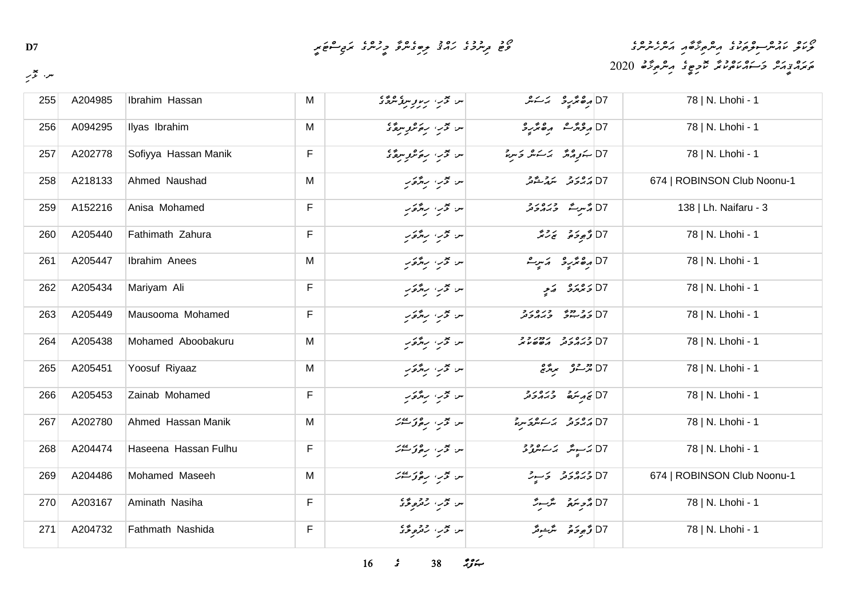*sCw7q7s5w7m< o<n9nOoAw7o< sCq;mAwBoEw7q<m; wBm;vB* م من المرة المرة المرة المرجع المرجع في المركبة 2020<br>مجم*د المريض المربوط المربع المرجع في المراجع المركبة* 

| 255 | A204985 | Ibrahim Hassan       | M           | س میں رہاوسو مگر گرمی       | D7 <sub>مو</sub> ھ پژر <sub>ی</sub> و کے کام | 78   N. Lhohi - 1           |
|-----|---------|----------------------|-------------|-----------------------------|----------------------------------------------|-----------------------------|
| 256 | A094295 | Ilyas Ibrahim        | M           | سن عرض سي مرغوث سرير محمد و | D7 مەقەر مەھەر يەھ بەر ئە                    | 78   N. Lhohi - 1           |
| 257 | A202778 | Sofiyya Hassan Manik | F           | س بيمر، رەكروسۇق            | D7 جۇر <i>مىگە</i> كەسكىر كەيدى <i>گ</i>     | 78   N. Lhohi - 1           |
| 258 | A218133 | Ahmed Naushad        | M           | س میں رہنمور                | D7 كەندى ئىر ئىش ئىقتىل D7                   | 674   ROBINSON Club Noonu-1 |
| 259 | A152216 | Anisa Mohamed        | $\mathsf F$ | میں محمد، سابھتار           | D7 گەسرىسى ئەمەر ئەرىپىتىسى بىر              | 138   Lh. Naifaru - 3       |
| 260 | A205440 | Fathimath Zahura     | $\mathsf F$ | مينا ميحميا سأرتحض          | D7 <i>وَّجِ حَقَّ</i> بِحَ <i>دْ مَدَّ</i>   | 78   N. Lhohi - 1           |
| 261 | A205447 | Ibrahim Anees        | M           | سن سمجريه سرهر تحريبه       | D7 ب <i>ر&amp;ټرُرِ \$ بربر</i> ے            | 78   N. Lhohi - 1           |
| 262 | A205434 | Mariyam Ali          | $\mathsf F$ | من محمر، سرمجوس             | D7  <i>5 پر پڑو پہ چ</i>                     | 78   N. Lhohi - 1           |
| 263 | A205449 | Mausooma Mohamed     | F           | س میں رہنمی                 | D7 <i>خەشقى دىمەدە</i> ر                     | 78   N. Lhohi - 1           |
| 264 | A205438 | Mohamed Aboobakuru   | M           | میں محمد، سابھتار           | 22222222222                                  | 78   N. Lhohi - 1           |
| 265 | A205451 | Yoosuf Riyaaz        | M           | ملاء مخريا كروتركوب         | D7 تېر <i>- بې</i> تېر تمريخ<br>سرچ          | 78   N. Lhohi - 1           |
| 266 | A205453 | Zainab Mohamed       | F           | سن محين س <i>رمحور</i>      | D7 يَوسِرَهُ حَمَدَ وَمَد                    | 78   N. Lhohi - 1           |
| 267 | A202780 | Ahmed Hassan Manik   | M           | س میں رہوسکت                | D7 <i>مُدْدَوْرْ بْ</i> كَسْرَمْسِرْ         | 78   N. Lhohi - 1           |
| 268 | A204474 | Haseena Hassan Fulhu | F           | س میں روز میں               | D7 ئەسەنىگە كەسكەنلەرنى                      | 78   N. Lhohi - 1           |
| 269 | A204486 | Mohamed Maseeh       | M           | س میں روز میر               | D7  <i>وُيَەوُوَتَى وَسِيرَ</i>              | 674   ROBINSON Club Noonu-1 |
| 270 | A203167 | Aminath Nasiha       | $\mathsf F$ | س میں ووروسی                | D7 مُ <i>جِي مَنْ جُهِ مُدَّبِ بِ</i>        | 78   N. Lhohi - 1           |
| 271 | A204732 | Fathmath Nashida     | F           | س ترب رقمرونژی              | D7 تَ <i>وْجِوَدَةْ</i> مَّرْسُوشَّ          | 78   N. Lhohi - 1           |

 $16$  *s* 38  $23$   $-$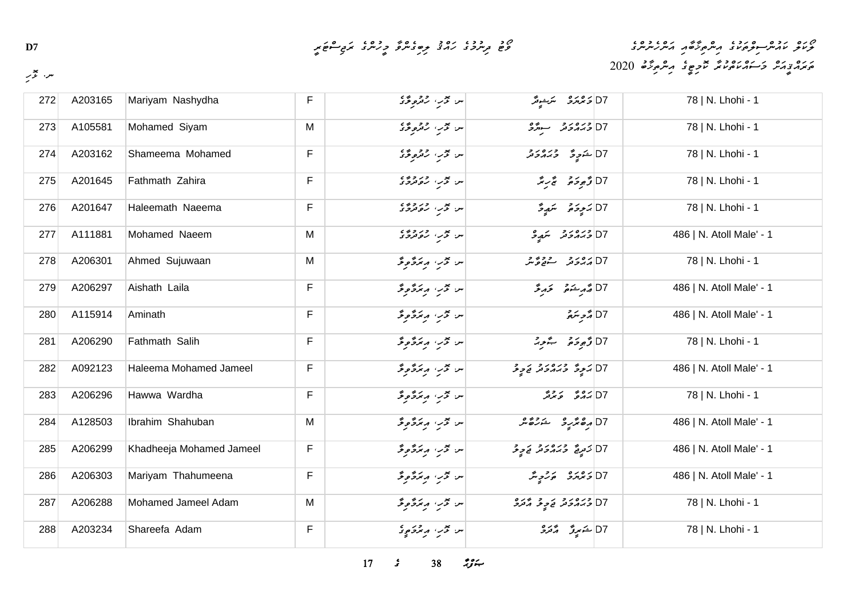*sCw7q7s5w7m< o<n9nOoAw7o< sCq;mAwBoEw7q<m; wBm;vB* م من المرة المرة المرة المرجع المرجع في المركبة 2020<br>مجم*د المريض المربوط المربع المرجع في المراجع المركبة* 

| 272 | A203165 | Mariyam Nashydha         | F           | س عمر، رقم وعمد                  | D7 كەنگەنى ھەرجىدىگە                                   | 78   N. Lhohi - 1        |
|-----|---------|--------------------------|-------------|----------------------------------|--------------------------------------------------------|--------------------------|
| 273 | A105581 | Mohamed Siyam            | M           | س ترب رقره بزن                   | D7 <i>\$ \$ \$ \$ \$ \$ \$</i> P7                      | 78   N. Lhohi - 1        |
| 274 | A203162 | Shameema Mohamed         | F           | س تۆپ روم تۇي                    | D7 شَرِرٍ وَكَ <i>مُ</i> دَمَّرَ                       | 78   N. Lhohi - 1        |
| 275 | A201645 | Fathmath Zahira          | F           | س بيمر، وروه ،                   | D7 تَ <i>مِوحَمْ</i> يُحْرِيمُ                         | 78   N. Lhohi - 1        |
| 276 | A201647 | Haleemath Naeema         | F           | س بيمر، وروء،                    | D7 <i>بَجِودَة سَهِ</i> دً                             | 78   N. Lhohi - 1        |
| 277 | A111881 | Mohamed Naeem            | M           | س تخري رحمة ولاء                 | D7 <i>وَبَدُوَنَوْ سَمِي</i> وْ                        | 486   N. Atoll Male' - 1 |
| 278 | A206301 | Ahmed Sujuwaan           | M           | س نۇپ مەنزۇرۇ                    | D7 كەندى قىرىق سى <i>ۋە ئەر</i>                        | 78   N. Lhohi - 1        |
| 279 | A206297 | Aishath Laila            | F           | مىن ئۇپ مەيزۇرۇ                  | D7 مەم شەتر كىمبەگ                                     | 486   N. Atoll Male' - 1 |
| 280 | A115914 | Aminath                  | F           | س نۇپ مەنزۇمۇ                    | D7 مُمْ جِسَعُهُ                                       | 486   N. Atoll Male' - 1 |
| 281 | A206290 | Fathmath Salih           | F           | س ترب م برگروگر                  | D7 ز <sub>ېږې</sub> ته مگوبر                           | 78   N. Lhohi - 1        |
| 282 | A092123 | Haleema Mohamed Jameel   | $\mathsf F$ | س ترب مي تروگر قر                | D7 كَمْ وِدُّ كَرُمْ كَمْ يَوْ وَ كَمْ يَوْ وَ حَدِيثَ | 486   N. Atoll Male' - 1 |
| 283 | A206296 | Hawwa Wardha             | F           | س نۇپ مەنزۇرۇ                    | D7 بَرُدْهُ وَبَرْتُر                                  | 78   N. Lhohi - 1        |
| 284 | A128503 | Ibrahim Shahuban         | M           | مىن ئۇپ مەيزۇرۇ                  | D7 مەھم <i>گىر ئىشىدە ھىر</i>                          | 486   N. Atoll Male' - 1 |
| 285 | A206299 | Khadheeja Mohamed Jameel | F           | س ترب و برگروگر                  | D7 كَتَرِيعٌ - وُيَرُودُو تَوَجِدُ =                   | 486   N. Atoll Male' - 1 |
| 286 | A206303 | Mariyam Thahumeena       | F           | اللا عيميا وبمركز وقر            | D7 كەبىر <i>كەنگە كەردى</i> گە                         | 486   N. Atoll Male' - 1 |
| 287 | A206288 | Mohamed Jameel Adam      | M           | س میں ریمزڈوٹر                   | D7 <i>وُبَہُ وَبُر وَجِ وَ مُعَ</i> رَّدُ              | 78   N. Lhohi - 1        |
| 288 | A203234 | Shareefa Adam            | F           | مىن ئۇپ مەيرىخ ھ <sub>ۇ</sub> تى | D7 ش <i>ەببۇ م<sup>ە</sup>مدۇ</i>                      | 78   N. Lhohi - 1        |

 $17$  *s* 38  $23$   $-$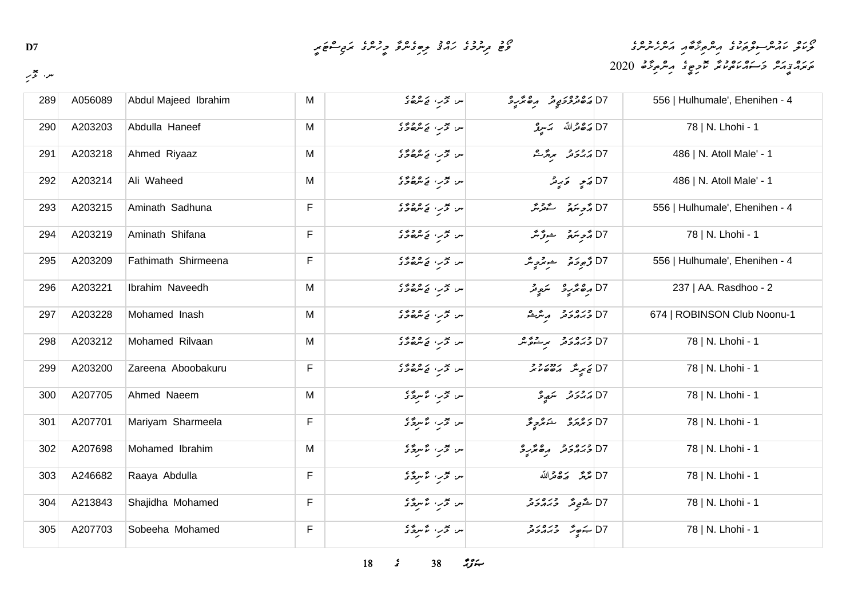*sCw7q7s5w7m< o<n9nOoAw7o< sCq;mAwBoEw7q<m; wBm;vB* م من المرة المرة المرة المرجع المرجع في المركبة 2020<br>مجم*د المريض المربوط المربع المرجع في المراجع المركبة* 

| 289 | A056089 | Abdul Majeed Ibrahim | M           | س محرب كے سرکھ د         | D7 <i>בَ قُدْؤُدَي<sub>وٍ</sub> بَرِّ مُ</i> مَرِّدُ | 556   Hulhumale', Ehenihen - 4 |
|-----|---------|----------------------|-------------|--------------------------|------------------------------------------------------|--------------------------------|
| 290 | A203203 | Abdulla Haneef       | M           | س تخر، كەھەم             | D7 مَەھتراللە   ئەس <i>ى</i> ر                       | 78   N. Lhohi - 1              |
| 291 | A203218 | Ahmed Riyaaz         | M           | س بيمر، پر موده د        | D7 كەبرى ئەرگە ئىستىلىشى بىر                         | 486   N. Atoll Male' - 1       |
| 292 | A203214 | Ali Waheed           | M           | س محمد ، محاسر براه و در | D7 <i>ھَي حَي</i> قَر                                | 486   N. Atoll Male' - 1       |
| 293 | A203215 | Aminath Sadhuna      | F           | س محمد ، مح شرح و د ،    | D7 مُّجِ سَمَّ مُسْتَمَر مَّتَّ                      | 556   Hulhumale', Ehenihen - 4 |
| 294 | A203219 | Aminath Shifana      | $\mathsf F$ | س تخر، كے شھوى           | D7 مَّ حِ سَمَّ مَ سُورٌ مَّرَ                       | 78   N. Lhohi - 1              |
| 295 | A203209 | Fathimath Shirmeena  | $\mathsf F$ | س محمر، كے شھوى          | D7  <i>وَّأُودَهُ</i> شِيمَر <sub>ُ</sub> حٍسَّرَ    | 556   Hulhumale', Ehenihen - 4 |
| 296 | A203221 | Ibrahim Naveedh      | M           | س تخر، كەھەم             | D7 م <i>وڻ تگرو تکو</i> يگر                          | 237   AA. Rasdhoo - 2          |
| 297 | A203228 | Mohamed Inash        | M           | س تخرير المستحدة         | D7 <i>ۇنەم كەڭ بە</i> ئ <sup>ۇيم</sup>               | 674   ROBINSON Club Noonu-1    |
| 298 | A203212 | Mohamed Rilvaan      | M           | س محمد کے مرکز وہ        | D7 <i>دې ده د چې</i> شوگس                            | 78   N. Lhohi - 1              |
| 299 | A203200 | Zareena Aboobakuru   | $\mathsf F$ | س محمد کے شخصوی          | D7 ئىمبەش مەھەم ئىر                                  | 78   N. Lhohi - 1              |
| 300 | A207705 | Ahmed Naeem          | M           | مىن ئۇپ، ئۇمىرى ئ        | D7 <i>مَدْدَ مَّدْ</i> مَيْتَ                        | 78   N. Lhohi - 1              |
| 301 | A207701 | Mariyam Sharmeela    | $\mathsf F$ | س بيمر، ما سرچ کا        | D7 كەنگەر ئىگە ئىگە ئىچە ئىگە ئ                      | 78   N. Lhohi - 1              |
| 302 | A207698 | Mohamed Ibrahim      | M           | س عرب ما سرچ کا          | D7 <i>وُبَهُ وَمَدْ مِنْ مِنْ بِ</i>                 | 78   N. Lhohi - 1              |
| 303 | A246682 | Raaya Abdulla        | F           | س بيمر، ما سرچ کا        | D7 بَحْرَةً بِهُ صَحْرَاللَّه                        | 78   N. Lhohi - 1              |
| 304 | A213843 | Shajidha Mohamed     | $\mathsf F$ | س بيمر، ما سرچ کا        | D7 شَمَّمٍ مَنْ حَمَدُ وَمَدْ قَرْ                   | 78   N. Lhohi - 1              |
| 305 | A207703 | Sobeeha Mohamed      | F           | مىن ئۆپ ئامېرىدى         | D7 جَم <i>ِّي حُمْدُونْد</i>                         | 78   N. Lhohi - 1              |

**18** *s* **38** *n***<sub>y</sub> <b>***n*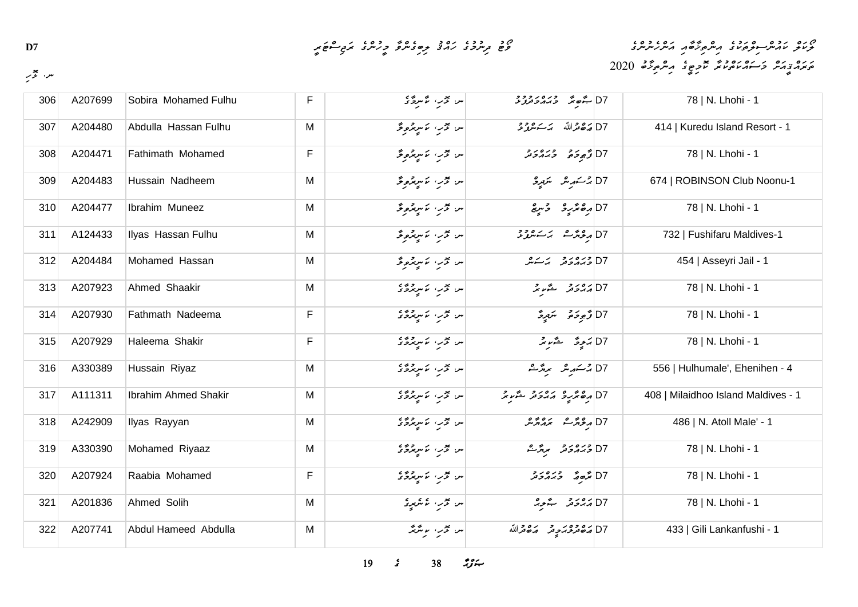*sCw7q7s5w7m< o<n9nOoAw7o< sCq;mAwBoEw7q<m; wBm;vB* م من المرة المرة المرة المرجع المرجع في المركبة 2020<br>مجم*د المريض المربوط المربع المرجع في المراجع المركبة* 

| 306 | A207699 | Sobira Mohamed Fulhu        | F           | س عرب عاسرة بم     | D7 بەھەتر بەربەدىرى                                                                                 | 78   N. Lhohi - 1                   |
|-----|---------|-----------------------------|-------------|--------------------|-----------------------------------------------------------------------------------------------------|-------------------------------------|
| 307 | A204480 | Abdulla Hassan Fulhu        | M           | س تۆپ ئەس چرى ئى   | D7 مَصْعَرْاللَّهُ بَرَسَة مَعْرُمْ                                                                 | 414   Kuredu Island Resort - 1      |
| 308 | A204471 | Fathimath Mohamed           | $\mathsf F$ | س نۇپ ئاسىدگوڭ     | D7 <i>وُّجِوَدُو</i> وَيَهْدَمُرُ                                                                   | 78   N. Lhohi - 1                   |
| 309 | A204483 | Hussain Nadheem             | M           | ىل ئۇپ ئاسىدگوڭ    | D7 پر کمبر شروع کر میں پر پر تعمید ت                                                                | 674   ROBINSON Club Noonu-1         |
| 310 | A204477 | Ibrahim Muneez              | M           | س نۇپ ئاسىدگوڭ     | D7 م <i>ەھترى</i> ئىرىمى                                                                            | 78   N. Lhohi - 1                   |
| 311 | A124433 | Ilyas Hassan Fulhu          | M           | س نۇپ ئاسىدگوڭ     | D7 مەمگەشقا ئەس <i>تەملا</i> ند                                                                     | 732   Fushifaru Maldives-1          |
| 312 | A204484 | Mohamed Hassan              | M           | س ترب ئاسر پروتر   | D7 <i>وبرەيز برسكى</i> ر                                                                            | 454   Asseyri Jail - 1              |
| 313 | A207923 | Ahmed Shaakir               | M           | س تیم، ناسر دور    | D7 <i>مەندى ھىلى</i> قى                                                                             | 78   N. Lhohi - 1                   |
| 314 | A207930 | Fathmath Nadeema            | $\mathsf F$ | س بيمر، ئاسرچوي    | D7 <i>وَّجِ دَمَّةَ</i> سَمِرِدَّ                                                                   | 78   N. Lhohi - 1                   |
| 315 | A207929 | Haleema Shakir              | F           | من عمر، كامبر بروي | D7 يَر <sub>ْمُ</sub> و مُشْرِيمٌ                                                                   | 78   N. Lhohi - 1                   |
| 316 | A330389 | Hussain Riyaz               | M           | س تیم، ناسر بروی   | D7 يُرْسَمَ مِهْ مِيرَ سَنَّةِ مِيلَ مِيلَ مِيلَ مِيلَ مِيلَ مِيلَ مِيلَ مِيلَ مِيلَ مِيلَ مِيلَ مِ | 556   Hulhumale', Ehenihen - 4      |
| 317 | A111311 | <b>Ibrahim Ahmed Shakir</b> | M           | س ترب كاسر برده و  | D7 مەھەر بەر ئەرەر ئەھمەتر                                                                          | 408   Milaidhoo Island Maldives - 1 |
| 318 | A242909 | Ilyas Rayyan                | M           | س نیمر، رأسپردی    | D7 مەمگەر ئىمەمگەرگە                                                                                | 486   N. Atoll Male' - 1            |
| 319 | A330390 | Mohamed Riyaaz              | M           | من عمر، كامبر جرور | D7 <i>ۇنەۋەتى بىر ئى</i> ش                                                                          | 78   N. Lhohi - 1                   |
| 320 | A207924 | Raabia Mohamed              | $\mathsf F$ | س عمر، مأسيد ولاء  | D7 بَرْصِهُ حَبَدَ دَوَنَر                                                                          | 78   N. Lhohi - 1                   |
| 321 | A201836 | Ahmed Solih                 | M           | س عرب الأشرىرى     | D7 <i>ټرې تر ش</i> ور                                                                               | 78   N. Lhohi - 1                   |
| 322 | A207741 | Abdul Hameed Abdulla        | M           | ساعي سيند          | D7 <i>مَـُـهُ مَرْحْدَجِ مِّرَ</i> مَـهُ مِّرَاللّه                                                 | 433   Gili Lankanfushi - 1          |

*19 s* 38 *i*<sub>S</sub>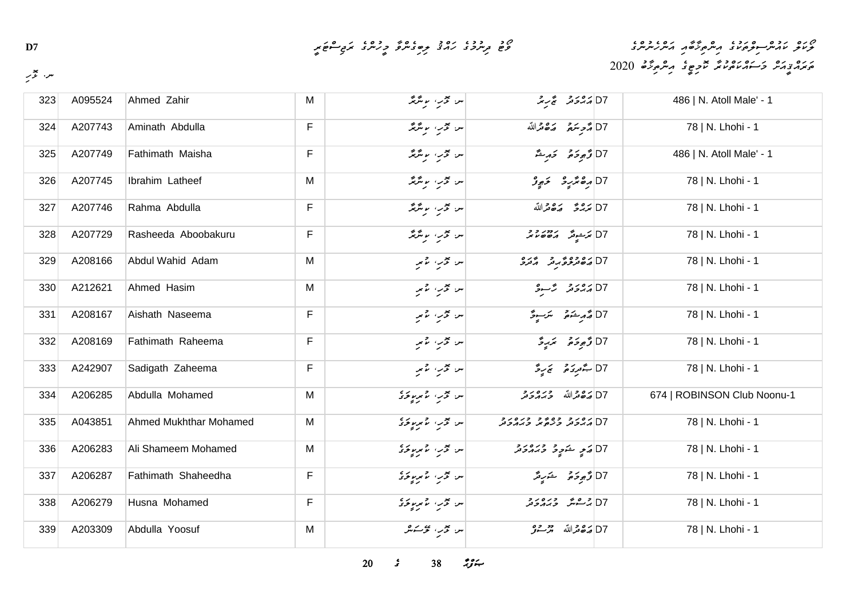*sCw7q7s5w7m< o<n9nOoAw7o< sCq;mAwBoEw7q<m; wBm;vB* م من المرة المرة المرة المرجع المرجع في المركبة 2020<br>مجم*د المريض المربوط المربع المرجع في المراجع المركبة* 

| 323 | A095524 | Ahmed Zahir            | M           | سراسمجریا امریکنگ     | D7 <i>مَدْدَوَدْ</i> گَرِيْرُ                               | 486   N. Atoll Male' - 1    |
|-----|---------|------------------------|-------------|-----------------------|-------------------------------------------------------------|-----------------------------|
| 324 | A207743 | Aminath Abdulla        | F           | ساعين لايترنتم        |                                                             | 78   N. Lhohi - 1           |
| 325 | A207749 | Fathimath Maisha       | F           | سراعيس، سامنگنگ       | D7 <i>وَّجِوَدَة</i> دَرِيْةَ                               | 486   N. Atoll Male' - 1    |
| 326 | A207745 | Ibrahim Latheef        | M           | سراعيس، سانتينتر      | D7 مەھ <i>ئۇر</i> ئۇمۇر                                     | 78   N. Lhohi - 1           |
| 327 | A207746 | Rahma Abdulla          | F           | اللا عجربا للإنترنتر  | D7 <i>تَدَبَّرَةُ مَنْ</i> هُ مِّرَاللَّه                   | 78   N. Lhohi - 1           |
| 328 | A207729 | Rasheeda Aboobakuru    | F           | س میں استعما          | D7 <i>بَرْ</i> شِي <sup>و</sup> َرَ مَرْ <i>هُ ق</i> َامَرَ | 78   N. Lhohi - 1           |
| 329 | A208166 | Abdul Wahid Adam       | M           | س عين الأمر           | D7 <i>مُەمْرُومُ بِ</i> رِمُ مُمَرَّدُ                      | 78   N. Lhohi - 1           |
| 330 | A212621 | Ahmed Hasim            | M           | ساعي معمو             | D7 <i>ټرې تر د</i>                                          | 78   N. Lhohi - 1           |
| 331 | A208167 | Aishath Naseema        | F           | س عيمي، المحمد        | D7 م <i>ەمبەشقى سىرسو</i> گە                                | 78   N. Lhohi - 1           |
| 332 | A208169 | Fathimath Raheema      | F           | لللا عميرا المحمير    | D7 <i>وُّجِ دَمَّةَ تَدَبِ</i> دُّ                          | 78   N. Lhohi - 1           |
| 333 | A242907 | Sadigath Zaheema       | $\mathsf F$ | لللا عجربا الأمير     | D7 س <sup>ې</sup> توبرند تم تم پرځه                         | 78   N. Lhohi - 1           |
| 334 | A206285 | Abdulla Mohamed        | M           | س محرب الممر يومو كرو | D7 مَەھْرَاللە دېرونر                                       | 674   ROBINSON Club Noonu-1 |
| 335 | A043851 | Ahmed Mukhthar Mohamed | M           | س عمر، الممر، ولا     | D7 גם גם בכסף כ בגם גב                                      | 78   N. Lhohi - 1           |
| 336 | A206283 | Ali Shameem Mohamed    | M           | س بيمر، عمر، وي       | D7 كمبرٍ الحكورة التي تركيب والمركز الم                     | 78   N. Lhohi - 1           |
| 337 | A206287 | Fathimath Shaheedha    | F           | س عمر، الممر، ولا     | D7 تَ <i>وْجِوَةْ</i> شَرِيْتَر                             | 78   N. Lhohi - 1           |
| 338 | A206279 | Husna Mohamed          | $\mathsf F$ | مين عيمر، الممر يوسى  | D7 يُرميرُ وَيَهْدُونَرُ                                    | 78   N. Lhohi - 1           |
| 339 | A203309 | Abdulla Yoosuf         | M           | س بيمر، بيمبر عم      | D7 مَەقراللە مەدىج                                          | 78   N. Lhohi - 1           |

 $20$  *s* 38 *n***<sub>s</sub>** $\frac{1}{2}$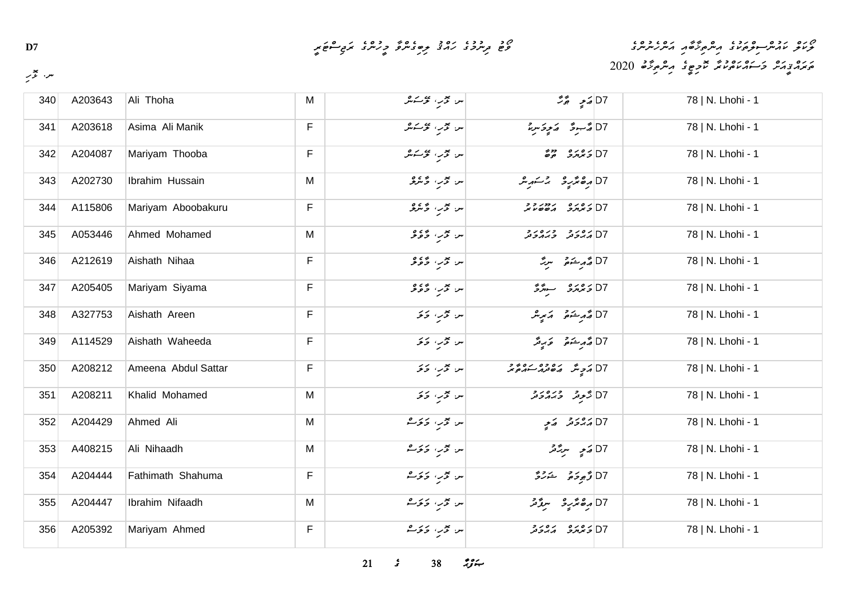*sCw7q7s5w7m< o<n9nOoAw7o< sCq;mAwBoEw7q<m; wBm;vB* م من المرة المرة المرة المرجع المرجع في المركبة 2020<br>مجم*د المريض المربوط المربع المرجع في المراجع المركبة* 

| 340 | A203643 | Ali Thoha           | M            | س محر، عجسته م    | D7 <i>ڇُجِ ڇُرُ</i>                             | 78   N. Lhohi - 1 |
|-----|---------|---------------------|--------------|-------------------|-------------------------------------------------|-------------------|
| 341 | A203618 | Asima Ali Manik     | $\mathsf F$  | س بيمر، عي سماهه  | D7 م <sup>ح</sup> سومًا - مَعٍ <i>وَ مربا</i> ً | 78   N. Lhohi - 1 |
| 342 | A204087 | Mariyam Thooba      | F            | اس بيمر، بيمب     | D7 <i>وبرو «ه</i> ُ                             | 78   N. Lhohi - 1 |
| 343 | A202730 | Ibrahim Hussain     | M            | س عرب ومحترفه     | D7 مەھم <i>گى</i> رو گەسكەبلىر                  | 78   N. Lhohi - 1 |
| 344 | A115806 | Mariyam Aboobakuru  | $\mathsf F$  | س عرب ومحترفه     | 22222222222                                     | 78   N. Lhohi - 1 |
| 345 | A053446 | Ahmed Mohamed       | M            | مرا عرب ومحوفه    | D7 <i>גُرُوَنَّرَ وَيَدُوَنَّرَ</i>             | 78   N. Lhohi - 1 |
| 346 | A212619 | Aishath Nihaa       | $\mathsf F$  | س عمر، دمحوفر     | D7 م <i>ەم ھەقى</i> م سر <i>م</i> ەً            | 78   N. Lhohi - 1 |
| 347 | A205405 | Mariyam Siyama      | F            | من محرم، محافظ    | D7 <i>وَ بُرْمَرْ وَ</i> مِسْرَمَّةً            | 78   N. Lhohi - 1 |
| 348 | A327753 | Aishath Areen       | $\mathsf F$  | س بيمب نخف        | D7 م <i>ەُم</i> ھۇم مەمرىش                      | 78   N. Lhohi - 1 |
| 349 | A114529 | Aishath Waheeda     | $\mathsf{F}$ | س میں 3تر         | D7 مَ <i>َّم</i> ِ شَمَّعْ وَب <sub>ِ</sub> مَّ | 78   N. Lhohi - 1 |
| 350 | A208212 | Ameena Abdul Sattar | $\mathsf F$  | س بيمب نخف        | D7 كەچ ئىگە ئەھەر مەھ بىرە بەر                  | 78   N. Lhohi - 1 |
| 351 | A208211 | Khalid Mohamed      | M            | س میمر، ځغه       | D7 تَرْمِيرُ   دُبَرُ دُوَيْرَ                  | 78   N. Lhohi - 1 |
| 352 | A204429 | Ahmed Ali           | M            | س محمر، وَتَوَتَّ | D7 <i>مَدْدَوَدْ مَ</i> حٍ                      | 78   N. Lhohi - 1 |
| 353 | A408215 | Ali Nihaadh         | M            | س محمد وَتَوَتَّ  | D7 کیمو سرگنڈ                                   | 78   N. Lhohi - 1 |
| 354 | A204444 | Fathimath Shahuma   | $\mathsf F$  | س مخر، وَوَرْ     | $5.22 - 2.5$ وَجَرَحَمَ                         | 78   N. Lhohi - 1 |
| 355 | A204447 | Ibrahim Nifaadh     | M            | س میں دَوَے       | D7 مەھە <i>تگەي</i> مىرگەتمە                    | 78   N. Lhohi - 1 |
| 356 | A205392 | Mariyam Ahmed       | F            | س بيمر، وَتَوَتَّ | D7 <i>5 برمرڈ مرکز قر</i>                       | 78   N. Lhohi - 1 |

 $21$  *s* 38  $23$   $-$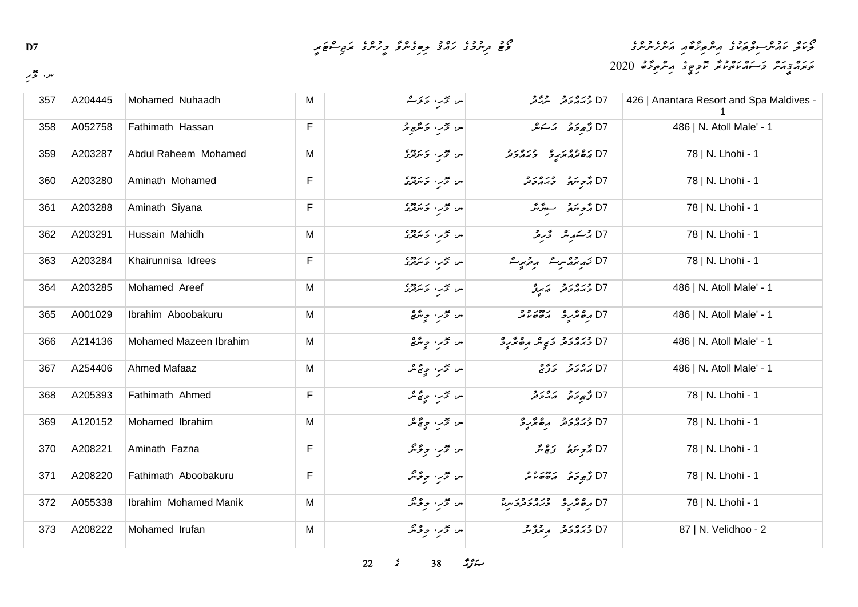*sCw7q7s5w7m< o<n9nOoAw7o< sCq;mAwBoEw7q<m; wBm;vB* م من المرة المرة المرة المرجع المرجع في المركبة 2020<br>مجم*د المريض المربوط المربع المرجع في المراجع المركبة* 

| 357 | A204445 | Mohamed Nuhaadh        | M            | س مخر، وَوَسْه    | D7 <i>ۋېرو دو په پروگو</i>                          | 426   Anantara Resort and Spa Maldives - |
|-----|---------|------------------------|--------------|-------------------|-----------------------------------------------------|------------------------------------------|
| 358 | A052758 | Fathimath Hassan       | F            | س تۆپ كەنگەنچ     | D7 <i>وَّەودَە بىستى</i> ر                          | 486   N. Atoll Male' - 1                 |
| 359 | A203287 | Abdul Raheem Mohamed   | M            | س می تردده        | D7 בטור ברייבי המבע                                 | 78   N. Lhohi - 1                        |
| 360 | A203280 | Aminath Mohamed        | $\mathsf F$  | س بيمر، كالمردوء  | D7 مُجِسَمُ حَمَدُ وَحَد                            | 78   N. Lhohi - 1                        |
| 361 | A203288 | Aminath Siyana         | $\mathsf{F}$ | س تخرب كالترويج   | D7 مُّجِسَعُ مِسَرَّسَ                              | 78   N. Lhohi - 1                        |
| 362 | A203291 | Hussain Mahidh         | M            | س تخريا كالرودي   | D7 يُرْسَمْ بِيْرِ مُتَّ تَحْرِيْدُ                 | 78   N. Lhohi - 1                        |
| 363 | A203284 | Khairunnisa Idrees     | F            | س تخرب كالترويج   | D7 ئەرىرگەس مەھمىيە مەرىپە                          | 78   N. Lhohi - 1                        |
| 364 | A203285 | Mohamed Areef          | M            | س محمر، كالروم    | D7 <i>وبروونز م<sub>ک</sub>برو</i>                  | 486   N. Atoll Male' - 1                 |
| 365 | A001029 | Ibrahim Aboobakuru     | M            | سرا بخرسا جي مثرج | 52, 72, 8, 8, 0                                     | 486   N. Atoll Male' - 1                 |
| 366 | A214136 | Mohamed Mazeen Ibrahim | M            | س عمر، جِسَّع     | D7 <i>בגמבית</i> כ <sub>בו</sub> ת ה- <i>מלי</i> כל | 486   N. Atoll Male' - 1                 |
| 367 | A254406 | <b>Ahmed Mafaaz</b>    | M            | س ترب چچ مگر      | D7 <i>كەندى ئۇقى</i>                                | 486   N. Atoll Male' - 1                 |
| 368 | A205393 | Fathimath Ahmed        | $\mathsf{F}$ | س عمر، جءٌ مر     | D7 <i>وَّجِوَدَةُ مَدْدَ</i> قَر                    | 78   N. Lhohi - 1                        |
| 369 | A120152 | Mohamed Ibrahim        | M            | س ترب چاچھ        | D7 <i>دېروبو م</i> وغر <i>ې</i> و                   | 78   N. Lhohi - 1                        |
| 370 | A208221 | Aminath Fazna          | F            | ساعي ويحمد        | D7 مَّ <i>جِيئَةُ وَيُح</i> مَّدُ                   | 78   N. Lhohi - 1                        |
| 371 | A208220 | Fathimath Aboobakuru   | $\mathsf F$  | س میں، وقت گ      | D7 <i>לפיכת הססי</i> ת                              | 78   N. Lhohi - 1                        |
| 372 | A055338 | Ibrahim Mohamed Manik  | M            | س عمي وقحنكر      | D7 رەئزىر ئەرەر دىر دە                              | 78   N. Lhohi - 1                        |
| 373 | A208222 | Mohamed Irufan         | M            | س مخر، وقريمه     | D7 <i>ڈیزودی پروگٹر</i>                             | 87   N. Velidhoo - 2                     |

**22** *s* **38** *n***<sub>s</sub>**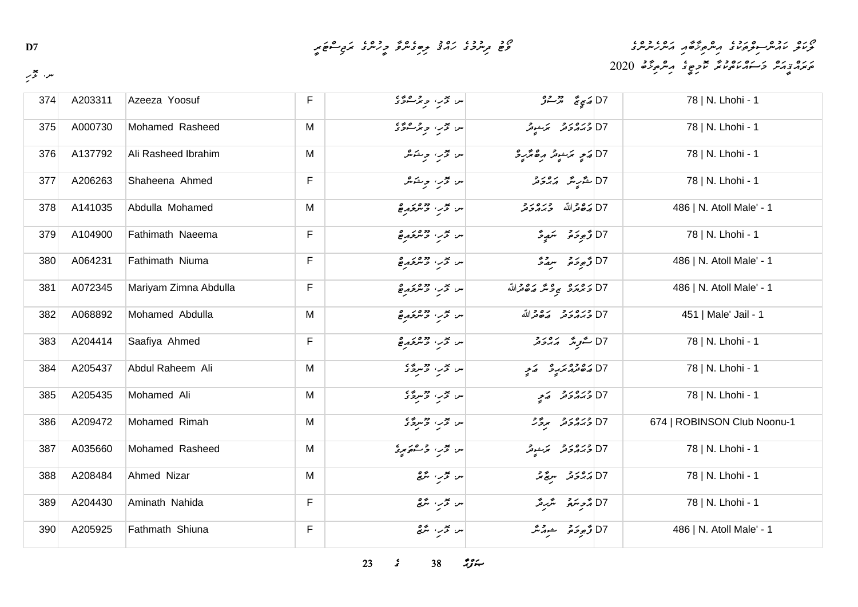*sCw7q7s5w7m< o<n9nOoAw7o< sCq;mAwBoEw7q<m; wBm;vB* م من المرة المرة المرة المرجع المرجع في المركبة 2020<br>مجم*د المريض المربوط المربع المرجع في المراجع المركبة* 

| 374 | A203311 | Azeeza Yoosuf         | $\mathsf F$ | س نور، ویژگوی      | D7 <i>ھَي چَ</i> مَرْتَسُو                           | 78   N. Lhohi - 1           |
|-----|---------|-----------------------|-------------|--------------------|------------------------------------------------------|-----------------------------|
| 375 | A000730 | Mohamed Rasheed       | M           | س تی، ویژگوی       | D7 <i>ۇنەۋەقى بى</i> رىيەتر                          | 78   N. Lhohi - 1           |
| 376 | A137792 | Ali Rasheed Ibrahim   | M           | س محمد وڪش         | D7 <i>مَجٍ بَرَحوثَ وِرةَ بُرْدِ</i> دْ              | 78   N. Lhohi - 1           |
| 377 | A206263 | Shaheena Ahmed        | F           | س تی، ویتمبر       | D7 ڪمبريگر <i>مرگرمگر</i>                            | 78   N. Lhohi - 1           |
| 378 | A141035 | Abdulla Mohamed       | M           | س تخرير ووحدهم     | D7 مَرْهُ مِّرْاللَّهُ وَبَرْمُ دَمَّرَ              | 486   N. Atoll Male' - 1    |
| 379 | A104900 | Fathimath Naeema      | $\mathsf F$ | س بيمب وحمير وهي   | D7 <i>وَّجِ دَمْ</i> سَمِيدً                         | 78   N. Lhohi - 1           |
| 380 | A064231 | Fathimath Niuma       | $\mathsf F$ | س علي المحمومة     | D7 <i>وَّجِ دَمْ</i> سِمْدً                          | 486   N. Atoll Male' - 1    |
| 381 | A072345 | Mariyam Zimna Abdulla | $\mathsf F$ | س تخريد وحمد معرضه | D7 <i>5 مُحْمَّدَة بِي حُمَّدَ مُ</i> حَقَّدِاللَّهُ | 486   N. Atoll Male' - 1    |
| 382 | A068892 | Mohamed Abdulla       | M           | س بيمر، وحريجه هي  | D7 32025 مَرْهُ قَدَاللّه                            | 451   Male' Jail - 1        |
| 383 | A204414 | Saafiya Ahmed         | F           | س بيمب وحمير وهي   | D7 گوپۇ ئەبرى ئى                                     | 78   N. Lhohi - 1           |
| 384 | A205437 | Abdul Raheem Ali      | M           | س ترب وحسرت        | D7 <i>مَـُهُ مَرْ مَـُرِ</i> دُّ مَـُمِّـرِ          | 78   N. Lhohi - 1           |
| 385 | A205435 | Mohamed Ali           | M           | س عرب وحسرتمون     | D7  <i>وټرون ټ</i> و                                 | 78   N. Lhohi - 1           |
| 386 | A209472 | Mohamed Rimah         | M           | س ترس وسرچ         | D7 <i>\$ \$ \$ \$ \$ \$</i> D7                       | 674   ROBINSON Club Noonu-1 |
| 387 | A035660 | Mohamed Rasheed       | M           | س نخر، وكرور ،     | D7 <i>\$نەۋەتى بى</i> شى <i>ق</i>                    | 78   N. Lhohi - 1           |
| 388 | A208484 | Ahmed Nizar           | M           | س عير، مثبي        | D7 <i>مَدْدَ دَ</i> رْ سِيِّ مْر                     | 78   N. Lhohi - 1           |
| 389 | A204430 | Aminath Nahida        | $\mathsf F$ | س بين شيخ          | D7 مَّ حِ سَمَّ مَّ سَرْبِيَّر                       | 78   N. Lhohi - 1           |
| 390 | A205925 | Fathmath Shiuna       | F           | الله، عمر من مثلثة | D7 <i>وَّجودَةْ</i> مُسْتَمَرَّةَ مُسَ               | 486   N. Atoll Male' - 1    |

**23** *s* **38** *n***<sub>y</sub> <b>***n*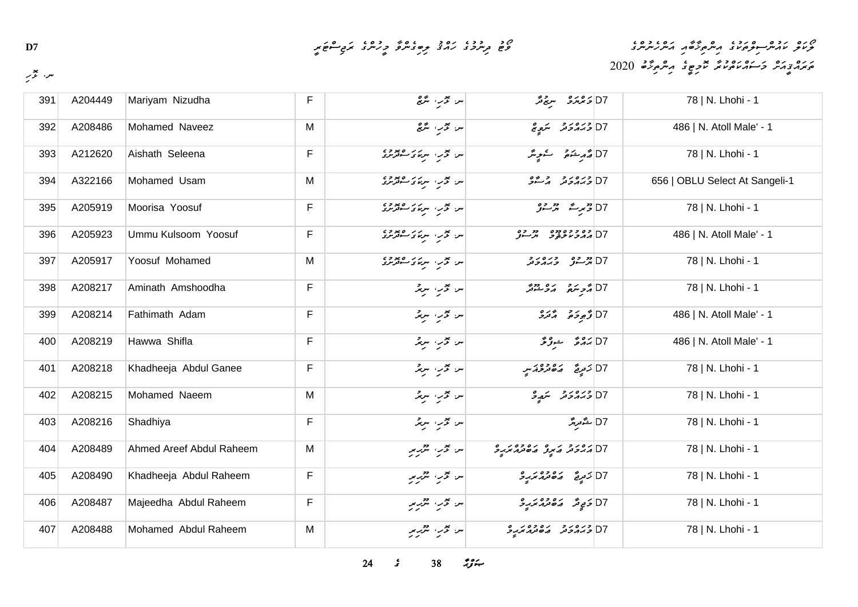*sCw7q7s5w7m< o<n9nOoAw7o< sCq;mAwBoEw7q<m; wBm;vB* م من المرة المرة المرة المرجع المرجع في المركبة 2020<br>مجم*د المريض المربوط المربع المرجع في المراجع المركبة* 

| 391 | A204449 | Mariyam Nizudha          | $\mathsf F$  | سر: عَرْبٍ، سَرَج                                | D7 <i>5 بحادة مع قد</i>                       | 78   N. Lhohi - 1              |
|-----|---------|--------------------------|--------------|--------------------------------------------------|-----------------------------------------------|--------------------------------|
| 392 | A208486 | Mohamed Naveez           | M            | س میخرب، سرچ                                     | D7 <i>\$22.25. سَعِي</i>                      | 486   N. Atoll Male' - 1       |
| 393 | A212620 | Aishath Seleena          | $\mathsf F$  | س محر، سربری معدو ہ<br>س                         | D7 <i>مۇم ھۇمۇسى سىمبويىت</i> ر               | 78   N. Lhohi - 1              |
| 394 | A322166 | Mohamed Usam             | M            | س میں سردی جوہ<br>س عرب سردی سفرس                | $323.3523$ D7                                 | 656   OBLU Select At Sangeli-1 |
| 395 | A205919 | Moorisa Yoosuf           | $\mathsf{F}$ | س میں سردی حدوہ<br>س کرے سودی                    | D7 تۇبىرىشە بۇر يۇم                           | 78   N. Lhohi - 1              |
| 396 | A205923 | Ummu Kulsoom Yoosuf      | $\mathsf F$  | میں مجمودہ اس میں صوبے ہ                         | 02 م 2999999 م 29<br>D7 <i>م م حرم حرم ح</i>  | 486   N. Atoll Male' - 1       |
| 397 | A205917 | Yoosuf Mohamed           | M            | س محمد، سربری معدود.<br> س محمد، سربری مسافر مرب | D7 پژىنى ئەمەد ئەرەبىر                        | 78   N. Lhohi - 1              |
| 398 | A208217 | Aminath Amshoodha        | $\mathsf F$  | ساعين سرچر                                       | D7 مَّحِ سَمَّةَ مَكَاشَّةَ مَّ               | 78   N. Lhohi - 1              |
| 399 | A208214 | Fathimath Adam           | $\mathsf{F}$ | س محمر، سرچر                                     | D7 <i>وَّجِ حَقَّ</i> مُحَمَّد <i>ُ</i>       | 486   N. Atoll Male' - 1       |
| 400 | A208219 | Hawwa Shifla             | F            | اللا عجب للرمجر                                  | D7 <i>بَدُهُمَّ</i> شَوَرْ حَمَّ              | 486   N. Atoll Male' - 1       |
| 401 | A208218 | Khadheeja Abdul Ganee    | $\mathsf F$  | للا عيس للرمز                                    | D7 <i>ڏي<sub>پ</sub>يج ھ</i> 9ترو <i>ھي</i> ر | 78   N. Lhohi - 1              |
| 402 | A208215 | Mohamed Naeem            | M            | س عمر، سرچر                                      | D7 <i>\$ 22.25 سَمِي</i> د                    | 78   N. Lhohi - 1              |
| 403 | A208216 | Shadhiya                 | $\mathsf{F}$ | للرا عجريا البريخة                               | D7 شَدَّمَرَدَّرُ                             | 78   N. Lhohi - 1              |
| 404 | A208489 | Ahmed Areef Abdul Raheem | M            | ساعيمي، مقرسبير                                  | D7 גפי 3 ג'יני ה' פינה ג'ינים                 | 78   N. Lhohi - 1              |
| 405 | A208490 | Khadheeja Abdul Raheem   | $\mathsf F$  | س <sup>،</sup> عرب مرض                           | D7 <i>ذَمِيعٌ حَدُّهُ مَدَبِ</i> وَ           | 78   N. Lhohi - 1              |
| 406 | A208487 | Majeedha Abdul Raheem    | F            | س محرب التركر مير                                | D7 <i>كَ فِي مَدَّ مَقْرَمْ مَرْبِ</i> وَ     | 78   N. Lhohi - 1              |
| 407 | A208488 | Mohamed Abdul Raheem     | M            | سن ميخرس <sup>، م</sup> شرسير                    | D7 כלהכת הסינה ביב                            | 78   N. Lhohi - 1              |

*24 sC 38 nNw?mS*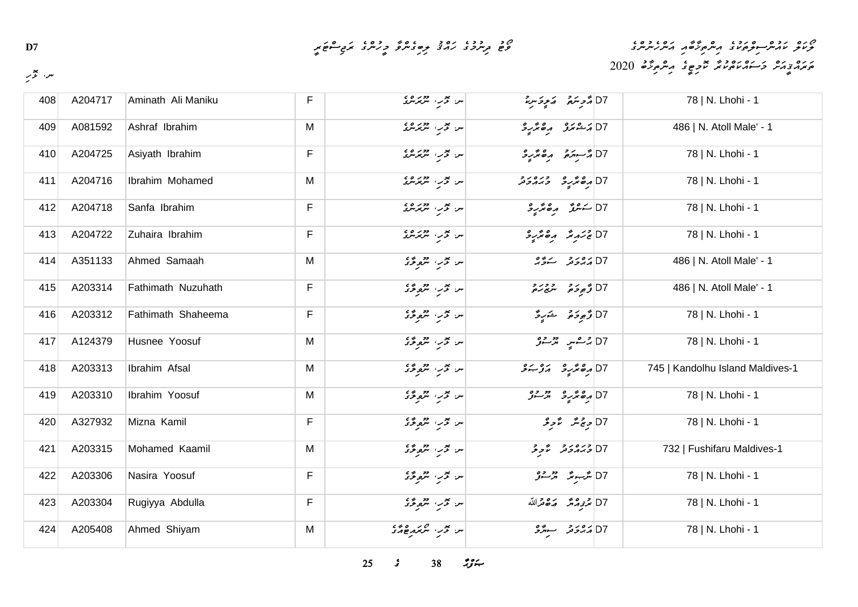*sCw7q7s5w7m< o<n9nOoAw7o< sCq;mAwBoEw7q<m; wBm;vB* م من المرة المرة المرة المرجع المرجع في المركبة 2020<br>مجم*د المريض المربوط المربع المرجع في المراجع المركبة* 

| 408 | A204717 | Aminath Ali Maniku | F | س تور، مورده و     | D7 مُحِسَمُ مَعِ دَسِرَ                          | 78   N. Lhohi - 1                |
|-----|---------|--------------------|---|--------------------|--------------------------------------------------|----------------------------------|
| 409 | A081592 | Ashraf Ibrahim     | M | س عرب معرض         | D7 كەشىمۇ م <i>ەھترى</i> دۇ                      | 486   N. Atoll Male' - 1         |
| 410 | A204725 | Asiyath Ibrahim    | F | س توپ متر مره م    | D7 مُ سِيرَة مِنْ مِرْبِيْرِ                     | 78   N. Lhohi - 1                |
| 411 | A204716 | Ibrahim Mohamed    | M | س عرب معرض         | D7 مەھەرى ئەمەدىر 79 مەدىر                       | 78   N. Lhohi - 1                |
| 412 | A204718 | Sanfa Ibrahim      | F | س میں میرسدہ       | D7 سَمَّتَرٌ مِـ صَمَّرِةٌ                       | 78   N. Lhohi - 1                |
| 413 | A204722 | Zuhaira Ibrahim    | F | بلاد محمر، فرحم وه | D7 ىن ئىرىتى مەھەتگە يەھ                         | 78   N. Lhohi - 1                |
| 414 | A351133 | Ahmed Samaah       | M | س عرب متروغه       | D7 <i>مُدْدَوْرٌ سُوَدُّرٌ</i>                   | 486   N. Atoll Male' - 1         |
| 415 | A203314 | Fathimath Nuzuhath | F | مىن ئۆپ ئىزەمۇر    | D7 <i>وَّجِوحَةُ</i> مُتَّمَّةٌ سَمَّةٌ          | 486   N. Atoll Male' - 1         |
| 416 | A203312 | Fathimath Shaheema | F | س عرب متروعي       | D7 <i>وَّجِ حَمَّى</i> شَرِّحَ                   | 78   N. Lhohi - 1                |
| 417 | A124379 | Husnee Yoosuf      | M | س عرب متروغه       | D7 پر شهر پر مرد و                               | 78   N. Lhohi - 1                |
| 418 | A203313 | Ibrahim Afsal      | M | س ميمر، مرحوفه ک   | D7 مەھەر بەر مەرىبەتە                            | 745   Kandolhu Island Maldives-1 |
| 419 | A203310 | Ibrahim Yoosuf     | M | مىن ئۇپ ئىزەمۇر    | D7 <sub>م</sub> ەمگرى <sub>د</sub> ى مەسىر       | 78   N. Lhohi - 1                |
| 420 | A327932 | Mizna Kamil        | F | س عمر التعمير فرد  | D7 <i>جي جيگھ گ</i> ڻ جو محر                     | 78   N. Lhohi - 1                |
| 421 | A203315 | Mohamed Kaamil     | M | س عمر، مقرومی      | D7  <i>\$نەۋەقە مۇج</i> ۇ                        | 732   Fushifaru Maldives-1       |
| 422 | A203306 | Nasira Yoosuf      | F | س عرب متروعي       | D7 مُدْسِع مُنْ مَرْسُورُ                        | 78   N. Lhohi - 1                |
| 423 | A203304 | Rugiyya Abdulla    | F | س عرب متروعي       | D7 <i>مُتَّةِ مُدَّةً مُدَّهَّةً مِ</i> لَّلَّهُ | 78   N. Lhohi - 1                |
| 424 | A205408 | Ahmed Shiyam       | M | س بيس شهره وره     | D7 <i>مَہُ دُوَ مَہِ مِیٹو</i>                   | 78   N. Lhohi - 1                |

 $25$  *s* 38 *n***<sub>3</sub>** *n***<sub>1</sub>**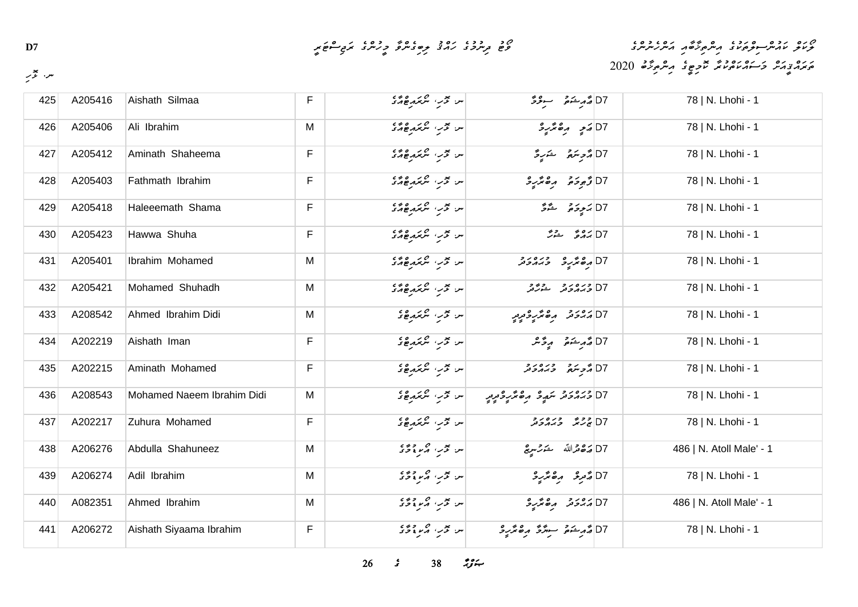*sCw7q7s5w7m< o<n9nOoAw7o< sCq;mAwBoEw7q<m; wBm;vB* م من المرة المرة المرة المرجع المرجع في المركبة 2020<br>مجم*د المريض المربوط المربع المرجع في المراجع المركبة* 

| 425 | A205416 | Aishath Silmaa             | F           | س ترب شرعه ۱۶۵۵    | D7 مۇرىشقۇ سوقۇق                                                | 78   N. Lhohi - 1        |
|-----|---------|----------------------------|-------------|--------------------|-----------------------------------------------------------------|--------------------------|
| 426 | A205406 | Ali Ibrahim                | M           | س علي شهر و ده     | D7 <i>مَجِ م</i> ِ مُ <i>مَّرِّ</i> دُ                          | 78   N. Lhohi - 1        |
| 427 | A205412 | Aminath Shaheema           | F           | س على المحمد معدد  | D7 مَّ <i>جِسَمَ</i> شَرِجَّ                                    | 78   N. Lhohi - 1        |
| 428 | A205403 | Fathmath Ibrahim           | F           | س تور، شهر ۱۶۵۵    | D7 <i>وَّجِوَدَةُ مِ</i> قْمَدِةِ                               | 78   N. Lhohi - 1        |
| 429 | A205418 | Haleeemath Shama           | F           | س بي مي مرده و ده  | D7 بَر <i>ُوِدَة</i> شَدَّدَّ                                   | 78   N. Lhohi - 1        |
| 430 | A205423 | Hawwa Shuha                | F           | س ترب سر مرده و ده | $\mathcal{Z}^2_{\text{max}} = \mathcal{Z}^2_{\text{max}} = 27.$ | 78   N. Lhohi - 1        |
| 431 | A205401 | Ibrahim Mohamed            | M           | س تي شهره مده      | D7 مەھزىرى ئىممى ئىل                                            | 78   N. Lhohi - 1        |
| 432 | A205421 | Mohamed Shuhadh            | M           | س على شهر مده      | D7 <i>وَبُرُودُوْ</i> شَرْ <i>دُوْ</i>                          | 78   N. Lhohi - 1        |
| 433 | A208542 | Ahmed Ibrahim Didi         | M           | س عن شهره وي       | D7 <i>גُ.څَ.څَر م</i> ُرگ <i>ر پُرو</i> مِرِمِرِ                | 78   N. Lhohi - 1        |
| 434 | A202219 | Aishath Iman               | F           | س ترب شريره وي     | D7 مۇم شەھ بوگەنگە                                              | 78   N. Lhohi - 1        |
| 435 | A202215 | Aminath Mohamed            | $\mathsf F$ | س ترب شهره وي      | D7 مُجِسَمُ حَمَدُ حَدَّ                                        | 78   N. Lhohi - 1        |
| 436 | A208543 | Mohamed Naeem Ibrahim Didi | M           | س عمر، سمعده ۱۶۵   | D7 <i>ב-200 سَمودٌ م</i> ُصَدِّر مُصَدِّرٍ وَمَدِمِرِ           | 78   N. Lhohi - 1        |
| 437 | A202217 | Zuhura Mohamed             | F           | س بيمر، شهره وي    | D7 ځرنمه وره د و                                                | 78   N. Lhohi - 1        |
| 438 | A206276 | Abdulla Shahuneez          | M           | س می رسم دور       | D7 كەڭداللە خەرجىسى                                             | 486   N. Atoll Male' - 1 |
| 439 | A206274 | Adil Ibrahim               | M           | ساعي المراجع       | D7 م <i>ۇمرى م&amp;مۇرى</i><br>—                                | 78   N. Lhohi - 1        |
| 440 | A082351 | Ahmed Ibrahim              | M           | للاعي وعبيدة       | D7 <i>مُدْدَوتر م</i> ِ <i>مُدَّرِدْ</i>                        | 486   N. Atoll Male' - 1 |
| 441 | A206272 | Aishath Siyaama Ibrahim    | F           | ساعي مهموده        | D7 مَّەبەشە ئەست <i>ەڭ م</i> ەھ <i>ت</i> رىبە                   | 78   N. Lhohi - 1        |

 $26$  *s* 38 *n***<sub>3</sub>** *n***<sub>3</sub>** *n***<sub>1</sub>**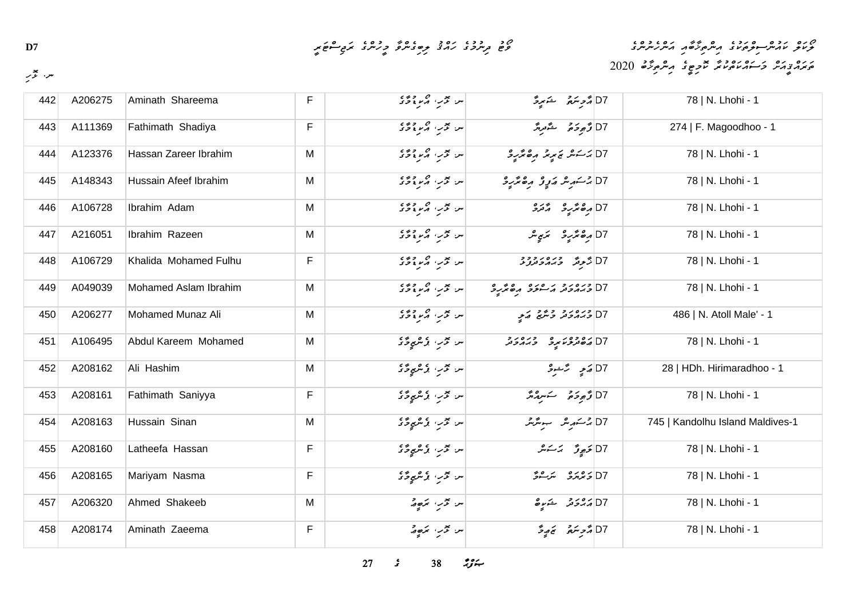*sCw7q7s5w7m< o<n9nOoAw7o< sCq;mAwBoEw7q<m; wBm;vB* م من المرة المرة المرة المرجع المرجع في المركبة 2020<br>مجم*د المريض المربوط المربع المرجع في المراجع المركبة* 

| 442 | A206275 | Aminath Shareema      | $\mathsf F$ | س ترب رکنده و ده    | D7 مَّ حِ سَمَّ مِ حَسَّمِ حَ                                                                                  | 78   N. Lhohi - 1                |
|-----|---------|-----------------------|-------------|---------------------|----------------------------------------------------------------------------------------------------------------|----------------------------------|
| 443 | A111369 | Fathimath Shadiya     | F           | س عرب ويتوجع        | D7 <i>وَّجِ حَمَّ</i> شَمْسِرَّرَ                                                                              | 274   F. Magoodhoo - 1           |
| 444 | A123376 | Hassan Zareer Ibrahim | M           | س محر، وسیع وی      | D7 ئەسەنگە ئ <sub>ە ئىر</sub> ىگە مەھە <i>گەر</i> 13                                                           | 78   N. Lhohi - 1                |
| 445 | A148343 | Hussain Afeef Ibrahim | M           | س عرب ويدوده        | D7 برُسَمبر شَرِ وَ مِنْ مِرْدِ وَ اللَّهِ مِنْ اللَّهِ مِنْ اللَّهِ مِنْ اللَّهِ مِنْ اللَّهِ مِنْ            | 78   N. Lhohi - 1                |
| 446 | A106728 | Ibrahim Adam          | M           | س محمر، وكرووي      | D7 مەھ <i>ئى</i> ر ئەر ئىرگىنى ئىل                                                                             | 78   N. Lhohi - 1                |
| 447 | A216051 | Ibrahim Razeen        | M           | سابيخر، ويحوجونجون  | D7 م <i>ەھترى</i> دۇ سىمپىر                                                                                    | 78   N. Lhohi - 1                |
| 448 | A106729 | Khalida Mohamed Fulhu | $\mathsf F$ | س عرب و سوء ده      | D7 <i>دَّجِينَ وَبَهُ وَمُوَوْعُ</i>                                                                           | 78   N. Lhohi - 1                |
| 449 | A049039 | Mohamed Aslam Ibrahim | M           | س ترس مرسوم دوم     | D7 دره در در مرده مرده شرد                                                                                     | 78   N. Lhohi - 1                |
| 450 | A206277 | Mohamed Munaz Ali     | M           | س محر، وسیع وی      | D7 <i>دې ده ده</i> و شرح کم                                                                                    | 486   N. Atoll Male' - 1         |
| 451 | A106495 | Abdul Kareem Mohamed  | M           | ساعي، بۇلىرىمۇ ئ    | D7 בטובני ביטר פיטר ביטר בי המודע בי המודע בי המודע בי המודע בי המודע בי המודע בי המודע בי המודע בי המודע בי ה | 78   N. Lhohi - 1                |
| 452 | A208162 | Ali Hashim            | M           | س بيمر، وكريم ومحمد | D7 <i>جَ مِي گَ</i> ھوڤ                                                                                        | 28   HDh. Hirimaradhoo - 1       |
| 453 | A208161 | Fathimath Saniyya     | F           | س ترب بۇ شېرىمى     | D7 ۇ <sub>جو</sub> رۇ سەمبەرگە                                                                                 | 78   N. Lhohi - 1                |
| 454 | A208163 | Hussain Sinan         | M           | ساعي، وكاللبي وحي   | D7 يُرْسَمَ بِهِ سِبْرَ سِبْرَ سِبْرَ بِلْدِ                                                                   | 745   Kandolhu Island Maldives-1 |
| 455 | A208160 | Latheefa Hassan       | $\mathsf F$ | س بيمر، وكريم ومح   | D7 ك <i>ۇچۇڭ بۇسكىل</i>                                                                                        | 78   N. Lhohi - 1                |
| 456 | A208165 | Mariyam Nasma         | $\mathsf F$ | س بيمر، بۇ شبېرۇ ئ  | D7 كۆپر <i>ۇ بىرگۇ</i>                                                                                         | 78   N. Lhohi - 1                |
| 457 | A206320 | Ahmed Shakeeb         | M           | س می نمود           | D7 كەبرى قىر ئىكەن ئى                                                                                          | 78   N. Lhohi - 1                |
| 458 | A208174 | Aminath Zaeema        | F           | س ترب برَجه ک       | D7 مُجِسَعَ بِمَ مِرْحٌ                                                                                        | 78   N. Lhohi - 1                |

*27 sC 38 nNw?mS*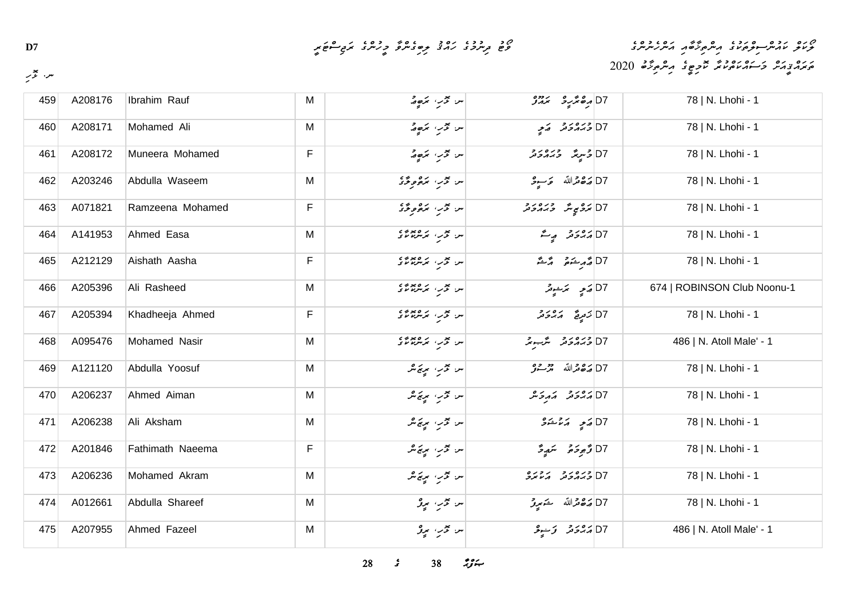*sCw7q7s5w7m< o<n9nOoAw7o< sCq;mAwBoEw7q<m; wBm;vB* م من المرة المرة المرة المرجع المرجع في المركبة 2020<br>مجم*د المريض المربوط المربع المرجع في المراجع المركبة* 

| 459 | A208176 | Ibrahim Rauf     | M | س ترب برَمٍ پر    | D7 <sub>م</sub> ەممەر بەدە بەدە           | 78   N. Lhohi - 1           |
|-----|---------|------------------|---|-------------------|-------------------------------------------|-----------------------------|
| 460 | A208171 | Mohamed Ali      | M | س ترب ترج و گ     | D7  <i>32,325 مَ</i> جِ                   | 78   N. Lhohi - 1           |
| 461 | A208172 | Muneera Mohamed  | F | س ترب ترجمه       | D7 ۇس <sub>ى</sub> نگە ئ <i>ۇنىۋى</i> خىر | 78   N. Lhohi - 1           |
| 462 | A203246 | Abdulla Waseem   | M | مراجي، بره و دمي  |                                           | 78   N. Lhohi - 1           |
| 463 | A071821 | Ramzeena Mohamed | F | س بيمر، بره وي    | D7 ىر <sub>ۇپچى</sub> ر ئ <i>ۇندۇ</i> تر  | 78   N. Lhohi - 1           |
| 464 | A141953 | Ahmed Easa       | M | س بیمر، بر مدور   | D7 <i>مَدْدُوَ مِي</i> مَصَّ              | 78   N. Lhohi - 1           |
| 465 | A212129 | Aishath Aasha    | F | س بېر، برەپرە»    | D7 صَّمِيشَمَّة صَّشَّة                   | 78   N. Lhohi - 1           |
| 466 | A205396 | Ali Rasheed      | M | مىن توپ ئەھمەدە ئ | D7 <i>۾َ جِ</i> - سَ <sub>جُ</sub> دِمَّر | 674   ROBINSON Club Noonu-1 |
| 467 | A205394 | Khadheeja Ahmed  | F | س میں مرہ موہ ہے  | D7 كَتَمِيعٌ مَدَّكَمَّرٌ                 | 78   N. Lhohi - 1           |
| 468 | A095476 | Mohamed Nasir    | M | س میں مرہ مدد ہ   | D7 <i>ۋېرودى سرگىيەنى</i>                 | 486   N. Atoll Male' - 1    |
| 469 | A121120 | Abdulla Yoosuf   | M | س میں سرچ مل      | D7 مَرْدَّقْرَاللَّهُ مَرْتَّوْرُ         | 78   N. Lhohi - 1           |
| 470 | A206237 | Ahmed Aiman      | M | س میں مریخ مگر    | D7 <i>ברבית ההבית</i>                     | 78   N. Lhohi - 1           |
| 471 | A206238 | Ali Aksham       | M | س میں سرچ مگر     | D7 <i>جَرِيدِ جَهْ</i> شُوَ               | 78   N. Lhohi - 1           |
| 472 | A201846 | Fathimath Naeema | F | س تخریا ہوتھ مگر  | D7 <i>وَّجِ دَمَّةَ سَمِي</i> دً          | 78   N. Lhohi - 1           |
| 473 | A206236 | Mohamed Akram    | M | س میں سرچ مل      | $5.22$ $5.22$                             | 78   N. Lhohi - 1           |
| 474 | A012661 | Abdulla Shareef  | M | س میں مرو         | D7 كەھەراللە خەمب <i>وت</i>               | 78   N. Lhohi - 1           |
| 475 | A207955 | Ahmed Fazeel     | M | س مخر، موثر       | D7 <i>222 ق-ي</i> وگر                     | 486   N. Atoll Male' - 1    |

**28** *s* **38** *n***<sub>y</sub> <b>***n*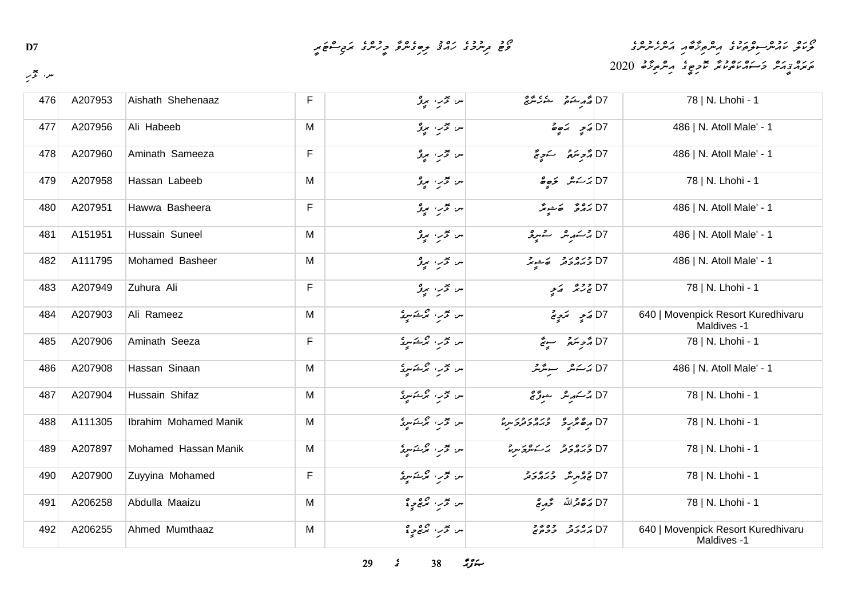*sCw7q7s5w7m< o<n9nOoAw7o< sCq;mAwBoEw7q<m; wBm;vB* م من المرة المرة المرة المرجع المرجع في المركبة 2020<br>مجم*د المريض المربوط المربع المرجع في المراجع المركبة* 

| 476 | A207953 | Aishath Shehenaaz     | $\mathsf{F}$ | س نژب برو                | D7 مەم ئىشمۇ ھەر ئىگەنج               | 78   N. Lhohi - 1                                 |
|-----|---------|-----------------------|--------------|--------------------------|---------------------------------------|---------------------------------------------------|
| 477 | A207956 | Ali Habeeb            | M            | س میں ہوؤ                | $\frac{2}{3}$ $\frac{2}{3}$ D7        | 486   N. Atoll Male' - 1                          |
| 478 | A207960 | Aminath Sameeza       | $\mathsf{F}$ | س میں مرو                | D7 مُجِسَعَةٍ سَعِيَّةٍ               | 486   N. Atoll Male' - 1                          |
| 479 | A207958 | Hassan Labeeb         | M            | س میں مرو                | D7 ئەسەئىر ئ <i>ۇھ</i>                | 78   N. Lhohi - 1                                 |
| 480 | A207951 | Hawwa Basheera        | $\mathsf{F}$ | س میں مرو                | D7 <i>بَدُهُ جَ</i> حَسِيمٌ           | 486   N. Atoll Male' - 1                          |
| 481 | A151951 | Hussain Suneel        | M            | س نژب برو                | D7 پرستہر شریعہ مقسر پو               | 486   N. Atoll Male' - 1                          |
| 482 | A111795 | Mohamed Basheer       | M            | س نژب برو                | D7 <i>وُبَهُ وَبَدْ</i> صَنْبِهُ      | 486   N. Atoll Male' - 1                          |
| 483 | A207949 | Zuhura Ali            | $\mathsf{F}$ | س عرب سرو                | D7 ىج <sup>2</sup> گە كەمچ            | 78   N. Lhohi - 1                                 |
| 484 | A207903 | Ali Rameez            | M            | س تور، ترڪسيءَ           | D7 <i>ھوچستوچ</i>                     | 640   Movenpick Resort Kuredhivaru<br>Maldives -1 |
| 485 | A207906 | Aminath Seeza         | $\mathsf{F}$ | س محمر، حركة سرى         | D7 مُجِسَعُهُ بِ يَجْ                 | 78   N. Lhohi - 1                                 |
| 486 | A207908 | Hassan Sinaan         | M            | س توپ گرڪسيءَ            | D7 ئەسەنگە سەمەتگەنگە                 | 486   N. Atoll Male' - 1                          |
| 487 | A207904 | Hussain Shifaz        | M            | س توپ نژیستوری           | D7 پرڪ <i>ير هي شوق چ</i>             | 78   N. Lhohi - 1                                 |
| 488 | A111305 | Ibrahim Mohamed Manik | M            | س تخريا الكركانيونج      | D7 مەھەر بەر ئەمەدە ئىرىدىن بىر       | 78   N. Lhohi - 1                                 |
| 489 | A207897 | Mohamed Hassan Manik  | M            | س میں محمد میں میں       | D7 <i>בגף פני גבית בית</i> ו          | 78   N. Lhohi - 1                                 |
| 490 | A207900 | Zuyyina Mohamed       | $\mathsf{F}$ | س محمر، حركة مر <u>ي</u> | D7 ج م <i>مبر ش</i> ر 19 <i>25 مر</i> | 78   N. Lhohi - 1                                 |
| 491 | A206258 | Abdulla Maaizu        | M            | س عرب حرج ج و م          | D7 مَەھتراللە مەم مى                  | 78   N. Lhohi - 1                                 |
| 492 | A206255 | Ahmed Mumthaaz        | M            | سن عمير، حريح جيءَ       | D7 كەبرو مەمى                         | 640   Movenpick Resort Kuredhivaru<br>Maldives -1 |

**29** *s* 38 *n***<sub>3</sub> <b>***n*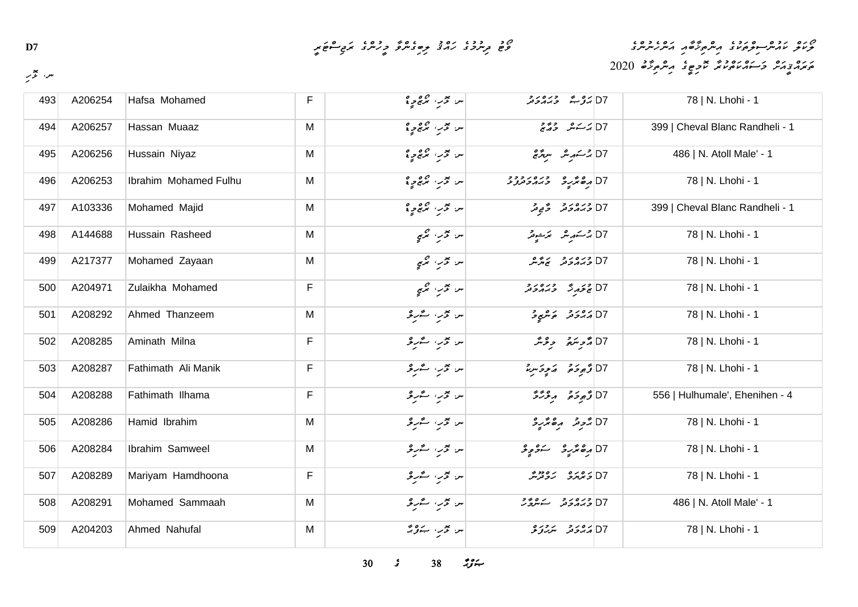*sCw7q7s5w7m< o<n9nOoAw7o< sCq;mAwBoEw7q<m; wBm;vB* م من المرة المرة المرة المرجع المرجع في المركبة 2020<br>مجم*د المريض المربوط المربع المرجع في المراجع المركبة* 

| 493 | A206254 | Hafsa Mohamed         | F | سالمحمر بالمحتجر في والمحمد | D7 ئەۋىبە دېرەدىر                     | 78   N. Lhohi - 1               |
|-----|---------|-----------------------|---|-----------------------------|---------------------------------------|---------------------------------|
| 494 | A206257 | Hassan Muaaz          | M | س می می می د م              | D7 ئەسەھەر جۇيج                       | 399   Cheval Blanc Randheli - 1 |
| 495 | A206256 | Hussain Niyaz         | M | س عمر، موجود و              | D7 بر سمبر شرید میں پڑھی              | 486   N. Atoll Male' - 1        |
| 496 | A206253 | Ibrahim Mohamed Fulhu | M | مراجع مبارج وج              | D7 مەھمەر 250,000 دو                  | 78   N. Lhohi - 1               |
| 497 | A103336 | Mohamed Majid         | M | اللا عمي، حرج دي            | D7 <i>\$ پر \$ ي ق ق ق</i> ر          | 399   Cheval Blanc Randheli - 1 |
| 498 | A144688 | Hussain Rasheed       | M | سن عمير، عمد سمج            | D7 پرڪيريش ڪرش <sub>ي</sub> وٽر       | 78   N. Lhohi - 1               |
| 499 | A217377 | Mohamed Zayaan        | M | س محر، عربي                 | D7 <i>ۋېزودو خ</i> گرى <i>گ</i>       | 78   N. Lhohi - 1               |
| 500 | A204971 | Zulaikha Mohamed      | F | س عين حمي                   | D7 ىخ <i>قرىر ئى ئىم قى</i> ر قىر     | 78   N. Lhohi - 1               |
| 501 | A208292 | Ahmed Thanzeem        | M | س عمي، ڪري                  | D7 <i>مَدْدَوْرْ م</i> ُسْمِوْدُ      | 78   N. Lhohi - 1               |
| 502 | A208285 | Aminath Milna         | F | س عمر الشرع                 | D7 مُ <i>جِ سَمَعُ</i> جِنْ مِحْسَّر  | 78   N. Lhohi - 1               |
| 503 | A208287 | Fathimath Ali Manik   | F | س بيمب، ڪريو                | D7 ژ <sub>ېپو</sub> ځنځ پرېژسر        | 78   N. Lhohi - 1               |
| 504 | A208288 | Fathimath Ilhama      | F | س محمر، سفر فحر             | D7 تۇ <sub>جو</sub> خۇ ب <i>روڭ</i> ۇ | 556   Hulhumale', Ehenihen - 4  |
| 505 | A208286 | Hamid Ibrahim         | M | س عمر، سفری                 |                                       | 78   N. Lhohi - 1               |
| 506 | A208284 | Ibrahim Samweel       | M | س عمر، سفریخه               | D7 ب <i>ەھترى</i> دۇ س <i>ەۋەپ</i> ۇ  | 78   N. Lhohi - 1               |
| 507 | A208289 | Mariyam Hamdhoona     | F | س بيمر، ستربحه              | D7 كەيمەر بەر ئەرتىر                  | 78   N. Lhohi - 1               |
| 508 | A208291 | Mohamed Sammaah       | M | س بيمب ستربح                | D7 <i>3222 كىلا</i> پىر               | 486   N. Atoll Male' - 1        |
| 509 | A204203 | Ahmed Nahufal         | M | س میں سودی                  | D7 <i>ړې دی سرچ ی</i> و               | 78   N. Lhohi - 1               |

**30** *s* **38** *n***<sub>y</sub><sub>***s***</sub>**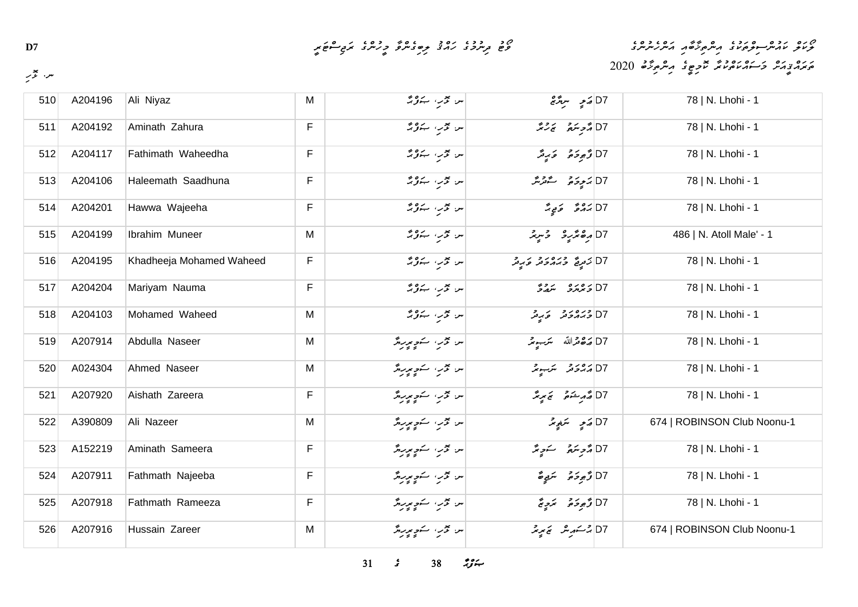*sCw7q7s5w7m< o<n9nOoAw7o< sCq;mAwBoEw7q<m; wBm;vB* م من المرة المرة المرة المرجع المرجع في المركبة 2020<br>مجم*د المريض المربوط المربع المرجع في المراجع المركبة* 

| 510 | A204196 | Ali Niyaz                | M            | س محرب سووی                 | D7 <i>۾ چسر پڻ</i>                     | 78   N. Lhohi - 1           |
|-----|---------|--------------------------|--------------|-----------------------------|----------------------------------------|-----------------------------|
| 511 | A204192 | Aminath Zahura           | F            | س میں سودی                  | D7 مَّ حِسَمَةٌ بِمَ <sup>2</sup> مَّد | 78   N. Lhohi - 1           |
| 512 | A204117 | Fathimath Waheedha       | F            | س میں سودی                  | D7 <i>وَّجِ حَمَّى وَبِ</i> يَّرَ      | 78   N. Lhohi - 1           |
| 513 | A204106 | Haleemath Saadhuna       | $\mathsf F$  | س میں سودی                  | D7 ئەي <sub>ر</sub> ىزۇ شەرىگە         | 78   N. Lhohi - 1           |
| 514 | A204201 | Hawwa Wajeeha            | $\mathsf{F}$ | س میں سودی                  | D7 <i>بَدُهُ وَ وَي دُّ</i>            | 78   N. Lhohi - 1           |
| 515 | A204199 | Ibrahim Muneer           | M            | س میں ہوئ                   | D7 م <i>ەھترى</i> رو ئىب <i>رى</i> ر   | 486   N. Atoll Male' - 1    |
| 516 | A204195 | Khadheeja Mohamed Waheed | F            | س میں سویڈ                  | D7 دَمِيعٌ   دَبَرُ دَبَرٌ   وَبِيتَر  | 78   N. Lhohi - 1           |
| 517 | A204204 | Mariyam Nauma            | F            | س میں سودی                  | D7 <i>وَ بُرْمَرْ وَ سَهْرَةُ</i>      | 78   N. Lhohi - 1           |
| 518 | A204103 | Mohamed Waheed           | M            | س میں سودی                  | D7 <i>\$ پروڅو وَپ</i> وتر             | 78   N. Lhohi - 1           |
| 519 | A207914 | Abdulla Naseer           | M            | س تخريا ڪوپرندگا            | D7 كَدَهْ مْدْاللّه مْدَسِيْتْمْر      | 78   N. Lhohi - 1           |
| 520 | A024304 | Ahmed Naseer             | M            | اس تور، سکوپررنگ            | D7 <i>2, 25 مگرسوم</i> گر              | 78   N. Lhohi - 1           |
| 521 | A207920 | Aishath Zareera          | $\mathsf F$  | اس تور، سکوپررنگ            | D7 مەم ئىقىم ئىم ئىرىتىگە              | 78   N. Lhohi - 1           |
| 522 | A390809 | Ali Nazeer               | M            | اس تور، سکوپررنگ            | D7 <i>مَيْ سَمِي</i> مُ                | 674   ROBINSON Club Noonu-1 |
| 523 | A152219 | Aminath Sameera          | $\mathsf{F}$ | س تور، سکوپرزیگر            | D7 مَّ حِ سَمَّ مَ سَمَّ حِيمًّا       | 78   N. Lhohi - 1           |
| 524 | A207911 | Fathmath Najeeba         | F            | اس تور، سکوپررنگ            | D7 تَ <i>وجوح</i> دُ سَمَعٍ صَّ        | 78   N. Lhohi - 1           |
| 525 | A207918 | Fathmath Rameeza         | $\mathsf F$  | اللا المجر، السكوليوسر مر   | D7 تَ <i>وجوه مَ</i> حِيمً             | 78   N. Lhohi - 1           |
| 526 | A207916 | Hussain Zareer           | M            | اللاء المحربا السكوية بريدة | D7 بڑے ہر شہر کا کا پر بڑ              | 674   ROBINSON Club Noonu-1 |

**31** *s* **38** *n***<sub>y</sub> <b>***n*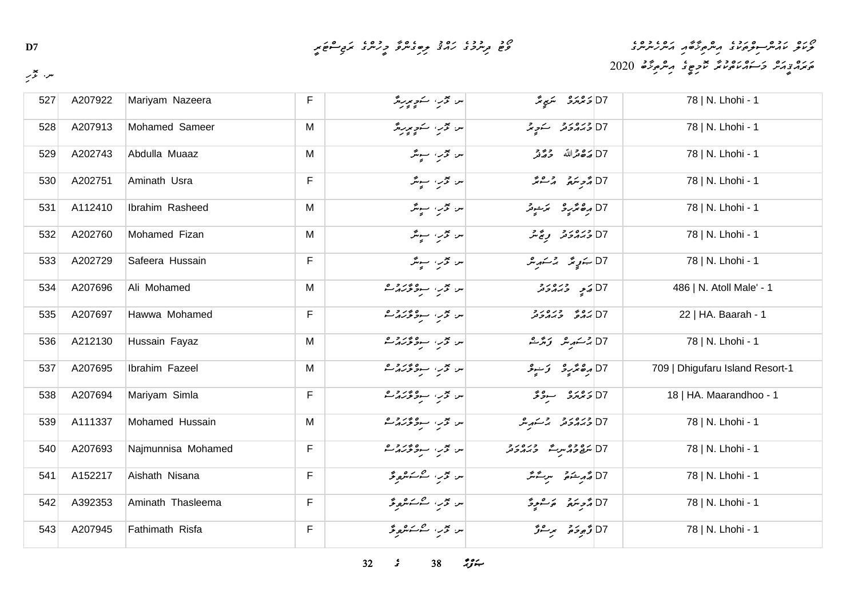*sCw7q7s5w7m< o<n9nOoAw7o< sCq;mAwBoEw7q<m; wBm;vB* م من المرة المرة المرة المرجع المرجع في المركبة 2020<br>مجم*د المريض المربوط المربع المرجع في المراجع المركبة* 

| 527 | A207922 | Mariyam Nazeera    | F           | اس توپ ڪوپريدگر      | D7 <i>كۈچرى ئىتى بى</i> گە                         | 78   N. Lhohi - 1               |
|-----|---------|--------------------|-------------|----------------------|----------------------------------------------------|---------------------------------|
| 528 | A207913 | Mohamed Sameer     | M           | س توپ سکوپریدگا      | D7 <i>\$2,22 مئوپۇ</i>                             | 78   N. Lhohi - 1               |
| 529 | A202743 | Abdulla Muaaz      | M           | س عمر، سومگر         | D7 مَرْحْمَدْاللّه وَمَرْفَر                       | 78   N. Lhohi - 1               |
| 530 | A202751 | Aminath Usra       | $\mathsf F$ | س میخریا سونٹر       | D7 مُجِيبَع <sub>ة م</sub> ِسْتَمَّد               | 78   N. Lhohi - 1               |
| 531 | A112410 | Ibrahim Rasheed    | M           | س میخریا سوینگر      | D7 مەھەر بۇ سىم ئىشىر ئىس                          | 78   N. Lhohi - 1               |
| 532 | A202760 | Mohamed Fizan      | M           | س مخرس سومگر         | D7 <i>\$ ئەممى خىر بىغ ئى</i> ر                    | 78   N. Lhohi - 1               |
| 533 | A202729 | Safeera Hussain    | F           | س میخر، سونگر        | D7 ج <i>نوپنگ چرڪوپنگ</i> ر                        | 78   N. Lhohi - 1               |
| 534 | A207696 | Ali Mohamed        | M           | س عرب سوفر محرکر مثل | D7 <i>مَجِ حَدَّدْوَ</i> تَرُ                      | 486   N. Atoll Male' - 1        |
| 535 | A207697 | Hawwa Mohamed      | F           | س عرب سوڭ مەدىر م    | D7 <i>ב</i> מב <i>בבחב</i> ע                       | 22   HA. Baarah - 1             |
| 536 | A212130 | Hussain Fayaz      | M           | مرسمي، سوفر مرد ه    | D7 يُرسَمهِ مَثَرَّ مَدَّرَ مَثَرَ مِسَ            | 78   N. Lhohi - 1               |
| 537 | A207695 | Ibrahim Fazeel     | M           | س عرب سوفر محرکر مثل | D7 ب <i>ر&amp;ټرْرِ \$ زَخو</i> گر                 | 709   Dhigufaru Island Resort-1 |
| 538 | A207694 | Mariyam Simla      | F           | س عرب سوفر محرکر مثل | D7 <i>وَ بُرْمَرْ وَ</i> مُسِوْعٌرُ                | 18   HA. Maarandhoo - 1         |
| 539 | A111337 | Mohamed Hussain    | M           | س عرب سوفر محرکر مثل | D7 <i>ۋىزودۇ بى-ئىرىش</i>                          | 78   N. Lhohi - 1               |
| 540 | A207693 | Najmunnisa Mohamed | F           | س عرب سوڤ محرکہ م    | D7 <i>بَرَقْ وَ مُرْسِرٌ وَيَ</i> مُ <i>وَفَرْ</i> | 78   N. Lhohi - 1               |
| 541 | A152217 | Aishath Nisana     | F           | س عن سكستكره عمره    | D7 مۇم شەھ سىرىشىتىر                               | 78   N. Lhohi - 1               |
| 542 | A392353 | Aminath Thasleema  | $\mathsf F$ | س عن، سىگە شەھرىم    | D7 مَّ <i>جِيئَة بِيَ جُهْدٍ مَ</i>                | 78   N. Lhohi - 1               |
| 543 | A207945 | Fathimath Risfa    | F           | س عرب كے كے محروفة   | D7 <i>وَّجوحَمْ بِرِ</i> سُرُّ                     | 78   N. Lhohi - 1               |

**32** *s* **38** *n***<sub>y</sub> <b>***n*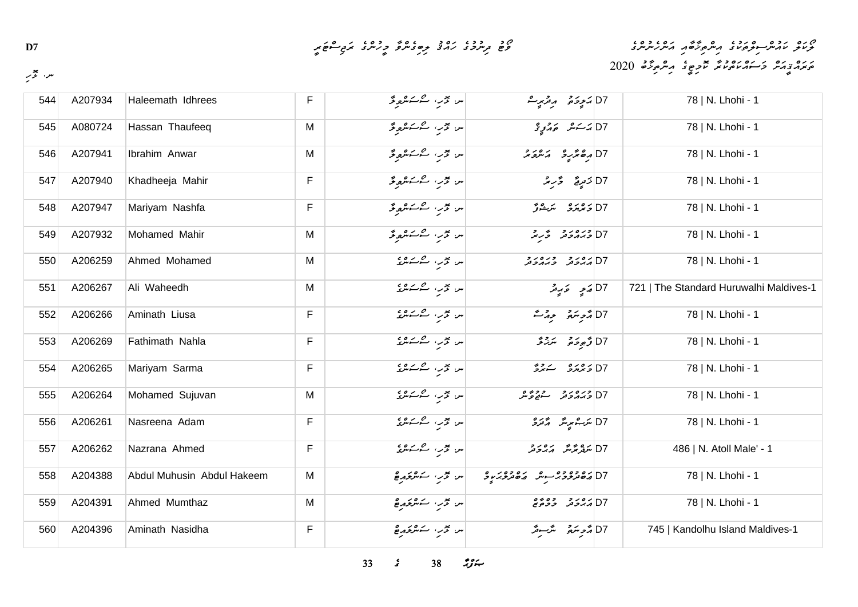*sCw7q7s5w7m< o<n9nOoAw7o< sCq;mAwBoEw7q<m; wBm;vB* م من المرة المرة المرة المرجع المرجع في المركبة 2020<br>مجم*د المريض المربوط المربع المرجع في المراجع المركبة* 

| 544 | A207934 | Haleemath Idhrees          | $\mathsf F$ | س بير، ڪسگرمونگر      | D7 ئىرچە ئەر ئىرىدىشە                      | 78   N. Lhohi - 1                       |
|-----|---------|----------------------------|-------------|-----------------------|--------------------------------------------|-----------------------------------------|
| 545 | A080724 | Hassan Thaufeeq            | M           | س عن سكستورغرغرغرغر   | D7 <i>بَدَــن</i> َسْ مَ <i>وَدْوِ</i> يْر | 78   N. Lhohi - 1                       |
| 546 | A207941 | Ibrahim Anwar              | M           | س عن سكستورغرغرغرغر   | D7 مەھمگرى ئەشھىم                          | 78   N. Lhohi - 1                       |
| 547 | A207940 | Khadheeja Mahir            | $\mathsf F$ | س عن سكسكر هيو محمد   | D7 كَتْمِيعٌ - قُرْبِكْرُ -                | 78   N. Lhohi - 1                       |
| 548 | A207947 | Mariyam Nashfa             | $\mathsf F$ | س عن، سىگە شەھرىم     | D7 كۆپر <i>ۇ بىرىشۇ</i>                    | 78   N. Lhohi - 1                       |
| 549 | A207932 | Mohamed Mahir              | M           | س بيس، ڪريمبرونگر     | D7 <i>\$ \$ \$ \$ \$ ب</i> ر               | 78   N. Lhohi - 1                       |
| 550 | A206259 | Ahmed Mohamed              | M           | مىن ئۇر، سەسكەندى     | D7 <i>ביכת כבחכת</i>                       | 78   N. Lhohi - 1                       |
| 551 | A206267 | Ali Waheedh                | M           | س عرب سكە يەھ يو      | D7 <i>ھَ۔ وَب</i> ِعْر                     | 721   The Standard Huruwalhi Maldives-1 |
| 552 | A206266 | Aminath Liusa              | $\mathsf F$ | س عربا سكسكره ع       | D7 مَّحِبَّتَهُ مِهْتُ ا                   | 78   N. Lhohi - 1                       |
| 553 | A206269 | Fathimath Nahla            | $\mathsf F$ | مين عمر المحرم ويده ع | D7 <i>وَّجِ دَمْ</i> سَر <i>َدْ</i> دُّ    | 78   N. Lhohi - 1                       |
| 554 | A206265 | Mariyam Sarma              | $\mathsf F$ | س عرب ڪسڪري ۽         | D7 ئ <i>ۇندۇ سەندۇ</i>                     | 78   N. Lhohi - 1                       |
| 555 | A206264 | Mohamed Sujuvan            | M           | س عرب، ڪڪشڪ           | D7 <i>دې ده د په دوه</i> و                 | 78   N. Lhohi - 1                       |
| 556 | A206261 | Nasreena Adam              | $\mathsf F$ | لىن عمر، سى ئەمىرى    | D7 ىترىبىگورى <i>گە بەڭ ت</i> ور           | 78   N. Lhohi - 1                       |
| 557 | A206262 | Nazrana Ahmed              | $\mathsf F$ | لىن عمر، سى ئەمىرى    | D7 <i>سَوْبَرْبَرُّ مَدْدَوْرُ</i>         | 486   N. Atoll Male' - 1                |
| 558 | A204388 | Abdul Muhusin Abdul Hakeem | M           | س عرب سك مشركة مريح   | D7 مەھ ترىرى مەھ مەھ ترىر بىر ي            | 78   N. Lhohi - 1                       |
| 559 | A204391 | Ahmed Mumthaz              | M           | س ترب سكتروكرو        | D7 <i>ביביב</i> ככלים                      | 78   N. Lhohi - 1                       |
| 560 | A204396 | Aminath Nasidha            | $\mathsf F$ | مين عرب سكورة مع      | D7 مَّحِ سَمَّةً مَّ سَنَّةً               | 745   Kandolhu Island Maldives-1        |

**33** *s* **38** *n***<sub>y</sub> <b>***n*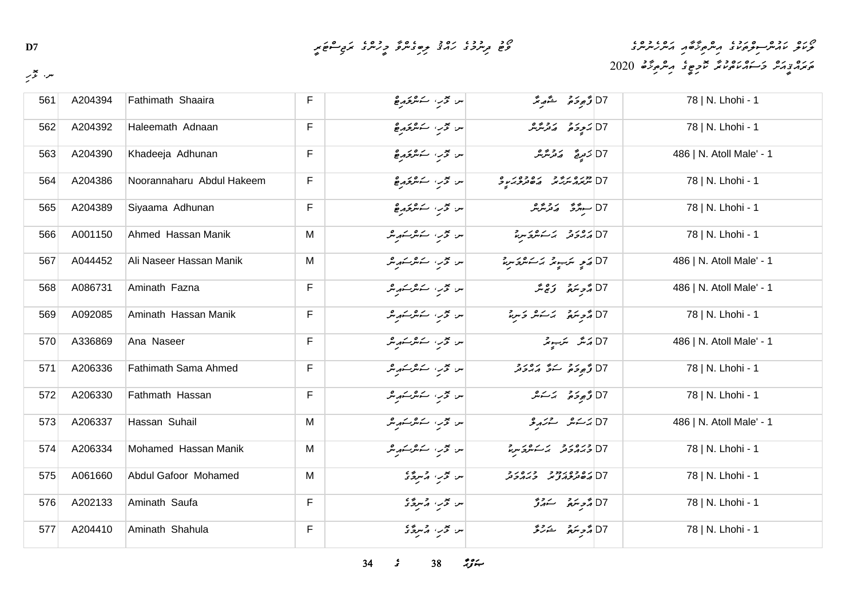*sCw7q7s5w7m< o<n9nOoAw7o< sCq;mAwBoEw7q<m; wBm;vB* م من المرة المرة المرة المرجع المرجع في المركبة 2020<br>مجم*د المريض المربوط المربع المرجع في المراجع المركبة* 

| 561 | A204394 | Fathimath Shaaira         | $\mathsf F$ | س عن سكر محمد ه    | D7 وَّجِوحَةُ شَّهِ يَّزُ                      | 78   N. Lhohi - 1        |
|-----|---------|---------------------------|-------------|--------------------|------------------------------------------------|--------------------------|
| 562 | A204392 | Haleemath Adnaan          | F           | س توب سەھەم ھ      | D7 <i>ټوچي چېرېر ش</i>                         | 78   N. Lhohi - 1        |
| 563 | A204390 | Khadeeja Adhunan          | F           | س توب سەھەم ھ      | D7 كەنبەت <sub>ى</sub> كەنترىترىتر             | 486   N. Atoll Male' - 1 |
| 564 | A204386 | Noorannaharu Abdul Hakeem | F           | س ترب سەھرىرە ھ    | D7 شهره بروج ده مودی بود                       | 78   N. Lhohi - 1        |
| 565 | A204389 | Siyaama Adhunan           | F           | مراجعي سكورة       | D7 س <i>ېنگۇ مەترىترىتر</i>                    | 78   N. Lhohi - 1        |
| 566 | A001150 | Ahmed Hassan Manik        | M           | س بير، ڪيرڪارير    | D7 <i>مُدْدَوْرْ بْ</i> كْسْرْمُرْسِرْ         | 78   N. Lhohi - 1        |
| 567 | A044452 | Ali Naseer Hassan Manik   | M           | س عرب سەھرىتىمەنگە | D7 <i>בَ</i> جِ سَرَسِيمُ بَرَسَمْهُ مِرْيَرَ  | 486   N. Atoll Male' - 1 |
| 568 | A086731 | Aminath Fazna             | F           | س عرب سەھەسەر ھ    | D7 مَّ <i>جِيئَةْ وَيُح</i> شَّ                | 486   N. Atoll Male' - 1 |
| 569 | A092085 | Aminath Hassan Manik      | F           | س عرب سەھرىتىمەنگە | D7 <i>مُّجِسَعْ بِرَسَ</i> سُ <i>حَسِينَ</i>   | 78   N. Lhohi - 1        |
| 570 | A336869 | Ana Naseer                | F           | س بير، سەھرىئەر ھ  | D7 كەنگە - ئىزىبونى <i>گ</i> ە                 | 486   N. Atoll Male' - 1 |
| 571 | A206336 | Fathimath Sama Ahmed      | F           | س بير، ڪيرڪارير    | D7 <i>وُجِع</i> ْءَ صَمَّرَ مَ <sup>رو</sup> د | 78   N. Lhohi - 1        |
| 572 | A206330 | Fathmath Hassan           | F           | س بير، ڪيرڪيرير    | D7 <i>وَّجِوحَ</i> جَمَعَ سَمَعْر              | 78   N. Lhohi - 1        |
| 573 | A206337 | Hassan Suhail             | M           | س بير، ڪيرڪيرير    | D7 ئەسەبىر ئە <i>مەم</i> بۇ                    | 486   N. Atoll Male' - 1 |
| 574 | A206334 | Mohamed Hassan Manik      | M           | س عرب سەھەسەر ھ    | D7 <i>وَيُهُوَفُرْ بِيُ</i> سُبُوْسِرِ         | 78   N. Lhohi - 1        |
| 575 | A061660 | Abdul Gafoor Mohamed      | M           | س ترب و سرچری      | D7 ره وه برود و و ده د و                       | 78   N. Lhohi - 1        |
| 576 | A202133 | Aminath Saufa             | F           | س عمر المستعدة و   | D7 مُجِيبَهُ سَهْرُزٌ                          | 78   N. Lhohi - 1        |
| 577 | A204410 | Aminath Shahula           | F           | من عمر، ومبروي     | D7 مَّحِ سَمَّةٌ مَشَرْقَةٌ                    | 78   N. Lhohi - 1        |

**34** *s* 38 *n***<sub>y</sub>** *s*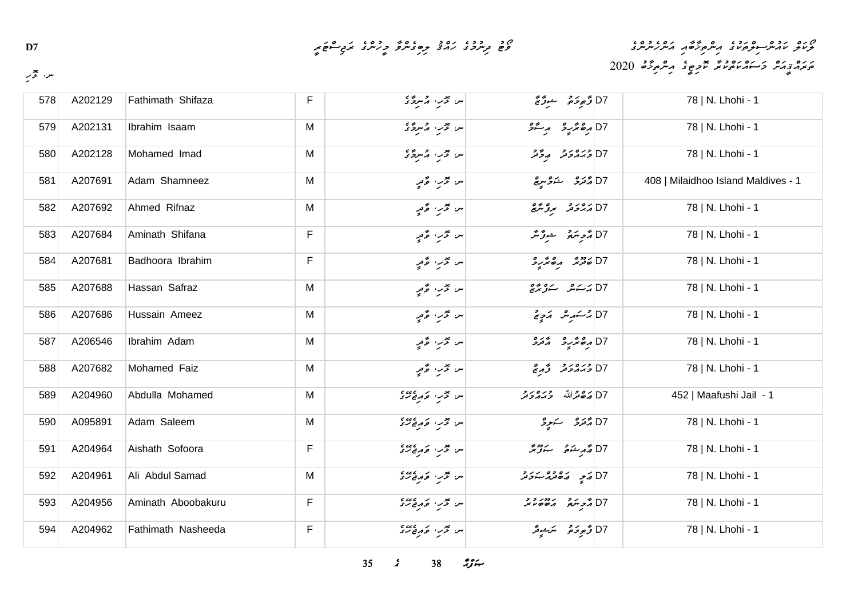*sCw7q7s5w7m< o<n9nOoAw7o< sCq;mAwBoEw7q<m; wBm;vB* م من المرة المرة المرة المرجع المرجع في المركبة 2020<br>مجم*د المريض المربوط المربع المرجع في المراجع المركبة* 

| 578 | A202129 | Fathimath Shifaza  | $\mathsf F$  | س ترب المسرحانى        | D7 <i>وَّجِودَة</i> مُسِوَّجَ             | 78   N. Lhohi - 1                   |
|-----|---------|--------------------|--------------|------------------------|-------------------------------------------|-------------------------------------|
| 579 | A202131 | Ibrahim Isaam      | M            | س عمر المستعمر         | D7 ب <i>رھ بڑر دھ م</i> رگو               | 78   N. Lhohi - 1                   |
| 580 | A202128 | Mohamed Imad       | M            | س ترس المسرحي          | D7 <i>\$ پروگو م</i> وگو                  | 78   N. Lhohi - 1                   |
| 581 | A207691 | Adam Shamneez      | M            | س محر، حٌمدٍ           | D7 م <i>گرى ھۇمبرى</i>                    | 408   Milaidhoo Island Maldives - 1 |
| 582 | A207692 | Ahmed Rifnaz       | M            | س محر، حٌمدٍ           | D7 <i>م.دۇمۇ بېرىش</i> ى                  | 78   N. Lhohi - 1                   |
| 583 | A207684 | Aminath Shifana    | $\mathsf F$  | س محر، حٌمدٍ           | D7 مَّ حِ سَمَّ مَ سِوَّ سَّرَ            | 78   N. Lhohi - 1                   |
| 584 | A207681 | Badhoora Ibrahim   | F            | س میں گھر              | D7 <i>ھنرىگە مەھىگرى</i> دۇ               | 78   N. Lhohi - 1                   |
| 585 | A207688 | Hassan Safraz      | M            | س ميمر، حٌمدٍ          | D7 ئەسەمىر سەۋىترى                        | 78   N. Lhohi - 1                   |
| 586 | A207686 | Hussain Ameez      | M            | س محر، حٌمدٍ           | D7 برڪهر مګر مرکزي                        | 78   N. Lhohi - 1                   |
| 587 | A206546 | Ibrahim Adam       | M            | س محر، حٌمدٍ           | D7 <sub>م</sub> ەنگەپ <sup>ى م</sup> ەمكى | 78   N. Lhohi - 1                   |
| 588 | A207682 | Mohamed Faiz       | M            | س ميحر، حٌمدٍ          | D7 <i>جَهُدُوَنَ وُ</i> مِعْ              | 78   N. Lhohi - 1                   |
| 589 | A204960 | Abdulla Mohamed    | M            | س میں مقصوری           | D7 مَرْهُ مِّرَاللَّهُ وَبَرْمُ دَمَّرَ   | 452   Maafushi Jail - 1             |
| 590 | A095891 | Adam Saleem        | M            | من محمر، حَهرِ عربه ع  | D7 مُمَترد مستوفر                         | 78   N. Lhohi - 1                   |
| 591 | A204964 | Aishath Sofoora    | $\mathsf{F}$ | س می به عدد عدد        | D7 مۇم شىمۇ سىز <i>ەتت</i>                | 78   N. Lhohi - 1                   |
| 592 | A204961 | Ali Abdul Samad    | M            | من محيم، الحمد مع من و | D7 <i>مَجِ مَـُ مَدَّرْ مَـَ دَوْ</i>     | 78   N. Lhohi - 1                   |
| 593 | A204956 | Aminath Aboobakuru | $\mathsf F$  | س تخریک تم وقی مرت     | $2222$ $242$ $27$ $29$                    | 78   N. Lhohi - 1                   |
| 594 | A204962 | Fathimath Nasheeda | F            | س میں کھرہے ہے         | D7 <i>وَّجِ دَمَ</i> سَنِسِوْرَ           | 78   N. Lhohi - 1                   |

**35** *s* **38** *n***<sub>y</sub> <b>***n*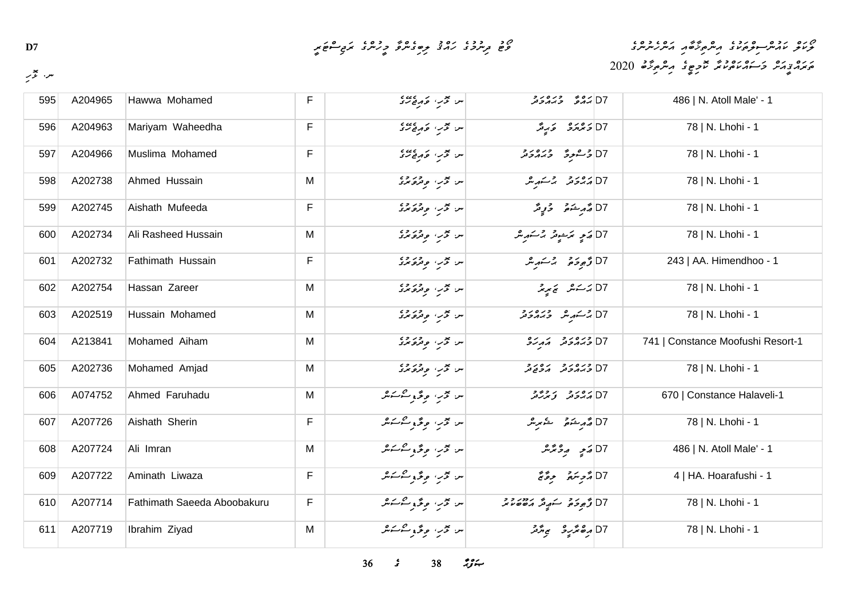*sCw7q7s5w7m< o<n9nOoAw7o< sCq;mAwBoEw7q<m; wBm;vB* م من المرة المرة المرة المرجع المرجع في المركبة 2020<br>مجم*د المريض المربوط المربع المرجع في المراجع المركبة* 

| 595 | A204965 | Hawwa Mohamed               | F           | س محرب تحمد مصری         | D7 يُروم ورەرو<br>D7 يەرق ج                  | 486   N. Atoll Male' - 1          |
|-----|---------|-----------------------------|-------------|--------------------------|----------------------------------------------|-----------------------------------|
| 596 | A204963 | Mariyam Waheedha            | F           | س تخريا تحمده عصري       | D7  <i>5 پروگر ق م</i> ریگر                  | 78   N. Lhohi - 1                 |
| 597 | A204966 | Muslima Mohamed             | F           | من محرم، نحمده عصره      | D7 ۋىشو <i>ۇ دېم</i> ەر د                    | 78   N. Lhohi - 1                 |
| 598 | A202738 | Ahmed Hussain               | M           | س عرب و فروی             | D7 <i>مَدْوَ</i> مْرَ بِرْسَمَ ِ شَرْ        | 78   N. Lhohi - 1                 |
| 599 | A202745 | Aishath Mufeeda             | $\mathsf F$ | من محرب وقروء            | D7 مَّەمِسْمَى دُرِمَّە                      | 78   N. Lhohi - 1                 |
| 600 | A202734 | Ali Rasheed Hussain         | M           | س عرب و فرورو            | D7 <i>مَيْ مَ</i> حْمِيْتُرَ بِرْسَمَبِيْتُر | 78   N. Lhohi - 1                 |
| 601 | A202732 | Fathimath Hussain           | F           | من محرب وقروء            | D7 <i>وَّجِوحَةْ بِرْسَوِيدْ</i>             | 243   AA. Himendhoo - 1           |
| 602 | A202754 | Hassan Zareer               | M           | س عرب وقروح              | D7 ئەسەنلار ئ <sub>ى ئىي</sub> رىتى          | 78   N. Lhohi - 1                 |
| 603 | A202519 | Hussain Mohamed             | M           | س میں ویروی              | D7 يُرَ مَدِينَ حَمْدَ مَدَوْمَرَ            | 78   N. Lhohi - 1                 |
| 604 | A213841 | Mohamed Aiham               | M           | س عرب و فروی             | 5.222                                        | 741   Constance Moofushi Resort-1 |
| 605 | A202736 | Mohamed Amjad               | M           | س محر، ویژویزی           | D7 <i>בגמכנר הפ</i> ציב                      | 78   N. Lhohi - 1                 |
| 606 | A074752 | Ahmed Faruhadu              | M           | س تۇر، مەنگە يەسكەنگە    | D7 <i>ټرې تر ترگ</i> مر                      | 670   Constance Halaveli-1        |
| 607 | A207726 | Aishath Sherin              | F           | س ترب و پر گرد کرد       | D7 م <i>ۇم شۇم</i> ئىشمېرى <i>ش</i>          | 78   N. Lhohi - 1                 |
| 608 | A207724 | Ali Imran                   | M           | س تۇر، مەنۇبە سىمسكىلە   | D7  رپ موفر شد                               | 486   N. Atoll Male' - 1          |
| 609 | A207722 | Aminath Liwaza              | F           | س بيمر، وقرو كاكسكر      | D7 مُّجِسَعُ مِعَّةً                         | 4   HA. Hoarafushi - 1            |
| 610 | A207714 | Fathimath Saeeda Aboobakuru | F           | س عرب پر عربی کے سکر میں | D7 ژ <sub>نجو</sub> ځ تر کمونګر منصوبه د د   | 78   N. Lhohi - 1                 |
| 611 | A207719 | Ibrahim Ziyad               | M           | س محر، وقرٍّ عن محمد     | D7 م <i>وھنڈر</i> بحر ہوتھ                   | 78   N. Lhohi - 1                 |

**36** *s* 38 *n***<sub>3</sub> <b>***n*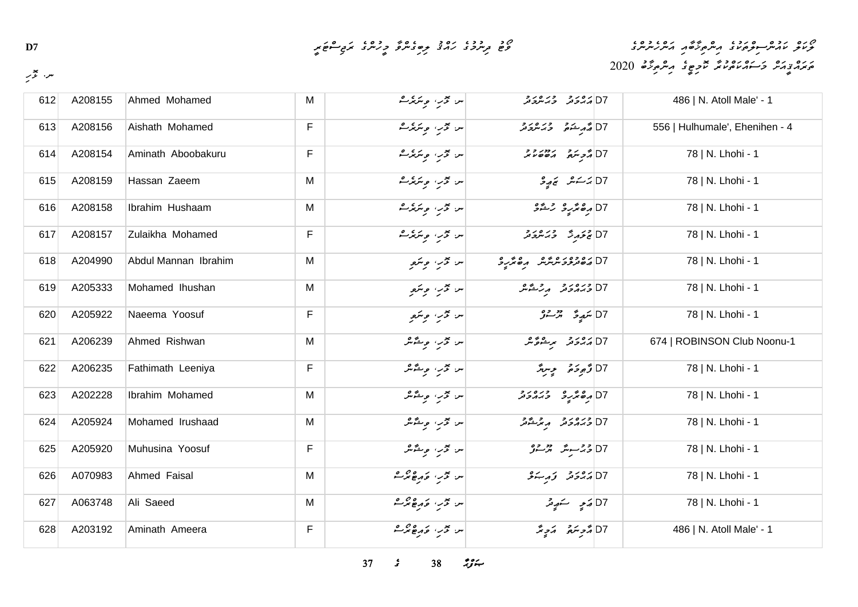*sCw7q7s5w7m< o<n9nOoAw7o< sCq;mAwBoEw7q<m; wBm;vB* م من المرة المرة المرة المرجع المرجع في المركبة 2020<br>مجم*د المريض المربوط المربع المرجع في المراجع المركبة* 

| 612 | A208155 | Ahmed Mohamed        | M            | س ميمر، ويتربر ع      | D7 <i>ב בפי הייתב</i> ת                       | 486   N. Atoll Male' - 1       |
|-----|---------|----------------------|--------------|-----------------------|-----------------------------------------------|--------------------------------|
| 613 | A208156 | Aishath Mohamed      | $\mathsf{F}$ | س عرب و پرټرگ         | D7 <i>مُمْ حَيْمُ حَيْمُ مُحَمَّدٍ</i>        | 556   Hulhumale', Ehenihen - 4 |
| 614 | A208154 | Aminath Aboobakuru   | $\mathsf F$  | مراجي، ويتربره        | D7 הُכְתֹא הַמְסִית                           | 78   N. Lhohi - 1              |
| 615 | A208159 | Hassan Zaeem         | M            | مراجي، ويتربرت        | D7 يَرْسَعْرُ بِجَمْدٍ حَ                     | 78   N. Lhohi - 1              |
| 616 | A208158 | Ibrahim Hushaam      | M            | س بيمر، ويتركده       | D7 <sub>مو</sub> ھ <i>مُرْرِ</i> وْ كَــْدُوْ | 78   N. Lhohi - 1              |
| 617 | A208157 | Zulaikha Mohamed     | $\mathsf{F}$ | مراجريا ويترتكب       | D7 ىخ <i>قىر شى</i> ئەشكە ئىر                 | 78   N. Lhohi - 1              |
| 618 | A204990 | Abdul Mannan Ibrahim | M            | س ميحر، ويتره         | D7 مەمرى <i>رى مەشرىرى</i> مەم <i>گرى</i> د   | 78   N. Lhohi - 1              |
| 619 | A205333 | Mohamed Ihushan      | M            | اللا عجرا ويترو       | D7 <i>22222 مرڭ</i> شكىر                      | 78   N. Lhohi - 1              |
| 620 | A205922 | Naeema Yoosuf        | $\mathsf{F}$ | س محرب ويترو          | D7 سَمِيرَ پُرْمَتْرُ بِ                      | 78   N. Lhohi - 1              |
| 621 | A206239 | Ahmed Rishwan        | M            | س تژر، ویشمر          | D7 <i>مُدُوَنْتَهُ بِرِحْوَنْتُر</i>          | 674   ROBINSON Club Noonu-1    |
| 622 | A206235 | Fathimath Leeniya    | $\mathsf{F}$ | س توپ ہے گھ           | D7 زَّجِرْۃَ مِہِ مِہْ                        | 78   N. Lhohi - 1              |
| 623 | A202228 | Ibrahim Mohamed      | M            | س مخر، وڪُس           | D7 مەھمگىرى ئەممەدىر                          | 78   N. Lhohi - 1              |
| 624 | A205924 | Mohamed Irushaad     | M            | س توب وڪمبر           | D7 <i>وُيُرودو به ب</i> رْڪُم <i>ر</i>        | 78   N. Lhohi - 1              |
| 625 | A205920 | Muhusina Yoosuf      | $\mathsf{F}$ | س مخر، ویشم           | D7 دېمه سومته هم شو <i>مو</i> په ک            | 78   N. Lhohi - 1              |
| 626 | A070983 | Ahmed Faisal         | M            | س بيمر، عَهوه عمر علم | D7 <i>ټرې توب</i>                             | 78   N. Lhohi - 1              |
| 627 | A063748 | Ali Saeed            | M            | س ترب كرم وه عر       | D7 <i>ھ جو سکھ</i> وش                         | 78   N. Lhohi - 1              |
| 628 | A203192 | Aminath Ameera       | $\mathsf F$  | مين عمر المحرم وجوحه  | D7 مَّحِ سَمَّةً مَّحٍ مَّدَّ                 | 486   N. Atoll Male' - 1       |

**37** *s* 38 *n***<sub>s</sub>**